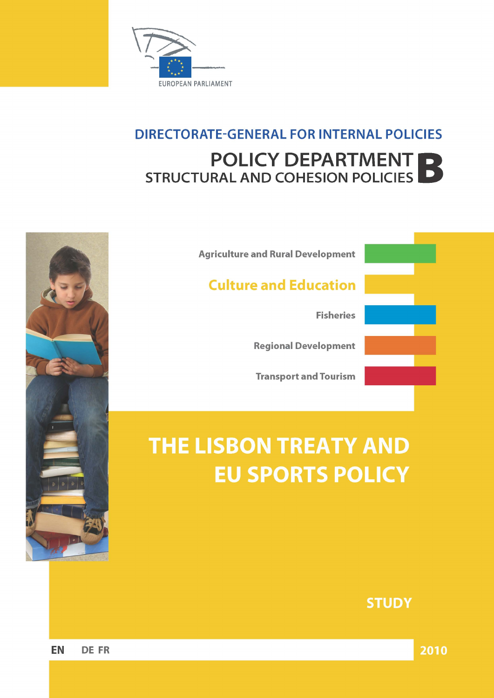

## **DIRECTORATE-GENERAL FOR INTERNAL POLICIES POLICY DEPARTMENT STRUCTURAL AND COHESION POLICIES**



**Agriculture and Rural Development** 

## **Culture and Education**

**Fisheries** 

**Regional Development** 

**Transport and Tourism** 

# THE LISBON TREATY AND **EU SPORTS POLICY**

**STUDY** 

**EN DE FR**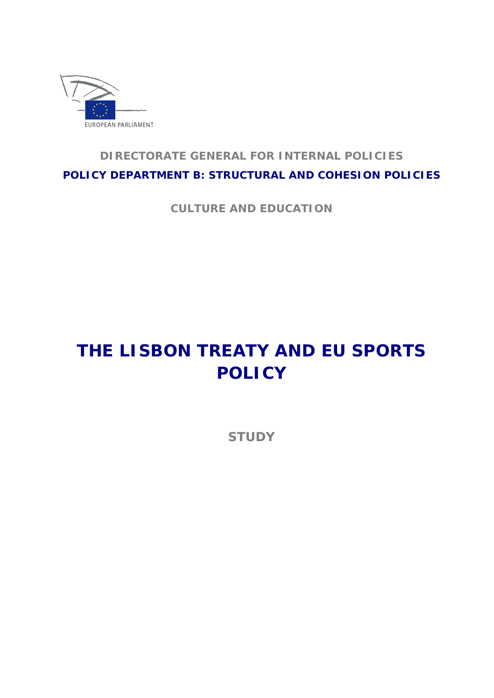

## **DIRECTORATE GENERAL FOR INTERNAL POLICIES POLICY DEPARTMENT B: STRUCTURAL AND COHESION POLICIES**

**CULTURE AND EDUCATION** 

## **THE LISBON TREATY AND EU SPORTS POLICY**

**STUDY**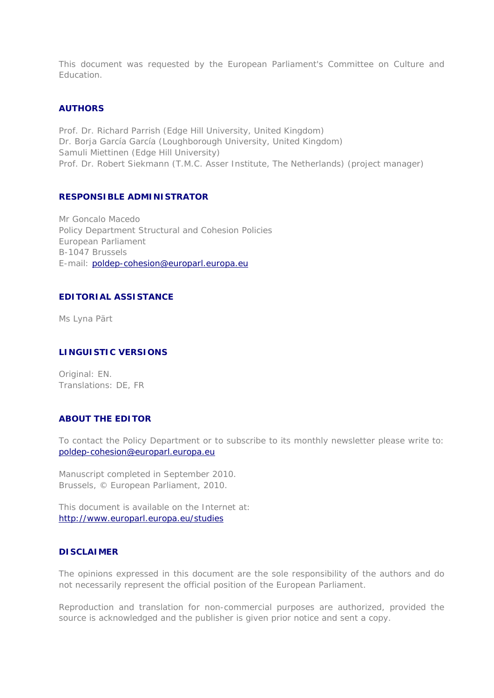This document was requested by the European Parliament's Committee on Culture and Education.

#### **AUTHORS**

Prof. Dr. Richard Parrish (Edge Hill University, United Kingdom) Dr. Borja García García (Loughborough University, United Kingdom) Samuli Miettinen (Edge Hill University) Prof. Dr. Robert Siekmann (T.M.C. Asser Institute, The Netherlands) (project manager)

#### **RESPONSIBLE ADMINISTRATOR**

Mr Goncalo Macedo Policy Department Structural and Cohesion Policies European Parliament B-1047 Brussels E-mail: poldep-cohesion@europarl.europa.eu

#### **EDITORIAL ASSISTANCE**

Ms Lyna Pärt

#### **LINGUISTIC VERSIONS**

Original: EN. Translations: DE, FR

#### **ABOUT THE EDITOR**

To contact the Policy Department or to subscribe to its monthly newsletter please write to: poldep-cohesion@europarl.europa.eu

Manuscript completed in September 2010. Brussels, © European Parliament, 2010.

This document is available on the Internet at: http://www.europarl.europa.eu/studies

#### **DISCLAIMER**

The opinions expressed in this document are the sole responsibility of the authors and do not necessarily represent the official position of the European Parliament.

Reproduction and translation for non-commercial purposes are authorized, provided the source is acknowledged and the publisher is given prior notice and sent a copy.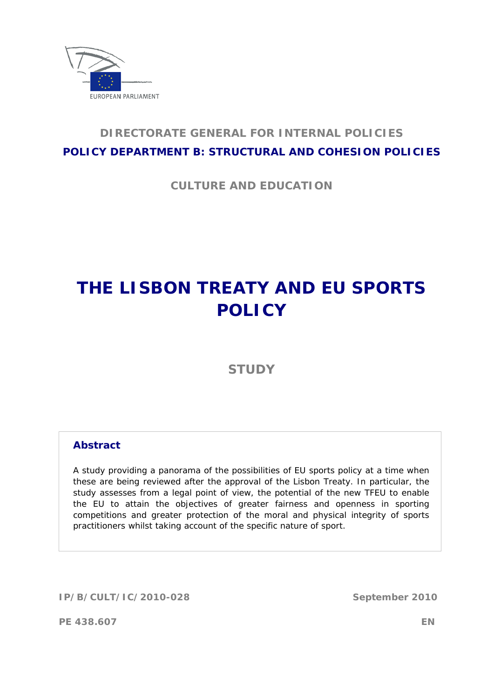

## **DIRECTORATE GENERAL FOR INTERNAL POLICIES POLICY DEPARTMENT B: STRUCTURAL AND COHESION POLICIES**

**CULTURE AND EDUCATION** 

## **THE LISBON TREATY AND EU SPORTS POLICY**

**STUDY** 

#### **Abstract**

A study providing a panorama of the possibilities of EU sports policy at a time when these are being reviewed after the approval of the Lisbon Treaty. In particular, the study assesses from a legal point of view, the potential of the new TFEU to enable the EU to attain the objectives of greater fairness and openness in sporting competitions and greater protection of the moral and physical integrity of sports practitioners whilst taking account of the specific nature of sport.

**IP/B/CULT/IC/2010-028 September 2010** 

**PE 438.607** EN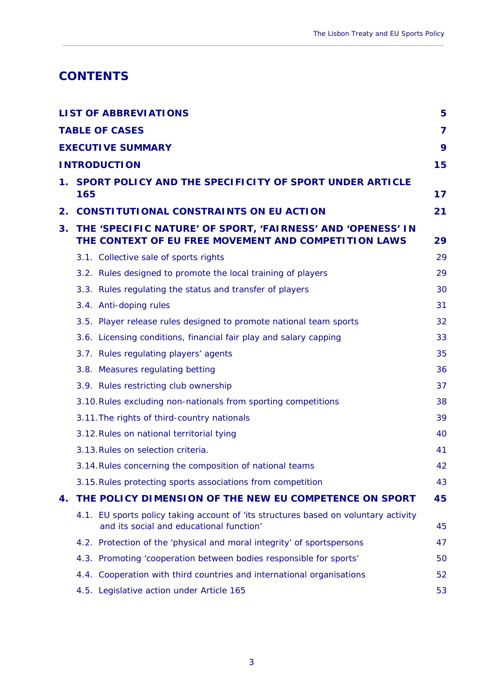## **CONTENTS**

|    | <b>LIST OF ABBREVIATIONS</b>                                                                                                    | 5              |
|----|---------------------------------------------------------------------------------------------------------------------------------|----------------|
|    | <b>TABLE OF CASES</b>                                                                                                           | $\overline{7}$ |
|    | <b>EXECUTIVE SUMMARY</b>                                                                                                        | 9              |
|    | <b>INTRODUCTION</b>                                                                                                             | 15             |
| 1. | SPORT POLICY AND THE SPECIFICITY OF SPORT UNDER ARTICLE                                                                         |                |
|    | 165                                                                                                                             | 17             |
| 2. | <b>CONSTITUTIONAL CONSTRAINTS ON EU ACTION</b>                                                                                  | 21             |
| 3. | THE 'SPECIFIC NATURE' OF SPORT, 'FAIRNESS' AND 'OPENESS' IN<br>THE CONTEXT OF EU FREE MOVEMENT AND COMPETITION LAWS             | 29             |
|    | 3.1. Collective sale of sports rights                                                                                           | 29             |
|    | 3.2. Rules designed to promote the local training of players                                                                    | 29             |
|    | 3.3. Rules regulating the status and transfer of players                                                                        | 30             |
|    | 3.4. Anti-doping rules                                                                                                          | 31             |
|    | 3.5. Player release rules designed to promote national team sports                                                              | 32             |
|    | 3.6. Licensing conditions, financial fair play and salary capping                                                               | 33             |
|    | 3.7. Rules regulating players' agents                                                                                           | 35             |
|    | 3.8. Measures regulating betting                                                                                                | 36             |
|    | 3.9. Rules restricting club ownership                                                                                           | 37             |
|    | 3.10. Rules excluding non-nationals from sporting competitions                                                                  | 38             |
|    | 3.11. The rights of third-country nationals                                                                                     | 39             |
|    | 3.12. Rules on national territorial tying                                                                                       | 40             |
|    | 3.13. Rules on selection criteria.                                                                                              | 41             |
|    | 3.14. Rules concerning the composition of national teams                                                                        | 42             |
|    | 3.15. Rules protecting sports associations from competition                                                                     | 43             |
| 4. | THE POLICY DIMENSION OF THE NEW EU COMPETENCE ON SPORT                                                                          | 45             |
|    | 4.1. EU sports policy taking account of 'its structures based on voluntary activity<br>and its social and educational function' | 45             |
|    | 4.2. Protection of the 'physical and moral integrity' of sportspersons                                                          | 47             |
|    | 4.3. Promoting 'cooperation between bodies responsible for sports'                                                              | 50             |
|    | 4.4. Cooperation with third countries and international organisations                                                           | 52             |
|    | 4.5. Legislative action under Article 165                                                                                       | 53             |

 $\_$  , and the set of the set of the set of the set of the set of the set of the set of the set of the set of the set of the set of the set of the set of the set of the set of the set of the set of the set of the set of th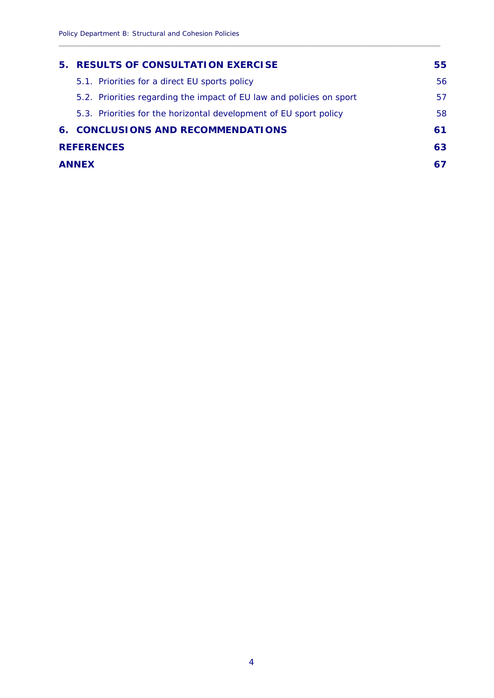| 5.                | <b>RESULTS OF CONSULTATION EXERCISE</b>                              | 55 |
|-------------------|----------------------------------------------------------------------|----|
|                   | 5.1. Priorities for a direct EU sports policy                        | 56 |
|                   | 5.2. Priorities regarding the impact of EU law and policies on sport | 57 |
|                   | 5.3. Priorities for the horizontal development of EU sport policy    | 58 |
|                   | 6. CONCLUSIONS AND RECOMMENDATIONS                                   | 61 |
| <b>REFERENCES</b> |                                                                      | 63 |
| <b>ANNEX</b>      |                                                                      | 67 |

**\_\_\_\_\_\_\_\_\_\_\_\_\_\_\_\_\_\_\_\_\_\_\_\_\_\_\_\_\_\_\_\_\_\_\_\_\_\_\_\_\_\_\_\_\_\_\_\_\_\_\_\_\_\_\_\_\_\_\_\_\_\_\_\_\_\_\_\_\_\_\_\_\_\_\_\_\_\_\_\_\_\_\_\_\_\_\_\_\_\_\_\_**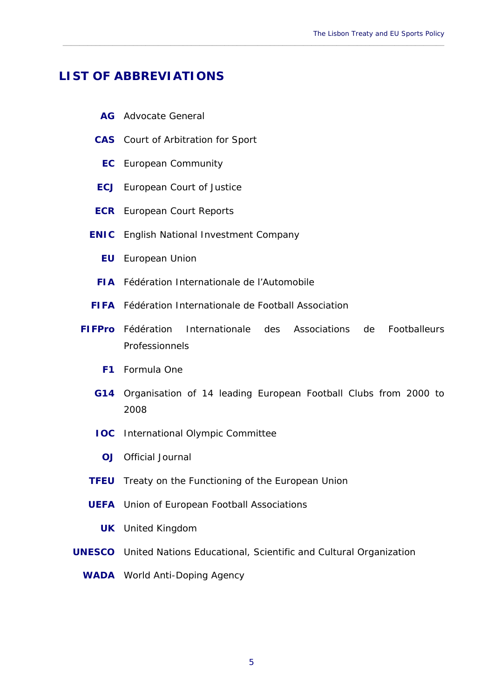### **LIST OF ABBREVIATIONS**

- **AG** Advocate General
- **CAS** Court of Arbitration for Sport
	- **EC** European Community
- **ECJ** European Court of Justice
- **ECR** European Court Reports
- **ENIC** English National Investment Company
	- **EU** European Union
	- **FIA** Fédération Internationale de l'Automobile
- **FIFA** Fédération Internationale de Football Association
- **FIFPro** Fédération Internationale des Associations de Footballeurs Professionnels

 $\_$  , and the set of the set of the set of the set of the set of the set of the set of the set of the set of the set of the set of the set of the set of the set of the set of the set of the set of the set of the set of th

- **F1** Formula One
- **G14** Organisation of 14 leading European Football Clubs from 2000 to 2008
- **IOC** International Olympic Committee
	- **OJ** Official Journal
- **TFEU** Treaty on the Functioning of the European Union
- **UEFA** Union of European Football Associations
	- **UK** United Kingdom
- **UNESCO** United Nations Educational, Scientific and Cultural Organization
	- **WADA** World Anti-Doping Agency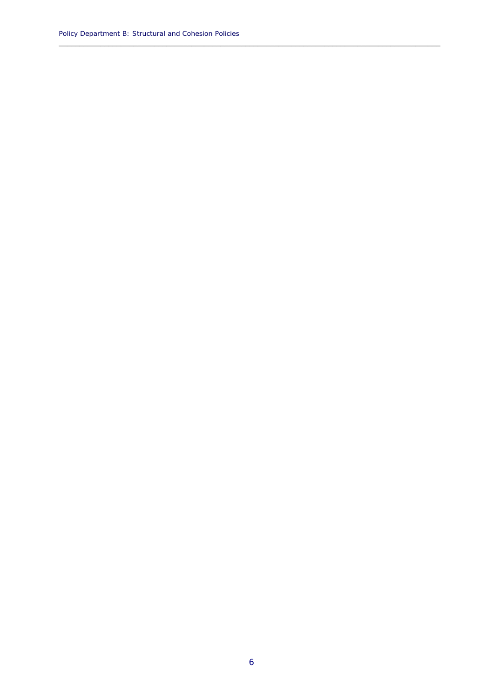**\_\_\_\_\_\_\_\_\_\_\_\_\_\_\_\_\_\_\_\_\_\_\_\_\_\_\_\_\_\_\_\_\_\_\_\_\_\_\_\_\_\_\_\_\_\_\_\_\_\_\_\_\_\_\_\_\_\_\_\_\_\_\_\_\_\_\_\_\_\_\_\_\_\_\_\_\_\_\_\_\_\_\_\_\_\_\_\_\_\_\_\_**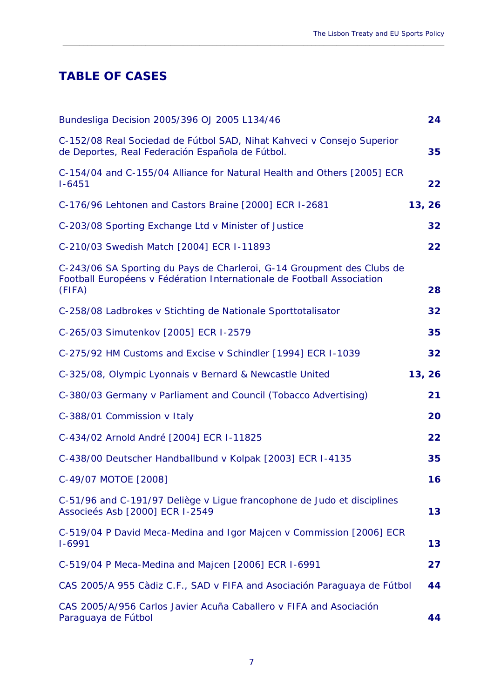## **TABLE OF CASES**

| Bundesliga Decision 2005/396 OJ 2005 L134/46                                                                                                               | 24     |
|------------------------------------------------------------------------------------------------------------------------------------------------------------|--------|
| C-152/08 Real Sociedad de Fútbol SAD, Nihat Kahveci v Consejo Superior<br>de Deportes, Real Federación Española de Fútbol.                                 | 35     |
| C-154/04 and C-155/04 Alliance for Natural Health and Others [2005] ECR<br>$1 - 6451$                                                                      | 22     |
| C-176/96 Lehtonen and Castors Braine [2000] ECR I-2681                                                                                                     | 13, 26 |
| C-203/08 Sporting Exchange Ltd v Minister of Justice                                                                                                       | 32     |
| C-210/03 Swedish Match [2004] ECR I-11893                                                                                                                  | 22     |
| C-243/06 SA Sporting du Pays de Charleroi, G-14 Groupment des Clubs de<br>Football Européens v Fédération Internationale de Football Association<br>(FIFA) | 28     |
| C-258/08 Ladbrokes v Stichting de Nationale Sporttotalisator                                                                                               | 32     |
| C-265/03 Simutenkov [2005] ECR I-2579                                                                                                                      | 35     |
| C-275/92 HM Customs and Excise v Schindler [1994] ECR I-1039                                                                                               | 32     |
| C-325/08, Olympic Lyonnais v Bernard & Newcastle United                                                                                                    | 13, 26 |
| C-380/03 Germany v Parliament and Council (Tobacco Advertising)                                                                                            | 21     |
| C-388/01 Commission v Italy                                                                                                                                | 20     |
| C-434/02 Arnold André [2004] ECR I-11825                                                                                                                   | 22     |
| C-438/00 Deutscher Handballbund v Kolpak [2003] ECR I-4135                                                                                                 | 35     |
| C-49/07 MOTOE [2008]                                                                                                                                       | 16     |
| C-51/96 and C-191/97 Deliège v Ligue francophone de Judo et disciplines<br>Associeés Asb [2000] ECR I-2549                                                 | 13     |
| C-519/04 P David Meca-Medina and Igor Majcen v Commission [2006] ECR<br>$1 - 6991$                                                                         | 13     |
| C-519/04 P Meca-Medina and Majcen [2006] ECR I-6991                                                                                                        | 27     |
| CAS 2005/A 955 Càdiz C.F., SAD v FIFA and Asociación Paraguaya de Fútbol                                                                                   | 44     |
| CAS 2005/A/956 Carlos Javier Acuña Caballero v FIFA and Asociación<br>Paraguaya de Fútbol                                                                  | 44     |

 $\_$  , and the set of the set of the set of the set of the set of the set of the set of the set of the set of the set of the set of the set of the set of the set of the set of the set of the set of the set of the set of th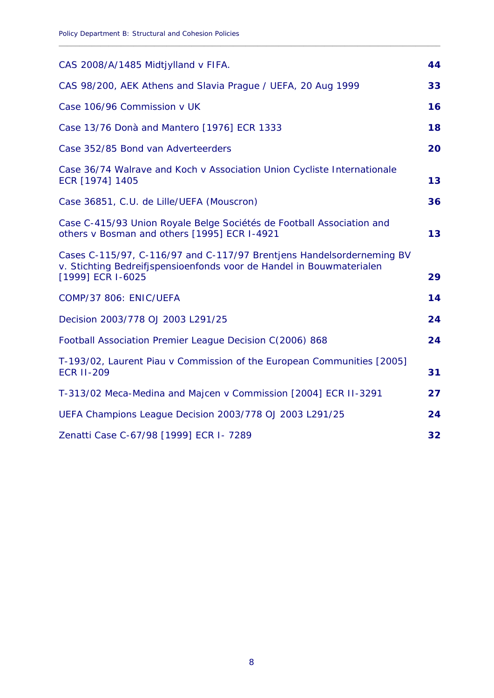| CAS 2008/A/1485 Midtjylland v FIFA.                                                                                                                                | 44 |
|--------------------------------------------------------------------------------------------------------------------------------------------------------------------|----|
| CAS 98/200, AEK Athens and Slavia Prague / UEFA, 20 Aug 1999                                                                                                       | 33 |
| Case 106/96 Commission v UK                                                                                                                                        | 16 |
| Case 13/76 Donà and Mantero [1976] ECR 1333                                                                                                                        | 18 |
| Case 352/85 Bond van Adverteerders                                                                                                                                 | 20 |
| Case 36/74 Walrave and Koch v Association Union Cycliste Internationale<br>ECR [1974] 1405                                                                         | 13 |
| Case 36851, C.U. de Lille/UEFA (Mouscron)                                                                                                                          | 36 |
| Case C-415/93 Union Royale Belge Sociétés de Football Association and<br>others v Bosman and others [1995] ECR I-4921                                              | 13 |
| Cases C-115/97, C-116/97 and C-117/97 Brentjens Handelsorderneming BV<br>v. Stichting Bedreifjspensioenfonds voor de Handel in Bouwmaterialen<br>[1999] ECR I-6025 | 29 |
| COMP/37 806: ENIC/UEFA                                                                                                                                             | 14 |
| Decision 2003/778 OJ 2003 L291/25                                                                                                                                  | 24 |
| Football Association Premier League Decision C(2006) 868                                                                                                           | 24 |
| T-193/02, Laurent Piau v Commission of the European Communities [2005]<br><b>ECR 11-209</b>                                                                        | 31 |
| T-313/02 Meca-Medina and Majcen v Commission [2004] ECR II-3291                                                                                                    | 27 |
| UEFA Champions League Decision 2003/778 OJ 2003 L291/25                                                                                                            | 24 |
| Zenatti Case C-67/98 [1999] ECR I- 7289                                                                                                                            | 32 |

**\_\_\_\_\_\_\_\_\_\_\_\_\_\_\_\_\_\_\_\_\_\_\_\_\_\_\_\_\_\_\_\_\_\_\_\_\_\_\_\_\_\_\_\_\_\_\_\_\_\_\_\_\_\_\_\_\_\_\_\_\_\_\_\_\_\_\_\_\_\_\_\_\_\_\_\_\_\_\_\_\_\_\_\_\_\_\_\_\_\_\_\_**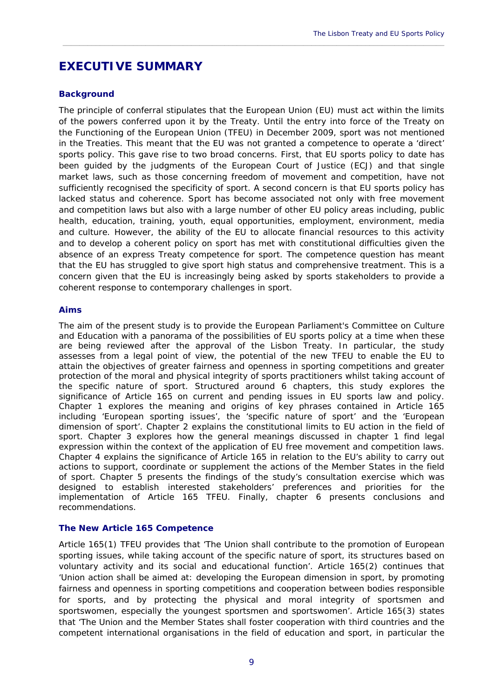## **EXECUTIVE SUMMARY**

#### **Background**

The principle of conferral stipulates that the European Union (EU) must act within the limits of the powers conferred upon it by the Treaty. Until the entry into force of the Treaty on the Functioning of the European Union (TFEU) in December 2009, sport was not mentioned in the Treaties. This meant that the EU was not granted a competence to operate a 'direct' sports policy. This gave rise to two broad concerns. First, that EU sports policy to date has been guided by the judgments of the European Court of Justice (ECJ) and that single market laws, such as those concerning freedom of movement and competition, have not sufficiently recognised the specificity of sport. A second concern is that EU sports policy has lacked status and coherence. Sport has become associated not only with free movement and competition laws but also with a large number of other EU policy areas including, public health, education, training, youth, equal opportunities, employment, environment, media and culture. However, the ability of the EU to allocate financial resources to this activity and to develop a coherent policy on sport has met with constitutional difficulties given the absence of an express Treaty competence for sport. The competence question has meant that the EU has struggled to give sport high status and comprehensive treatment. This is a concern given that the EU is increasingly being asked by sports stakeholders to provide a coherent response to contemporary challenges in sport.

 $\_$  , and the set of the set of the set of the set of the set of the set of the set of the set of the set of the set of the set of the set of the set of the set of the set of the set of the set of the set of the set of th

#### **Aims**

The aim of the present study is to provide the European Parliament's Committee on Culture and Education with a panorama of the possibilities of EU sports policy at a time when these are being reviewed after the approval of the Lisbon Treaty. In particular, the study assesses from a legal point of view, the potential of the new TFEU to enable the EU to attain the objectives of greater fairness and openness in sporting competitions and greater protection of the moral and physical integrity of sports practitioners whilst taking account of the specific nature of sport. Structured around 6 chapters, this study explores the significance of Article 165 on current and pending issues in EU sports law and policy. Chapter 1 explores the meaning and origins of key phrases contained in Article 165 including 'European sporting issues', the 'specific nature of sport' and the 'European dimension of sport'. Chapter 2 explains the constitutional limits to EU action in the field of sport. Chapter 3 explores how the general meanings discussed in chapter 1 find legal expression within the context of the application of EU free movement and competition laws. Chapter 4 explains the significance of Article 165 in relation to the EU's ability to carry out actions to support, coordinate or supplement the actions of the Member States in the field of sport. Chapter 5 presents the findings of the study's consultation exercise which was designed to establish interested stakeholders' preferences and priorities for the implementation of Article 165 TFEU. Finally, chapter 6 presents conclusions and recommendations.

#### **The New Article 165 Competence**

Article 165(1) TFEU provides that 'The Union shall contribute to the promotion of European sporting issues, while taking account of the specific nature of sport, its structures based on voluntary activity and its social and educational function'. Article 165(2) continues that 'Union action shall be aimed at: developing the European dimension in sport, by promoting fairness and openness in sporting competitions and cooperation between bodies responsible for sports, and by protecting the physical and moral integrity of sportsmen and sportswomen, especially the youngest sportsmen and sportswomen'. Article 165(3) states that 'The Union and the Member States shall foster cooperation with third countries and the competent international organisations in the field of education and sport, in particular the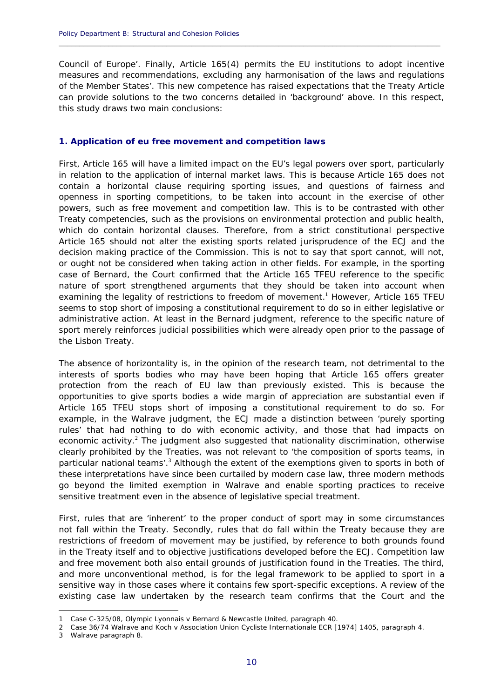Council of Europe'. Finally, Article 165(4) permits the EU institutions to adopt incentive measures and recommendations, excluding any harmonisation of the laws and regulations of the Member States'. This new competence has raised expectations that the Treaty Article can provide solutions to the two concerns detailed in 'background' above. In this respect, this study draws two main conclusions:

**\_\_\_\_\_\_\_\_\_\_\_\_\_\_\_\_\_\_\_\_\_\_\_\_\_\_\_\_\_\_\_\_\_\_\_\_\_\_\_\_\_\_\_\_\_\_\_\_\_\_\_\_\_\_\_\_\_\_\_\_\_\_\_\_\_\_\_\_\_\_\_\_\_\_\_\_\_\_\_\_\_\_\_\_\_\_\_\_\_\_\_\_**

#### **1. Application of eu free movement and competition laws**

First, Article 165 will have a limited impact on the EU's legal powers over sport, particularly in relation to the application of internal market laws. This is because Article 165 does not contain a horizontal clause requiring sporting issues, and questions of fairness and openness in sporting competitions, to be taken into account in the exercise of other powers, such as free movement and competition law. This is to be contrasted with other Treaty competencies, such as the provisions on environmental protection and public health, which do contain horizontal clauses. Therefore, from a strict constitutional perspective Article 165 should not alter the existing sports related jurisprudence of the ECJ and the decision making practice of the Commission. This is not to say that sport cannot, will not, or ought not be considered when taking action in other fields. For example, in the sporting case of *Bernard*, the Court confirmed that the Article 165 TFEU reference to the specific nature of sport strengthened arguments that they should be taken into account when examining the legality of restrictions to freedom of movement.<sup>1</sup> However, Article 165 TFEU seems to stop short of imposing a constitutional requirement to do so in either legislative or administrative action. At least in the *Bernard* judgment, reference to the specific nature of sport merely reinforces judicial possibilities which were already open prior to the passage of the Lisbon Treaty.

The absence of horizontality is, in the opinion of the research team, not detrimental to the interests of sports bodies who may have been hoping that Article 165 offers greater protection from the reach of EU law than previously existed. This is because the opportunities to give sports bodies a wide margin of appreciation are substantial even if Article 165 TFEU stops short of imposing a constitutional requirement to do so. For example, in the *Walrave* judgment, the ECJ made a distinction between 'purely sporting rules' that had nothing to do with economic activity, and those that had impacts on economic activity.<sup>2</sup> The judgment also suggested that nationality discrimination, otherwise clearly prohibited by the Treaties, was not relevant to 'the composition of sports teams, in particular national teams'.<sup>3</sup> Although the extent of the exemptions given to sports in both of these interpretations have since been curtailed by modern case law, three modern methods go beyond the limited exemption in *Walrave* and enable sporting practices to receive sensitive treatment even in the absence of legislative special treatment.

First, rules that are 'inherent' to the proper conduct of sport may in some circumstances not fall within the Treaty. Secondly, rules that do fall within the Treaty because they are restrictions of freedom of movement may be justified, by reference to both grounds found in the Treaty itself and to objective justifications developed before the ECJ. Competition law and free movement both also entail grounds of justification found in the Treaties. The third, and more unconventional method, is for the legal framework to be applied to sport in a sensitive way in those cases where it contains few sport-specific exceptions. A review of the existing case law undertaken by the research team confirms that the Court and the

<sup>1</sup> Case C-325/08, Olympic Lyonnais v Bernard & Newcastle United, paragraph 40.

<sup>2</sup> Case 36/74 Walrave and Koch v Association Union Cycliste Internationale ECR [1974] 1405, paragraph 4.

<sup>3</sup> Walrave paragraph 8.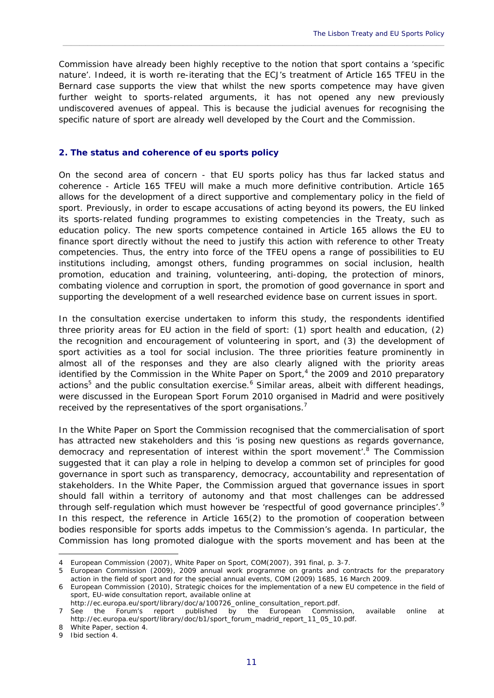Commission have already been highly receptive to the notion that sport contains a 'specific nature'. Indeed, it is worth re-iterating that the ECJ's treatment of Article 165 TFEU in the *Bernard* case supports the view that whilst the new sports competence may have given further weight to sports-related arguments, it has not opened any new previously undiscovered avenues of appeal. This is because the judicial avenues for recognising the specific nature of sport are already well developed by the Court and the Commission.

 $\_$  , and the set of the set of the set of the set of the set of the set of the set of the set of the set of the set of the set of the set of the set of the set of the set of the set of the set of the set of the set of th

#### **2. The status and coherence of eu sports policy**

On the second area of concern - that EU sports policy has thus far lacked status and coherence - Article 165 TFEU will make a much more definitive contribution. Article 165 allows for the development of a direct supportive and complementary policy in the field of sport. Previously, in order to escape accusations of acting beyond its powers, the EU linked its sports-related funding programmes to existing competencies in the Treaty, such as education policy. The new sports competence contained in Article 165 allows the EU to finance sport directly without the need to justify this action with reference to other Treaty competencies. Thus, the entry into force of the TFEU opens a range of possibilities to EU institutions including, amongst others, funding programmes on social inclusion, health promotion, education and training, volunteering, anti-doping, the protection of minors, combating violence and corruption in sport, the promotion of good governance in sport and supporting the development of a well researched evidence base on current issues in sport.

In the consultation exercise undertaken to inform this study, the respondents identified three priority areas for EU action in the field of sport: (1) sport health and education, (2) the recognition and encouragement of volunteering in sport, and (3) the development of sport activities as a tool for social inclusion. The three priorities feature prominently in almost all of the responses and they are also clearly aligned with the priority areas identified by the Commission in the White Paper on Sport, $4$  the 2009 and 2010 preparatory actions<sup>5</sup> and the public consultation exercise.<sup>6</sup> Similar areas, albeit with different headings, were discussed in the European Sport Forum 2010 organised in Madrid and were positively received by the representatives of the sport organisations.<sup>7</sup>

In the White Paper on Sport the Commission recognised that the commercialisation of sport has attracted new stakeholders and this 'is posing new questions as regards governance, democracy and representation of interest within the sport movement'.<sup>8</sup> The Commission suggested that it can play a role in helping to develop a common set of principles for good governance in sport such as transparency, democracy, accountability and representation of stakeholders. In the White Paper, the Commission argued that governance issues in sport should fall within a territory of autonomy and that most challenges can be addressed through self-regulation which must however be 'respectful of good governance principles'.<sup>9</sup> In this respect, the reference in Article 165(2) to the promotion of cooperation between bodies responsible for sports adds impetus to the Commission's agenda. In particular, the Commission has long promoted dialogue with the sports movement and has been at the

<u>.</u>

<sup>4</sup> European Commission (2007), White Paper on Sport, COM(2007), 391 final, p. 3-7.

<sup>5</sup> European Commission (2009), 2009 annual work programme on grants and contracts for the preparatory action in the field of sport and for the special annual events, COM (2009) 1685, 16 March 2009.

<sup>6</sup> European Commission (2010), Strategic choices for the implementation of a new EU competence in the field of sport, EU-wide consultation report, available online at

http://ec.europa.eu/sport/library/doc/a/100726\_online\_consultation\_report.pdf.

<sup>7</sup> See the Forum's report published by the European Commission, available online at http://ec.europa.eu/sport/library/doc/b1/sport\_forum\_madrid\_report\_11\_05\_10.pdf.

<sup>8</sup> White Paper, section 4.

<sup>9</sup> Ibid section 4.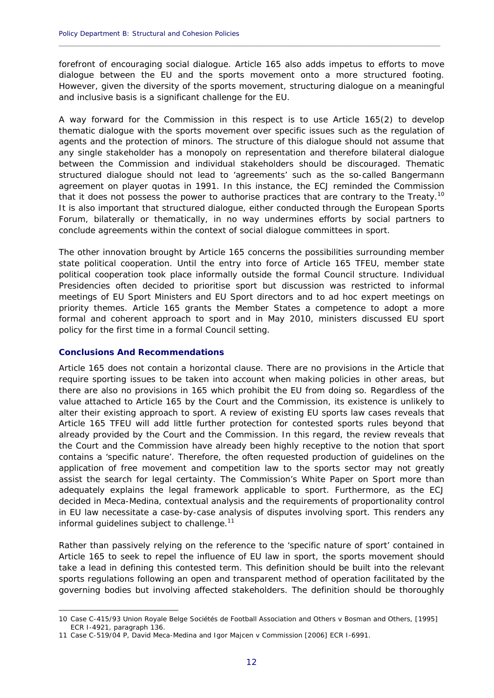forefront of encouraging social dialogue. Article 165 also adds impetus to efforts to move dialogue between the EU and the sports movement onto a more structured footing. However, given the diversity of the sports movement, structuring dialogue on a meaningful and inclusive basis is a significant challenge for the EU.

**\_\_\_\_\_\_\_\_\_\_\_\_\_\_\_\_\_\_\_\_\_\_\_\_\_\_\_\_\_\_\_\_\_\_\_\_\_\_\_\_\_\_\_\_\_\_\_\_\_\_\_\_\_\_\_\_\_\_\_\_\_\_\_\_\_\_\_\_\_\_\_\_\_\_\_\_\_\_\_\_\_\_\_\_\_\_\_\_\_\_\_\_**

A way forward for the Commission in this respect is to use Article 165(2) to develop thematic dialogue with the sports movement over specific issues such as the regulation of agents and the protection of minors. The structure of this dialogue should not assume that any single stakeholder has a monopoly on representation and therefore bilateral dialogue between the Commission and individual stakeholders should be discouraged. Thematic structured dialogue should not lead to 'agreements' such as the so-called Bangermann agreement on player quotas in 1991. In this instance, the ECJ reminded the Commission that it does not possess the power to authorise practices that are contrary to the Treaty.<sup>10</sup> It is also important that structured dialogue, either conducted through the European Sports Forum, bilaterally or thematically, in no way undermines efforts by social partners to conclude agreements within the context of social dialogue committees in sport.

The other innovation brought by Article 165 concerns the possibilities surrounding member state political cooperation. Until the entry into force of Article 165 TFEU, member state political cooperation took place informally outside the formal Council structure. Individual Presidencies often decided to prioritise sport but discussion was restricted to informal meetings of EU Sport Ministers and EU Sport directors and to *ad hoc* expert meetings on priority themes. Article 165 grants the Member States a competence to adopt a more formal and coherent approach to sport and in May 2010, ministers discussed EU sport policy for the first time in a formal Council setting.

#### **Conclusions And Recommendations**

1

Article 165 does not contain a horizontal clause. There are no provisions in the Article that require sporting issues to be taken into account when making policies in other areas, but there are also no provisions in 165 which prohibit the EU from doing so. Regardless of the value attached to Article 165 by the Court and the Commission, its existence is unlikely to alter their existing approach to sport. A review of existing EU sports law cases reveals that Article 165 TFEU will add little further protection for contested sports rules beyond that already provided by the Court and the Commission. In this regard, the review reveals that the Court and the Commission have already been highly receptive to the notion that sport contains a 'specific nature'. Therefore, the often requested production of guidelines on the application of free movement and competition law to the sports sector may not greatly assist the search for legal certainty. The Commission's White Paper on Sport more than adequately explains the legal framework applicable to sport. Furthermore, as the ECJ decided in *Meca-Medina*, contextual analysis and the requirements of proportionality control in EU law necessitate a case-by-case analysis of disputes involving sport. This renders any informal quidelines subject to challenge. $11$ 

Rather than passively relying on the reference to the 'specific nature of sport' contained in Article 165 to seek to repel the influence of EU law in sport, the sports movement should take a lead in defining this contested term. This definition should be built into the relevant sports regulations following an open and transparent method of operation facilitated by the governing bodies but involving affected stakeholders. The definition should be thoroughly

<sup>10</sup> Case C-415/93 Union Royale Belge Sociétés de Football Association and Others v Bosman and Others, [1995] ECR I-4921, paragraph 136.

<sup>11</sup> Case C-519/04 P, David Meca-Medina and Igor Majcen v Commission [2006] ECR I-6991.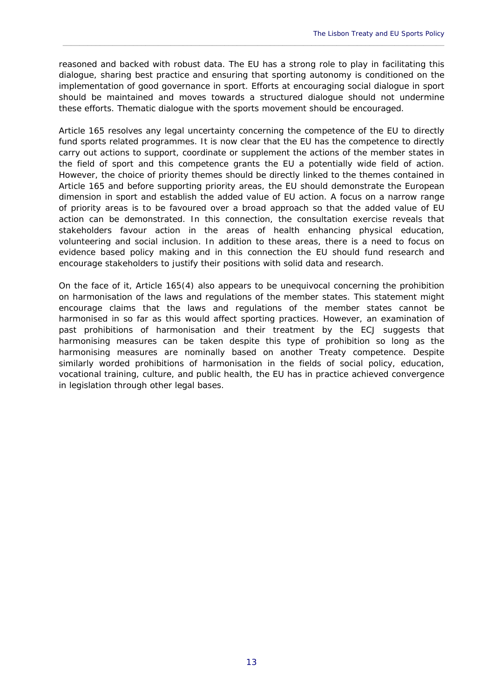reasoned and backed with robust data. The EU has a strong role to play in facilitating this dialogue, sharing best practice and ensuring that sporting autonomy is conditioned on the implementation of good governance in sport. Efforts at encouraging social dialogue in sport should be maintained and moves towards a structured dialogue should not undermine these efforts. Thematic dialogue with the sports movement should be encouraged.

 $\_$  , and the set of the set of the set of the set of the set of the set of the set of the set of the set of the set of the set of the set of the set of the set of the set of the set of the set of the set of the set of th

Article 165 resolves any legal uncertainty concerning the competence of the EU to directly fund sports related programmes. It is now clear that the EU has the competence to directly carry out actions to support, coordinate or supplement the actions of the member states in the field of sport and this competence grants the EU a potentially wide field of action. However, the choice of priority themes should be directly linked to the themes contained in Article 165 and before supporting priority areas, the EU should demonstrate the European dimension in sport and establish the added value of EU action. A focus on a narrow range of priority areas is to be favoured over a broad approach so that the added value of EU action can be demonstrated. In this connection, the consultation exercise reveals that stakeholders favour action in the areas of health enhancing physical education, volunteering and social inclusion. In addition to these areas, there is a need to focus on evidence based policy making and in this connection the EU should fund research and encourage stakeholders to justify their positions with solid data and research.

On the face of it, Article 165(4) also appears to be unequivocal concerning the prohibition on harmonisation of the laws and regulations of the member states. This statement might encourage claims that the laws and regulations of the member states cannot be harmonised in so far as this would affect sporting practices. However, an examination of past prohibitions of harmonisation and their treatment by the ECJ suggests that harmonising measures can be taken despite this type of prohibition so long as the harmonising measures are nominally based on another Treaty competence. Despite similarly worded prohibitions of harmonisation in the fields of social policy, education, vocational training, culture, and public health, the EU has in practice achieved convergence in legislation through other legal bases.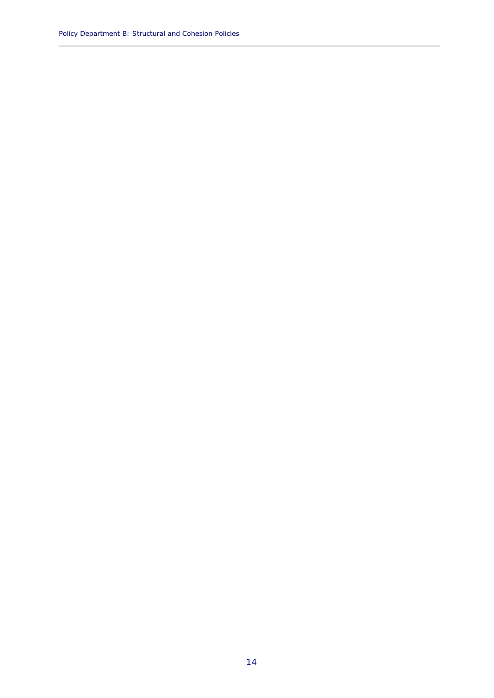**\_\_\_\_\_\_\_\_\_\_\_\_\_\_\_\_\_\_\_\_\_\_\_\_\_\_\_\_\_\_\_\_\_\_\_\_\_\_\_\_\_\_\_\_\_\_\_\_\_\_\_\_\_\_\_\_\_\_\_\_\_\_\_\_\_\_\_\_\_\_\_\_\_\_\_\_\_\_\_\_\_\_\_\_\_\_\_\_\_\_\_\_**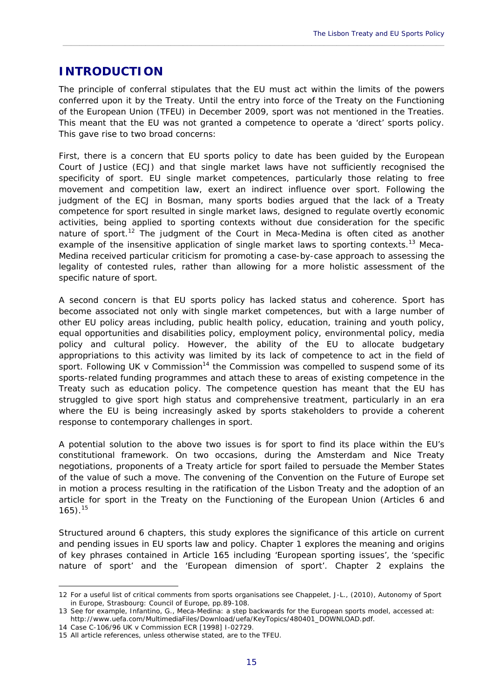### **INTRODUCTION**

The principle of conferral stipulates that the EU must act within the limits of the powers conferred upon it by the Treaty. Until the entry into force of the Treaty on the Functioning of the European Union (TFEU) in December 2009, sport was not mentioned in the Treaties. This meant that the EU was not granted a competence to operate a 'direct' sports policy. This gave rise to two broad concerns:

 $\_$  , and the set of the set of the set of the set of the set of the set of the set of the set of the set of the set of the set of the set of the set of the set of the set of the set of the set of the set of the set of th

First, there is a concern that EU sports policy to date has been guided by the European Court of Justice (ECJ) and that single market laws have not sufficiently recognised the specificity of sport. EU single market competences, particularly those relating to free movement and competition law, exert an indirect influence over sport. Following the judgment of the ECJ in *Bosman*, many sports bodies argued that the lack of a Treaty competence for sport resulted in single market laws, designed to regulate overtly economic activities, being applied to sporting contexts without due consideration for the specific nature of sport.12 The judgment of the Court in *Meca-Medina* is often cited as another example of the insensitive application of single market laws to sporting contexts.<sup>13</sup> *Meca-Medina* received particular criticism for promoting a case-by-case approach to assessing the legality of contested rules, rather than allowing for a more holistic assessment of the specific nature of sport.

A second concern is that EU sports policy has lacked status and coherence. Sport has become associated not only with single market competences, but with a large number of other EU policy areas including, public health policy, education, training and youth policy, equal opportunities and disabilities policy, employment policy, environmental policy, media policy and cultural policy. However, the ability of the EU to allocate budgetary appropriations to this activity was limited by its lack of competence to act in the field of sport. Following *UK v Commission*<sup>14</sup> the Commission was compelled to suspend some of its sports-related funding programmes and attach these to areas of existing competence in the Treaty such as education policy. The competence question has meant that the EU has struggled to give sport high status and comprehensive treatment, particularly in an era where the EU is being increasingly asked by sports stakeholders to provide a coherent response to contemporary challenges in sport.

A potential solution to the above two issues is for sport to find its place within the EU's constitutional framework. On two occasions, during the Amsterdam and Nice Treaty negotiations, proponents of a Treaty article for sport failed to persuade the Member States of the value of such a move. The convening of the Convention on the Future of Europe set in motion a process resulting in the ratification of the Lisbon Treaty and the adoption of an article for sport in the Treaty on the Functioning of the European Union (Articles 6 and  $165$ ).<sup>15</sup>

Structured around 6 chapters, this study explores the significance of this article on current and pending issues in EU sports law and policy. Chapter 1 explores the meaning and origins of key phrases contained in Article 165 including 'European sporting issues', the 'specific nature of sport' and the 'European dimension of sport'. Chapter 2 explains the

<sup>12</sup> For a useful list of critical comments from sports organisations see Chappelet, J-L., (2010), Autonomy of Sport in Europe, Strasbourg: Council of Europe, pp.89-108.

<sup>13</sup> See for example, Infantino, G., Meca-Medina: a step backwards for the European sports model, accessed at: http://www.uefa.com/MultimediaFiles/Download/uefa/KeyTopics/480401\_DOWNLOAD.pdf.

<sup>14</sup> Case C-106/96 UK v Commission ECR [1998] I-02729.

<sup>15</sup> All article references, unless otherwise stated, are to the TFEU.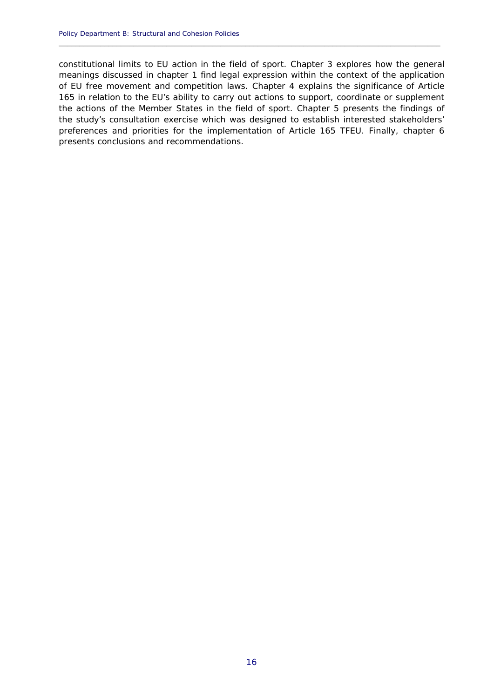constitutional limits to EU action in the field of sport. Chapter 3 explores how the general meanings discussed in chapter 1 find legal expression within the context of the application of EU free movement and competition laws. Chapter 4 explains the significance of Article 165 in relation to the EU's ability to carry out actions to support, coordinate or supplement the actions of the Member States in the field of sport. Chapter 5 presents the findings of the study's consultation exercise which was designed to establish interested stakeholders' preferences and priorities for the implementation of Article 165 TFEU. Finally, chapter 6 presents conclusions and recommendations.

**\_\_\_\_\_\_\_\_\_\_\_\_\_\_\_\_\_\_\_\_\_\_\_\_\_\_\_\_\_\_\_\_\_\_\_\_\_\_\_\_\_\_\_\_\_\_\_\_\_\_\_\_\_\_\_\_\_\_\_\_\_\_\_\_\_\_\_\_\_\_\_\_\_\_\_\_\_\_\_\_\_\_\_\_\_\_\_\_\_\_\_\_**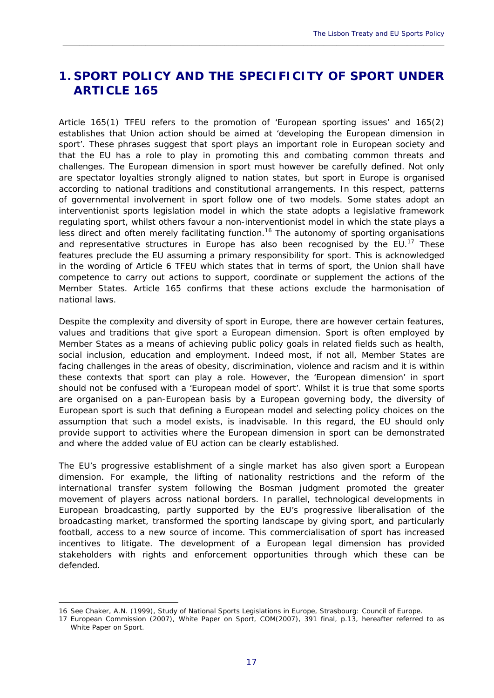## **1. SPORT POLICY AND THE SPECIFICITY OF SPORT UNDER ARTICLE 165**

 $\_$  , and the set of the set of the set of the set of the set of the set of the set of the set of the set of the set of the set of the set of the set of the set of the set of the set of the set of the set of the set of th

Article 165(1) TFEU refers to the promotion of 'European sporting issues' and 165(2) establishes that Union action should be aimed at 'developing the European dimension in sport'. These phrases suggest that sport plays an important role in European society and that the EU has a role to play in promoting this and combating common threats and challenges. The European dimension in sport must however be carefully defined. Not only are spectator loyalties strongly aligned to nation states, but sport in Europe is organised according to national traditions and constitutional arrangements. In this respect, patterns of governmental involvement in sport follow one of two models. Some states adopt an *interventionist* sports legislation model in which the state adopts a legislative framework regulating sport, whilst others favour a *non-interventionist* model in which the state plays a less direct and often merely facilitating function.<sup>16</sup> The autonomy of sporting organisations and representative structures in Europe has also been recognised by the  $EU^{17}$  These features preclude the EU assuming a primary responsibility for sport. This is acknowledged in the wording of Article 6 TFEU which states that in terms of sport, the Union shall have competence to carry out actions to support, coordinate or supplement the actions of the Member States. Article 165 confirms that these actions exclude the harmonisation of national laws.

Despite the complexity and diversity of sport in Europe, there are however certain features, values and traditions that give sport a European dimension. Sport is often employed by Member States as a means of achieving public policy goals in related fields such as health, social inclusion, education and employment. Indeed most, if not all, Member States are facing challenges in the areas of obesity, discrimination, violence and racism and it is within these contexts that sport can play a role. However, the 'European dimension' in sport should not be confused with a 'European model of sport'. Whilst it is true that some sports are organised on a pan-European basis by a European governing body, the diversity of European sport is such that defining a European model and selecting policy choices on the assumption that such a model exists, is inadvisable. In this regard, the EU should only provide support to activities where the European dimension in sport can be demonstrated and where the added value of EU action can be clearly established.

The EU's progressive establishment of a single market has also given sport a European dimension. For example, the lifting of nationality restrictions and the reform of the international transfer system following the *Bosman* judgment promoted the greater movement of players across national borders. In parallel, technological developments in European broadcasting, partly supported by the EU's progressive liberalisation of the broadcasting market, transformed the sporting landscape by giving sport, and particularly football, access to a new source of income. This commercialisation of sport has increased incentives to litigate. The development of a European legal dimension has provided stakeholders with rights and enforcement opportunities through which these can be defended.

<sup>16</sup> See Chaker, A.N. (1999), Study of National Sports Legislations in Europe, Strasbourg: Council of Europe.

<sup>17</sup> European Commission (2007), White Paper on Sport, COM(2007), 391 final, p.13, hereafter referred to as White Paper on Sport.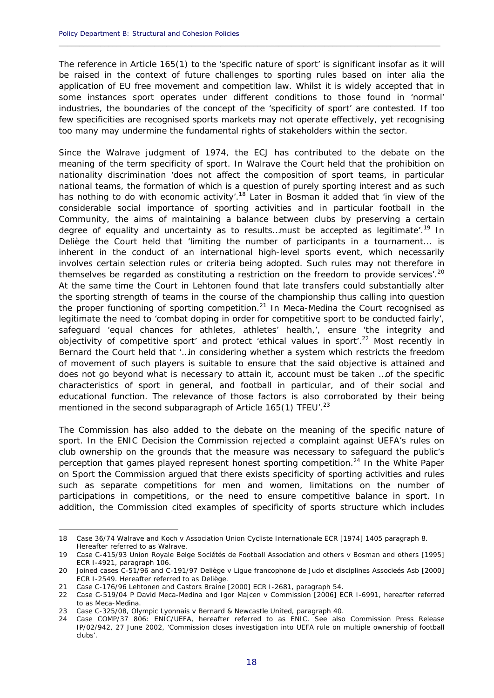The reference in Article 165(1) to the 'specific nature of sport' is significant insofar as it will be raised in the context of future challenges to sporting rules based on *inter alia* the application of EU free movement and competition law. Whilst it is widely accepted that in some instances sport operates under different conditions to those found in 'normal' industries, the boundaries of the concept of the 'specificity of sport' are contested. If too few specificities are recognised sports markets may not operate effectively, yet recognising too many may undermine the fundamental rights of stakeholders within the sector.

**\_\_\_\_\_\_\_\_\_\_\_\_\_\_\_\_\_\_\_\_\_\_\_\_\_\_\_\_\_\_\_\_\_\_\_\_\_\_\_\_\_\_\_\_\_\_\_\_\_\_\_\_\_\_\_\_\_\_\_\_\_\_\_\_\_\_\_\_\_\_\_\_\_\_\_\_\_\_\_\_\_\_\_\_\_\_\_\_\_\_\_\_**

Since the *Walrave* judgment of 1974, the ECJ has contributed to the debate on the meaning of the term specificity of sport. In *Walrave* the Court held that the prohibition on nationality discrimination 'does not affect the composition of sport teams, in particular national teams, the formation of which is a question of purely sporting interest and as such has nothing to do with economic activity'.18 Later in *Bosman* it added that 'in view of the considerable social importance of sporting activities and in particular football in the Community, the aims of maintaining a balance between clubs by preserving a certain degree of equality and uncertainty as to results...must be accepted as legitimate'.<sup>19</sup> In *Deliège* the Court held that 'limiting the number of participants in a tournament... is inherent in the conduct of an international high-level sports event, which necessarily involves certain selection rules or criteria being adopted. Such rules may not therefore in themselves be regarded as constituting a restriction on the freedom to provide services'.<sup>20</sup> At the same time the Court in *Lehtonen* found that late transfers could substantially alter the sporting strength of teams in the course of the championship thus calling into question the proper functioning of sporting competition.<sup>21</sup> In *Meca-Medina* the Court recognised as legitimate the need to 'combat doping in order for competitive sport to be conducted fairly', safeguard 'equal chances for athletes, athletes' health,', ensure 'the integrity and objectivity of competitive sport' and protect 'ethical values in sport'.<sup>22</sup> Most recently in *Bernard* the Court held that '…in considering whether a system which restricts the freedom of movement of such players is suitable to ensure that the said objective is attained and does not go beyond what is necessary to attain it, account must be taken …of the specific characteristics of sport in general, and football in particular, and of their social and educational function. The relevance of those factors is also corroborated by their being mentioned in the second subparagraph of Article 165(1) TFEU'.<sup>23</sup>

The Commission has also added to the debate on the meaning of the specific nature of sport. In the *ENIC* Decision the Commission rejected a complaint against UEFA's rules on club ownership on the grounds that the measure was necessary to safeguard the public's perception that games played represent honest sporting competition.<sup>24</sup> In the White Paper on Sport the Commission argued that there exists specificity of sporting activities and rules such as separate competitions for men and women, limitations on the number of participations in competitions, or the need to ensure competitive balance in sport. In addition, the Commission cited examples of specificity of sports structure which includes

<sup>18</sup> Case 36/74 Walrave and Koch v Association Union Cycliste Internationale ECR [1974] 1405 paragraph 8. Hereafter referred to as Walrave.

<sup>19</sup> Case C-415/93 Union Royale Belge Sociétés de Football Association and others v Bosman and others [1995] ECR I-4921, paragraph 106.

<sup>20</sup> Joined cases C-51/96 and C-191/97 Deliège v Ligue francophone de Judo et disciplines Associeés Asb [2000] ECR I-2549. Hereafter referred to as Deliège.

<sup>21</sup> Case C-176/96 Lehtonen and Castors Braine [2000] ECR I-2681, paragraph 54.

<sup>22</sup> Case C-519/04 P David Meca-Medina and Igor Majcen v Commission [2006] ECR I-6991, hereafter referred to as Meca-Medina.

<sup>23</sup> Case C-325/08, Olympic Lyonnais v Bernard & Newcastle United, paragraph 40.

<sup>24</sup> Case COMP/37 806: ENIC/UEFA, hereafter referred to as ENIC. See also Commission Press Release IP/02/942, 27 June 2002, 'Commission closes investigation into UEFA rule on multiple ownership of football clubs'.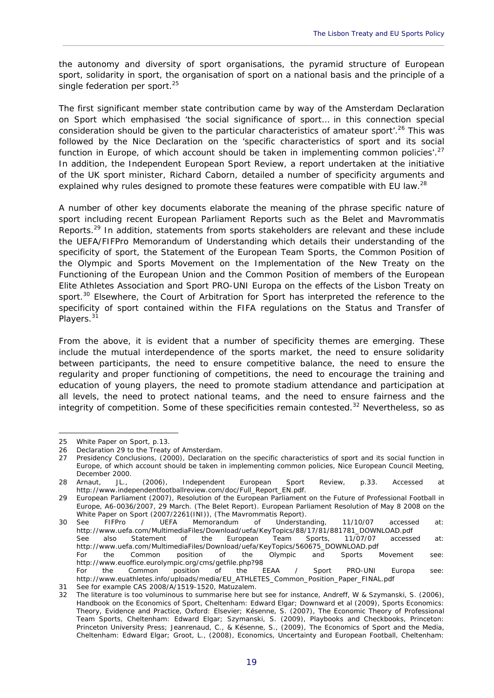the autonomy and diversity of sport organisations, the pyramid structure of European sport, solidarity in sport, the organisation of sport on a national basis and the principle of a single federation per sport.<sup>25</sup>

 $\_$  , and the set of the set of the set of the set of the set of the set of the set of the set of the set of the set of the set of the set of the set of the set of the set of the set of the set of the set of the set of th

The first significant member state contribution came by way of the Amsterdam Declaration on Sport which emphasised 'the social significance of sport… in this connection special consideration should be given to the particular characteristics of amateur sport'.<sup>26</sup> This was followed by the Nice Declaration on the 'specific characteristics of sport and its social function in Europe, of which account should be taken in implementing common policies'. $27$ In addition, the Independent European Sport Review, a report undertaken at the initiative of the UK sport minister, Richard Caborn, detailed a number of specificity arguments and explained why rules designed to promote these features were compatible with EU law.<sup>28</sup>

A number of other key documents elaborate the meaning of the phrase specific nature of sport including recent European Parliament Reports such as the Belet and Mavrommatis Reports.<sup>29</sup> In addition, statements from sports stakeholders are relevant and these include the UEFA/FIFPro Memorandum of Understanding which details their understanding of the specificity of sport, the Statement of the European Team Sports, the Common Position of the Olympic and Sports Movement on the Implementation of the New Treaty on the Functioning of the European Union and the Common Position of members of the European Elite Athletes Association and Sport PRO-UNI Europa on the effects of the Lisbon Treaty on sport.<sup>30</sup> Elsewhere, the Court of Arbitration for Sport has interpreted the reference to the specificity of sport contained within the FIFA regulations on the Status and Transfer of Players.<sup>31</sup>

From the above, it is evident that a number of specificity themes are emerging. These include the mutual interdependence of the sports market, the need to ensure solidarity between participants, the need to ensure competitive balance, the need to ensure the regularity and proper functioning of competitions, the need to encourage the training and education of young players, the need to promote stadium attendance and participation at all levels, the need to protect national teams, and the need to ensure fairness and the integrity of competition. Some of these specificities remain contested.<sup>32</sup> Nevertheless, so as

<sup>25</sup> White Paper on Sport, p.13.

<sup>26</sup> Declaration 29 to the Treaty of Amsterdam.

<sup>27</sup> Presidency Conclusions, (2000), Declaration on the specific characteristics of sport and its social function in Europe, of which account should be taken in implementing common policies, Nice European Council Meeting, December 2000.

<sup>28</sup> Arnaut, JL., (2006), Independent European Sport Review, p.33. Accessed at http://www.independentfootballreview.com/doc/Full\_Report\_EN.pdf.

<sup>29</sup> European Parliament (2007), Resolution of the European Parliament on the Future of Professional Football in Europe, A6-0036/2007, 29 March. (The Belet Report). European Parliament Resolution of May 8 2008 on the White Paper on Sport (2007/2261(INI)), (The Mavrommatis Report).

<sup>30</sup> See FIFPro / UEFA Memorandum of Understanding, 11/10/07 accessed at: http://www.uefa.com/MultimediaFiles/Download/uefa/KeyTopics/88/17/81/881781\_DOWNLOAD.pdf See also Statement of the European Team Sports, 11/07/07 accessed at: http://www.uefa.com/MultimediaFiles/Download/uefa/KeyTopics/560675\_DOWNLOAD.pdf<br>For the Common position of the Olympic and Sports For the Common position of the Olympic and Sports Movement see: http://www.euoffice.eurolympic.org/cms/getfile.php?98<br>For the Common position of the l For the Common position of the EEAA / Sport PRO-UNI Europa see: http://www.euathletes.info/uploads/media/EU\_ATHLETES\_Common\_Position\_Paper\_FINAL.pdf

<sup>31</sup> See for example CAS 2008/A/1519-1520, Matuzalem.

The literature is too voluminous to summarise here but see for instance, Andreff, W & Szymanski, S. (2006), Handbook on the Economics of Sport, Cheltenham: Edward Elgar; Downward et al (2009), Sports Economics: Theory, Evidence and Practice, Oxford: Elsevier; Késenne, S. (2007), The Economic Theory of Professional Team Sports, Cheltenham: Edward Elgar; Szymanski, S. (2009), Playbooks and Checkbooks, Princeton: Princeton University Press; Jeanrenaud, C., & Késenne, S., (2009), The Economics of Sport and the Media, Cheltenham: Edward Elgar; Groot, L., (2008), Economics, Uncertainty and European Football, Cheltenham: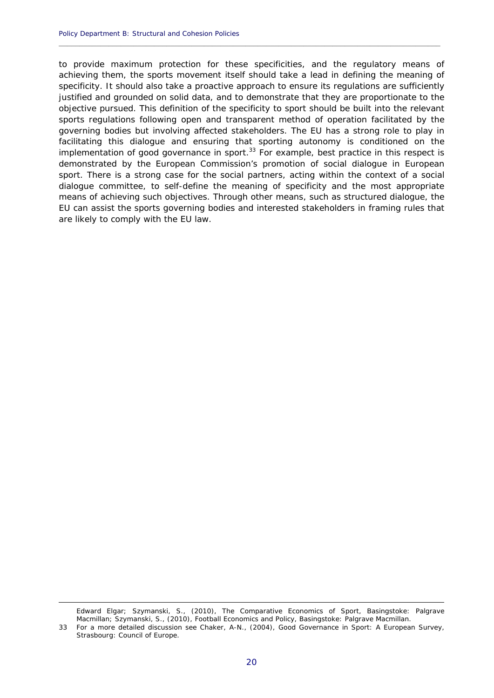to provide maximum protection for these specificities, and the regulatory means of achieving them, the sports movement itself should take a lead in defining the meaning of specificity. It should also take a proactive approach to ensure its regulations are sufficiently justified and grounded on solid data, and to demonstrate that they are proportionate to the objective pursued. This definition of the specificity to sport should be built into the relevant sports regulations following open and transparent method of operation facilitated by the governing bodies but involving affected stakeholders. The EU has a strong role to play in facilitating this dialogue and ensuring that sporting autonomy is conditioned on the implementation of good governance in sport. $33$  For example, best practice in this respect is demonstrated by the European Commission's promotion of social dialogue in European sport. There is a strong case for the social partners, acting within the context of a social dialogue committee, to self-define the meaning of specificity and the most appropriate means of achieving such objectives. Through other means, such as structured dialogue, the EU can assist the sports governing bodies and interested stakeholders in framing rules that are likely to comply with the EU law.

**\_\_\_\_\_\_\_\_\_\_\_\_\_\_\_\_\_\_\_\_\_\_\_\_\_\_\_\_\_\_\_\_\_\_\_\_\_\_\_\_\_\_\_\_\_\_\_\_\_\_\_\_\_\_\_\_\_\_\_\_\_\_\_\_\_\_\_\_\_\_\_\_\_\_\_\_\_\_\_\_\_\_\_\_\_\_\_\_\_\_\_\_**

Edward Elgar; Szymanski, S., (2010), The Comparative Economics of Sport, Basingstoke: Palgrave Macmillan; Szymanski, S., (2010), Football Economics and Policy, Basingstoke: Palgrave Macmillan.

<sup>33</sup> For a more detailed discussion see Chaker, A-N., (2004), Good Governance in Sport: A European Survey, Strasbourg: Council of Europe.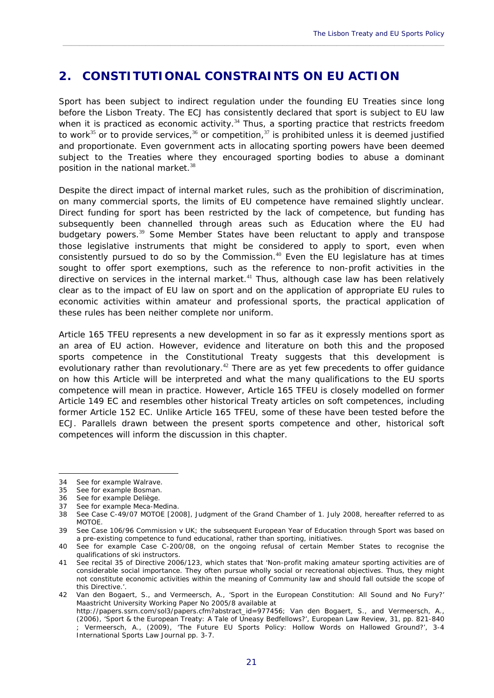## **2. CONSTITUTIONAL CONSTRAINTS ON EU ACTION**

Sport has been subject to indirect regulation under the founding EU Treaties since long before the Lisbon Treaty. The ECJ has consistently declared that sport is subject to EU law when it is practiced as economic activity.<sup>34</sup> Thus, a sporting practice that restricts freedom to work<sup>35</sup> or to provide services,<sup>36</sup> or competition,<sup>37</sup> is prohibited unless it is deemed justified and proportionate. Even government acts in allocating sporting powers have been deemed subject to the Treaties where they encouraged sporting bodies to abuse a dominant position in the national market.<sup>38</sup>

 $\_$  , and the set of the set of the set of the set of the set of the set of the set of the set of the set of the set of the set of the set of the set of the set of the set of the set of the set of the set of the set of th

Despite the direct impact of internal market rules, such as the prohibition of discrimination, on many commercial sports, the limits of EU competence have remained slightly unclear. Direct funding for sport has been restricted by the lack of competence, but funding has subsequently been channelled through areas such as Education where the EU had budgetary powers.<sup>39</sup> Some Member States have been reluctant to apply and transpose those legislative instruments that might be considered to apply to sport, even when consistently pursued to do so by the Commission. $40$  Even the EU legislature has at times sought to offer sport exemptions, such as the reference to non-profit activities in the directive on services in the internal market. $41$  Thus, although case law has been relatively clear as to the impact of EU law on sport and on the application of appropriate EU rules to economic activities within amateur and professional sports, the practical application of these rules has been neither complete nor uniform.

Article 165 TFEU represents a new development in so far as it expressly mentions sport as an area of EU action. However, evidence and literature on both this and the proposed sports competence in the Constitutional Treaty suggests that this development is evolutionary rather than revolutionary.<sup>42</sup> There are as yet few precedents to offer guidance on how this Article will be interpreted and what the many qualifications to the EU sports competence will mean in practice. However, Article 165 TFEU is closely modelled on former Article 149 EC and resembles other historical Treaty articles on soft competences, including former Article 152 EC. Unlike Article 165 TFEU, some of these have been tested before the ECJ. Parallels drawn between the present sports competence and other, historical soft competences will inform the discussion in this chapter.

1

International Sports Law Journal pp. 3-7.

<sup>34</sup> See for example Walrave.

<sup>35</sup> See for example Bosman.<br>36 See for example Deliège.

See for example Deliège.

<sup>37</sup> See for example Meca-Medina.

<sup>38</sup> See Case C-49/07 MOTOE [2008], Judgment of the Grand Chamber of 1. July 2008, hereafter referred to as **MOTOE** 

<sup>39</sup> See Case 106/96 Commission v UK; the subsequent European Year of Education through Sport was based on a pre-existing competence to fund educational, rather than sporting, initiatives.

<sup>40</sup> See for example Case C-200/08, on the ongoing refusal of certain Member States to recognise the qualifications of ski instructors.

<sup>41</sup> See recital 35 of Directive 2006/123, which states that 'Non-profit making amateur sporting activities are of considerable social importance. They often pursue wholly social or recreational objectives. Thus, they might not constitute economic activities within the meaning of Community law and should fall outside the scope of this Directive.'.

<sup>42</sup> Van den Bogaert, S., and Vermeersch, A., 'Sport in the European Constitution: All Sound and No Fury?' Maastricht University Working Paper No 2005/8 available at http://papers.ssrn.com/sol3/papers.cfm?abstract\_id=977456; Van den Bogaert, S., and Vermeersch, A., (2006), 'Sport & the European Treaty: A Tale of Uneasy Bedfellows?', European Law Review, 31, pp. 821-840 ; Vermeersch, A., (2009), 'The Future EU Sports Policy: Hollow Words on Hallowed Ground?', 3-4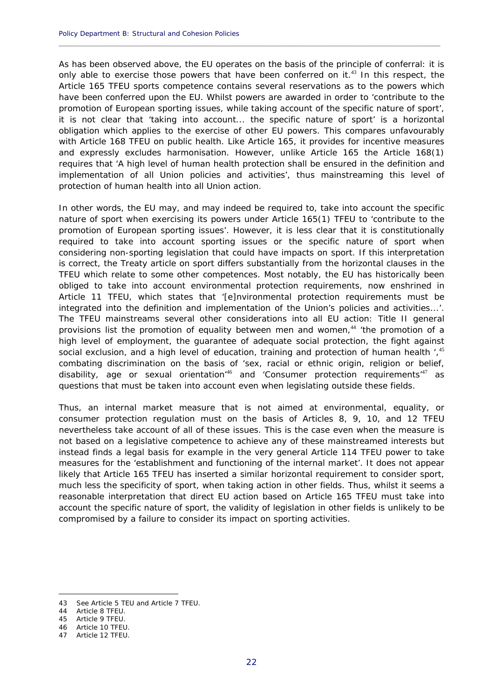As has been observed above, the EU operates on the basis of the principle of conferral: it is only able to exercise those powers that have been conferred on it.<sup>43</sup> In this respect, the Article 165 TFEU sports competence contains several reservations as to the powers which have been conferred upon the EU. Whilst powers are awarded in order to 'contribute to the promotion of European sporting issues, while taking account of the specific nature of sport', it is not clear that 'taking into account... the specific nature of sport' is a horizontal obligation which applies to the exercise of other EU powers. This compares unfavourably with Article 168 TFEU on public health. Like Article 165, it provides for incentive measures and expressly excludes harmonisation. However, unlike Article 165 the Article 168(1) requires that 'A high level of human health protection shall be ensured in the definition and implementation of all Union policies and activities', thus mainstreaming this level of protection of human health into all Union action.

**\_\_\_\_\_\_\_\_\_\_\_\_\_\_\_\_\_\_\_\_\_\_\_\_\_\_\_\_\_\_\_\_\_\_\_\_\_\_\_\_\_\_\_\_\_\_\_\_\_\_\_\_\_\_\_\_\_\_\_\_\_\_\_\_\_\_\_\_\_\_\_\_\_\_\_\_\_\_\_\_\_\_\_\_\_\_\_\_\_\_\_\_**

In other words, the EU may, and may indeed be required to, take into account the specific nature of sport when exercising its powers under Article 165(1) TFEU to 'contribute to the promotion of European sporting issues'. However, it is less clear that it is constitutionally required to take into account sporting issues or the specific nature of sport when considering non-sporting legislation that could have impacts on sport. If this interpretation is correct, the Treaty article on sport differs substantially from the horizontal clauses in the TFEU which relate to some other competences. Most notably, the EU has historically been obliged to take into account environmental protection requirements, now enshrined in Article 11 TFEU, which states that '[e]nvironmental protection requirements must be integrated into the definition and implementation of the Union's policies and activities...'. The TFEU mainstreams several other considerations into all EU action: Title II general provisions list the promotion of equality between men and women,<sup>44</sup> 'the promotion of a high level of employment, the guarantee of adequate social protection, the fight against social exclusion, and a high level of education, training and protection of human health  $\frac{45}{1}$ combating discrimination on the basis of 'sex, racial or ethnic origin, religion or belief, disability, age or sexual orientation<sup>46</sup> and 'Consumer protection requirements<sup> $47$ </sup> as questions that must be taken into account even when legislating outside these fields.

Thus, an internal market measure that is not aimed at environmental, equality, or consumer protection regulation must on the basis of Articles 8, 9, 10, and 12 TFEU nevertheless take account of all of these issues. This is the case even when the measure is not based on a legislative competence to achieve any of these mainstreamed interests but instead finds a legal basis for example in the very general Article 114 TFEU power to take measures for the 'establishment and functioning of the internal market'. It does not appear likely that Article 165 TFEU has inserted a similar horizontal requirement to consider sport, much less the specificity of sport, when taking action in other fields. Thus, whilst it seems a reasonable interpretation that direct EU action based on Article 165 TFEU must take into account the specific nature of sport, the validity of legislation in other fields is unlikely to be compromised by a failure to consider its impact on sporting activities.

<sup>43</sup> See Article 5 TEU and Article 7 TFEU.

<sup>44</sup> Article 8 TFEU.

<sup>45</sup> Article 9 TFEU.

<sup>46</sup> Article 10 TFEU.

<sup>47</sup> Article 12 TFEU.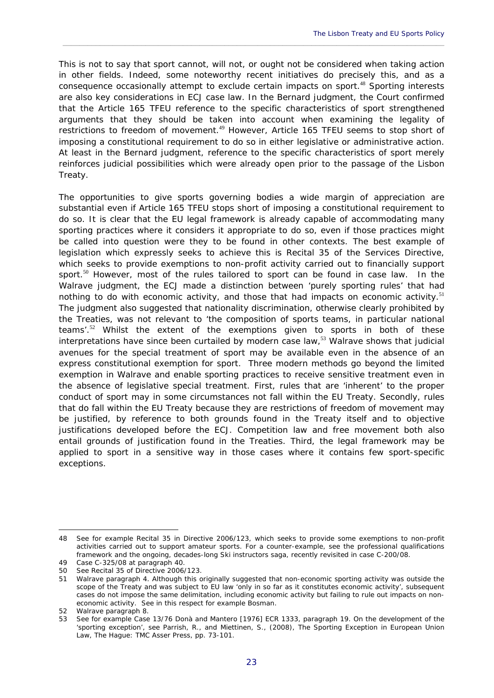This is not to say that sport cannot, will not, or ought not be considered when taking action in other fields. Indeed, some noteworthy recent initiatives do precisely this, and as a consequence occasionally attempt to exclude certain impacts on sport.<sup>48</sup> Sporting interests are also key considerations in ECJ case law. In the *Bernard* judgment, the Court confirmed that the Article 165 TFEU reference to the specific characteristics of sport strengthened arguments that they should be taken into account when examining the legality of restrictions to freedom of movement.<sup>49</sup> However, Article 165 TFEU seems to stop short of imposing a constitutional requirement to do so in either legislative or administrative action. At least in the *Bernard* judgment, reference to the specific characteristics of sport merely reinforces judicial possibilities which were already open prior to the passage of the Lisbon Treaty.

 $\_$  , and the set of the set of the set of the set of the set of the set of the set of the set of the set of the set of the set of the set of the set of the set of the set of the set of the set of the set of the set of th

The opportunities to give sports governing bodies a wide margin of appreciation are substantial even if Article 165 TFEU stops short of imposing a constitutional requirement to do so. It is clear that the EU legal framework is already capable of accommodating many sporting practices where it considers it appropriate to do so, even if those practices might be called into question were they to be found in other contexts. The best example of legislation which expressly seeks to achieve this is Recital 35 of the Services Directive, which seeks to provide exemptions to non-profit activity carried out to financially support sport. $50$  However, most of the rules tailored to sport can be found in case law. In the *Walrave* judgment, the ECJ made a distinction between 'purely sporting rules' that had nothing to do with economic activity, and those that had impacts on economic activity.<sup>51</sup> The judgment also suggested that nationality discrimination, otherwise clearly prohibited by the Treaties, was not relevant to 'the composition of sports teams, in particular national teams'.<sup>52</sup> Whilst the extent of the exemptions given to sports in both of these interpretations have since been curtailed by modern case law,<sup>53</sup> *Walrave* shows that judicial avenues for the special treatment of sport may be available even in the absence of an express constitutional exemption for sport. Three modern methods go beyond the limited exemption in *Walrave* and enable sporting practices to receive sensitive treatment even in the absence of legislative special treatment. First, rules that are 'inherent' to the proper conduct of sport may in some circumstances not fall within the EU Treaty. Secondly, rules that do fall within the EU Treaty because they are restrictions of freedom of movement may be justified, by reference to both grounds found in the Treaty itself and to objective justifications developed before the ECJ. Competition law and free movement both also entail grounds of justification found in the Treaties. Third, the legal framework may be applied to sport in a sensitive way in those cases where it contains few sport-specific exceptions.

<sup>1</sup> 48 See for example Recital 35 in Directive 2006/123, which seeks to provide some exemptions to non-profit activities carried out to support amateur sports. For a counter-example, see the professional qualifications framework and the ongoing, decades-long Ski instructors saga, recently revisited in case C-200/08.

<sup>49</sup> Case C-325/08 at paragraph 40.

<sup>50</sup> See Recital 35 of Directive 2006/123.

<sup>51</sup> Walrave paragraph 4. Although this originally suggested that non-economic sporting activity was outside the scope of the Treaty and was subject to EU law 'only in so far as it constitutes economic activity', subsequent cases do not impose the same delimitation, including economic activity but failing to rule out impacts on noneconomic activity. See in this respect for example Bosman.

<sup>52</sup> Walrave paragraph 8.

<sup>53</sup> See for example Case 13/76 Donà and Mantero [1976] ECR 1333, paragraph 19. On the development of the 'sporting exception', see Parrish, R., and Miettinen, S., (2008), The Sporting Exception in European Union Law, The Hague: TMC Asser Press, pp. 73-101.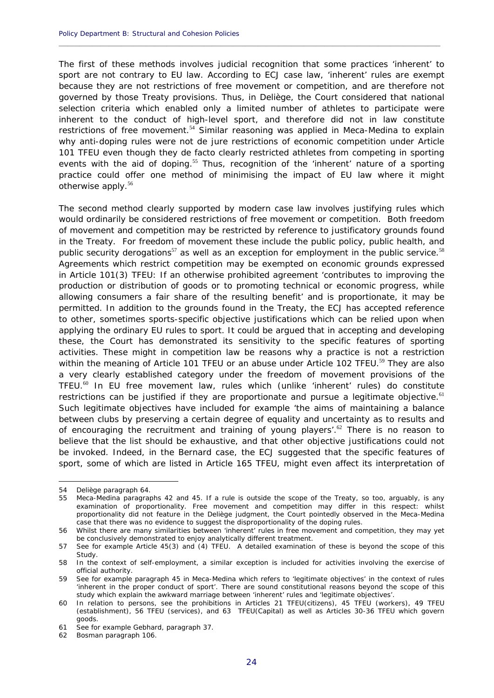The first of these methods involves judicial recognition that some practices 'inherent' to sport are not contrary to EU law. According to ECJ case law, 'inherent' rules are exempt because they are not restrictions of free movement or competition, and are therefore not governed by those Treaty provisions. Thus, in *Deliège*, the Court considered that national selection criteria which enabled only a limited number of athletes to participate were inherent to the conduct of high-level sport, and therefore did not in law constitute restrictions of free movement.<sup>54</sup> Similar reasoning was applied in *Meca-Medina* to explain why anti-doping rules were not *de jure* restrictions of economic competition under Article 101 TFEU even though they *de facto* clearly restricted athletes from competing in sporting events with the aid of doping.<sup>55</sup> Thus, recognition of the 'inherent' nature of a sporting practice could offer one method of minimising the impact of EU law where it might otherwise apply.<sup>56</sup>

**\_\_\_\_\_\_\_\_\_\_\_\_\_\_\_\_\_\_\_\_\_\_\_\_\_\_\_\_\_\_\_\_\_\_\_\_\_\_\_\_\_\_\_\_\_\_\_\_\_\_\_\_\_\_\_\_\_\_\_\_\_\_\_\_\_\_\_\_\_\_\_\_\_\_\_\_\_\_\_\_\_\_\_\_\_\_\_\_\_\_\_\_**

The second method clearly supported by modern case law involves justifying rules which would ordinarily be considered restrictions of free movement or competition. Both freedom of movement and competition may be restricted by reference to justificatory grounds found in the Treaty. For freedom of movement these include the public policy, public health, and public security derogations $57$  as well as an exception for employment in the public service. $58$ Agreements which restrict competition may be exempted on economic grounds expressed in Article 101(3) TFEU: If an otherwise prohibited agreement 'contributes to improving the production or distribution of goods or to promoting technical or economic progress, while allowing consumers a fair share of the resulting benefit' and is proportionate, it may be permitted. In addition to the grounds found in the Treaty, the ECJ has accepted reference to other, sometimes sports-specific objective justifications which can be relied upon when applying the ordinary EU rules to sport. It could be argued that in accepting and developing these, the Court has demonstrated its sensitivity to the specific features of sporting activities. These might in competition law be reasons why a practice is not a restriction within the meaning of Article 101 TFEU or an abuse under Article 102 TFEU.<sup>59</sup> They are also a very clearly established category under the freedom of movement provisions of the TFEU.<sup>60</sup> In EU free movement law, rules which (unlike 'inherent' rules) do constitute restrictions can be justified if they are proportionate and pursue a legitimate objective. $61$ Such legitimate objectives have included for example 'the aims of maintaining a balance between clubs by preserving a certain degree of equality and uncertainty as to results and of encouraging the recruitment and training of young players'.<sup>62</sup> There is no reason to believe that the list should be exhaustive, and that other objective justifications could not be invoked. Indeed, in the *Bernard* case, the ECJ suggested that the specific features of sport, some of which are listed in Article 165 TFEU, might even affect its interpretation of

<sup>54</sup> Deliège paragraph 64.

<sup>55</sup> Meca-Medina paragraphs 42 and 45. If a rule is outside the scope of the Treaty, so too, arguably, is any examination of proportionality. Free movement and competition may differ in this respect: whilst proportionality did not feature in the Deliège judgment, the Court pointedly observed in the Meca-Medina case that there was no evidence to suggest the disproportionality of the doping rules.

<sup>56</sup> Whilst there are many similarities between 'inherent' rules in free movement and competition, they may yet be conclusively demonstrated to enjoy analytically different treatment.

<sup>57</sup> See for example Article 45(3) and (4) TFEU. A detailed examination of these is beyond the scope of this Study.

<sup>58</sup> In the context of self-employment, a similar exception is included for activities involving the exercise of official authority.

<sup>59</sup> See for example paragraph 45 in Meca-Medina which refers to 'legitimate objectives' in the context of rules 'inherent in the proper conduct of sport'. There are sound constitutional reasons beyond the scope of this study which explain the awkward marriage between 'inherent' rules and 'legitimate objectives'.

<sup>60</sup> In relation to persons, see the prohibitions in Articles 21 TFEU(citizens), 45 TFEU (workers), 49 TFEU (establishment), 56 TFEU (services), and 63 TFEU(Capital) as well as Articles 30-36 TFEU which govern goods.

<sup>61</sup> See for example Gebhard, paragraph 37.

<sup>62</sup> Bosman paragraph 106.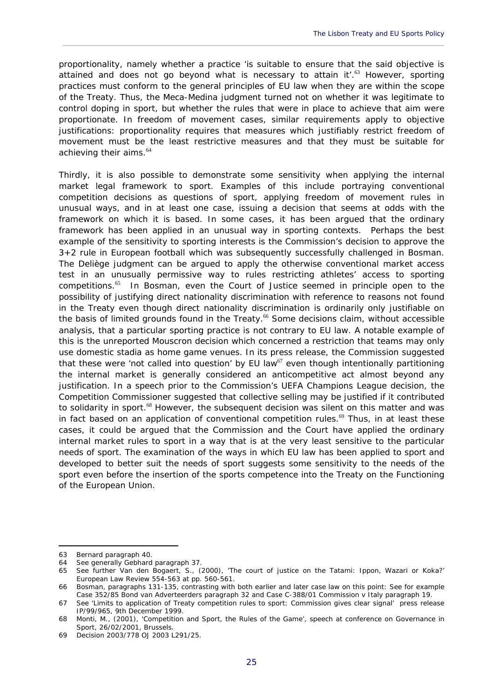proportionality, namely whether a practice 'is suitable to ensure that the said objective is attained and does not go beyond what is necessary to attain it<sup>'.63</sup> However, sporting practices must conform to the general principles of EU law when they are within the scope of the Treaty. Thus, the *Meca-Medina* judgment turned not on whether it was legitimate to control doping in sport, but whether the rules that were in place to achieve that aim were proportionate. In freedom of movement cases, similar requirements apply to objective justifications: proportionality requires that measures which justifiably restrict freedom of movement must be the least restrictive measures and that they must be suitable for achieving their aims.<sup>64</sup>

 $\_$  , and the set of the set of the set of the set of the set of the set of the set of the set of the set of the set of the set of the set of the set of the set of the set of the set of the set of the set of the set of th

Thirdly, it is also possible to demonstrate some sensitivity when applying the internal market legal framework to sport. Examples of this include portraying conventional competition decisions as questions of sport, applying freedom of movement rules in unusual ways, and in at least one case, issuing a decision that seems at odds with the framework on which it is based. In some cases, it has been argued that the ordinary framework has been applied in an unusual way in sporting contexts. Perhaps the best example of the sensitivity to sporting interests is the Commission's decision to approve the 3+2 rule in European football which was subsequently successfully challenged in *Bosman*. The *Deliège* judgment can be argued to apply the otherwise conventional market access test in an unusually permissive way to rules restricting athletes' access to sporting competitions.<sup>65</sup> In *Bosman,* even the Court of Justice seemed in principle open to the possibility of justifying direct nationality discrimination with reference to reasons not found in the Treaty even though direct nationality discrimination is ordinarily only justifiable on the basis of limited grounds found in the Treaty.<sup>66</sup> Some decisions claim, without accessible analysis, that a particular sporting practice is not contrary to EU law. A notable example of this is the unreported *Mouscron* decision which concerned a restriction that teams may only use domestic stadia as home game venues. In its press release, the Commission suggested that these were 'not called into question' by EU law $67$  even though intentionally partitioning the internal market is generally considered an anticompetitive act almost beyond any justification. In a speech prior to the Commission's *UEFA Champions League* decision, the Competition Commissioner suggested that collective selling may be justified if it contributed to solidarity in sport.<sup>68</sup> However, the subsequent decision was silent on this matter and was in fact based on an application of conventional competition rules.<sup>69</sup> Thus, in at least these cases, it could be argued that the Commission and the Court have applied the ordinary internal market rules to sport in a way that is at the very least sensitive to the particular needs of sport. The examination of the ways in which EU law has been applied to sport and developed to better suit the needs of sport suggests some sensitivity to the needs of the sport even before the insertion of the sports competence into the Treaty on the Functioning of the European Union.

<u>.</u>

<sup>63</sup> Bernard paragraph 40.

<sup>64</sup> See generally Gebhard paragraph 37.

<sup>65</sup> See further Van den Bogaert, S., (2000), 'The court of justice on the Tatami: Ippon, Wazari or Koka?' European Law Review 554-563 at pp. 560-561.

<sup>66</sup> Bosman, paragraphs 131-135, contrasting with both earlier and later case law on this point: See for example Case 352/85 Bond van Adverteerders paragraph 32 and Case C-388/01 Commission v Italy paragraph 19.

<sup>67</sup> See 'Limits to application of Treaty competition rules to sport: Commission gives clear signal' press release IP/99/965, 9th December 1999.

<sup>68</sup> Monti, M., (2001), 'Competition and Sport, the Rules of the Game', speech at conference on Governance in Sport, 26/02/2001, Brussels.

<sup>69</sup> Decision 2003/778 OJ 2003 L291/25.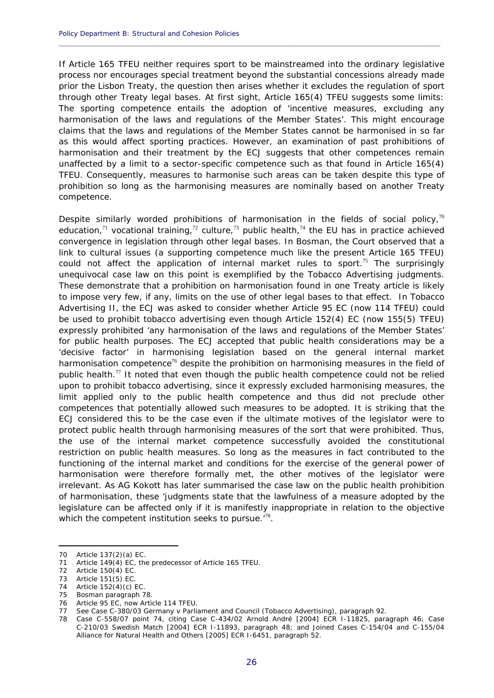If Article 165 TFEU neither requires sport to be mainstreamed into the ordinary legislative process nor encourages special treatment beyond the substantial concessions already made prior the Lisbon Treaty, the question then arises whether it excludes the regulation of sport through other Treaty legal bases. At first sight, Article 165(4) TFEU suggests some limits: The sporting competence entails the adoption of 'incentive measures, excluding any harmonisation of the laws and regulations of the Member States'. This might encourage claims that the laws and regulations of the Member States cannot be harmonised in so far as this would affect sporting practices. However, an examination of past prohibitions of harmonisation and their treatment by the ECJ suggests that other competences remain unaffected by a limit to a sector-specific competence such as that found in Article 165(4) TFEU. Consequently, measures to harmonise such areas can be taken despite this type of prohibition so long as the harmonising measures are nominally based on another Treaty competence.

**\_\_\_\_\_\_\_\_\_\_\_\_\_\_\_\_\_\_\_\_\_\_\_\_\_\_\_\_\_\_\_\_\_\_\_\_\_\_\_\_\_\_\_\_\_\_\_\_\_\_\_\_\_\_\_\_\_\_\_\_\_\_\_\_\_\_\_\_\_\_\_\_\_\_\_\_\_\_\_\_\_\_\_\_\_\_\_\_\_\_\_\_**

Despite similarly worded prohibitions of harmonisation in the fields of social policy.<sup>70</sup> education,<sup>71</sup> vocational training,<sup>72</sup> culture,<sup>73</sup> public health,<sup>74</sup> the EU has in practice achieved convergence in legislation through other legal bases. In *Bosman,* the Court observed that a link to cultural issues (a supporting competence much like the present Article 165 TFEU) could not affect the application of internal market rules to sport.<sup>75</sup> The surprisingly unequivocal case law on this point is exemplified by the *Tobacco Advertising* judgments. These demonstrate that a prohibition on harmonisation found in one Treaty article is likely to impose very few, if any, limits on the use of other legal bases to that effect. In *Tobacco Advertising II*, the ECJ was asked to consider whether Article 95 EC (now 114 TFEU) could be used to prohibit tobacco advertising even though Article 152(4) EC (now 155(5) TFEU) expressly prohibited 'any harmonisation of the laws and regulations of the Member States' for public health purposes. The ECJ accepted that public health considerations may be a 'decisive factor' in harmonising legislation based on the general internal market harmonisation competence<sup>76</sup> despite the prohibition on harmonising measures in the field of public health. $\frac{77}{11}$  It noted that even though the public health competence could not be relied upon to prohibit tobacco advertising, since it expressly excluded harmonising measures, the limit applied only to the public health competence and thus did not preclude other competences that potentially allowed such measures to be adopted. It is striking that the ECJ considered this to be the case even if the ultimate motives of the legislator were to protect public health through harmonising measures of the sort that were prohibited. Thus, the use of the internal market competence successfully avoided the constitutional restriction on public health measures. So long as the measures in fact contributed to the functioning of the internal market and conditions for the exercise of the general power of harmonisation were therefore formally met, the other motives of the legislator were irrelevant. As AG Kokott has later summarised the case law on the public health prohibition of harmonisation, these 'judgments state that the lawfulness of a measure adopted by the legislature can be affected only if it is manifestly inappropriate in relation to the objective which the competent institution seeks to pursue.<sup>78</sup>.

<u>.</u>

75 Bosman paragraph 78. 76 Article 95 EC, now Article 114 TFEU.

<sup>70</sup> Article 137(2)(a) EC.

<sup>71</sup> Article 149(4) EC, the predecessor of Article 165 TFEU.

<sup>72</sup> Article 150(4) EC.

<sup>73</sup> Article 151(5) EC.

<sup>74</sup> Article 152(4)(c) EC.

<sup>77</sup> See Case C-380/03 Germany v Parliament and Council (Tobacco Advertising), paragraph 92.

<sup>78</sup> Case C-558/07 point 74, citing Case C-434/02 Arnold André [2004] ECR I-11825, paragraph 46; Case C-210/03 Swedish Match [2004] ECR I-11893, paragraph 48; and Joined Cases C-154/04 and C-155/04 Alliance for Natural Health and Others [2005] ECR I-6451, paragraph 52.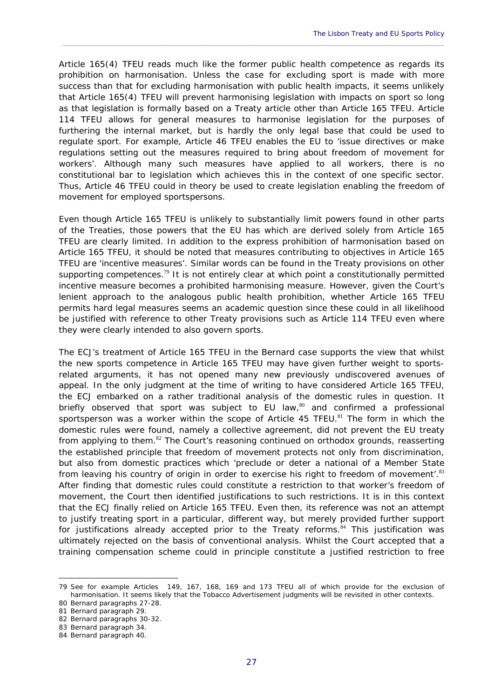Article 165(4) TFEU reads much like the former public health competence as regards its prohibition on harmonisation. Unless the case for excluding sport is made with more success than that for excluding harmonisation with public health impacts, it seems unlikely that Article 165(4) TFEU will prevent harmonising legislation with impacts on sport so long as that legislation is formally based on a Treaty article other than Article 165 TFEU. Article 114 TFEU allows for general measures to harmonise legislation for the purposes of furthering the internal market, but is hardly the only legal base that could be used to regulate sport. For example, Article 46 TFEU enables the EU to 'issue directives or make regulations setting out the measures required to bring about freedom of movement for workers'. Although many such measures have applied to all workers, there is no constitutional bar to legislation which achieves this in the context of one specific sector. Thus, Article 46 TFEU could in theory be used to create legislation enabling the freedom of movement for employed sportspersons.

 $\_$  , and the set of the set of the set of the set of the set of the set of the set of the set of the set of the set of the set of the set of the set of the set of the set of the set of the set of the set of the set of th

Even though Article 165 TFEU is unlikely to substantially limit powers found in other parts of the Treaties, those powers that the EU has which are derived solely from Article 165 TFEU are clearly limited. In addition to the express prohibition of harmonisation based on Article 165 TFEU, it should be noted that measures contributing to objectives in Article 165 TFEU are '*incentive measures'.* Similar words can be found in the Treaty provisions on other supporting competences.<sup>79</sup> It is not entirely clear at which point a constitutionally permitted incentive measure becomes a prohibited harmonising measure. However, given the Court's lenient approach to the analogous public health prohibition, whether Article 165 TFEU permits hard legal measures seems an academic question since these could in all likelihood be justified with reference to other Treaty provisions such as Article 114 TFEU even where they were clearly intended to also govern sports.

The ECJ's treatment of Article 165 TFEU in the *Bernard* case supports the view that whilst the new sports competence in Article 165 TFEU may have given further weight to sportsrelated arguments, it has not opened many new previously undiscovered avenues of appeal. In the only judgment at the time of writing to have considered Article 165 TFEU, the ECJ embarked on a rather traditional analysis of the domestic rules in question. It briefly observed that sport was subject to EU law, $80$  and confirmed a professional sportsperson was a worker within the scope of Article 45 TFEU.<sup>81</sup> The form in which the domestic rules were found, namely a collective agreement, did not prevent the EU treaty from applying to them.<sup>82</sup> The Court's reasoning continued on orthodox grounds, reasserting the established principle that freedom of movement protects not only from discrimination, but also from domestic practices which 'preclude or deter a national of a Member State from leaving his country of origin in order to exercise his right to freedom of movement'.<sup>83</sup> After finding that domestic rules could constitute a restriction to that worker's freedom of movement, the Court then identified justifications to such restrictions. It is in this context that the ECJ finally relied on Article 165 TFEU. Even then, its reference was not an attempt to justify treating sport in a particular, different way, but merely provided further support for justifications already accepted prior to the Treaty reforms. $84$  This justification was ultimately rejected on the basis of conventional analysis. Whilst the Court accepted that a training compensation scheme could in principle constitute a justified restriction to free

<sup>79</sup> See for example Articles 149, 167, 168, 169 and 173 TFEU all of which provide for the exclusion of harmonisation. It seems likely that the Tobacco Advertisement judgments will be revisited in other contexts.

<sup>80</sup> Bernard paragraphs 27-28. 81 Bernard paragraph 29.

<sup>82</sup> Bernard paragraphs 30-32.

<sup>83</sup> Bernard paragraph 34.

<sup>84</sup> Bernard paragraph 40.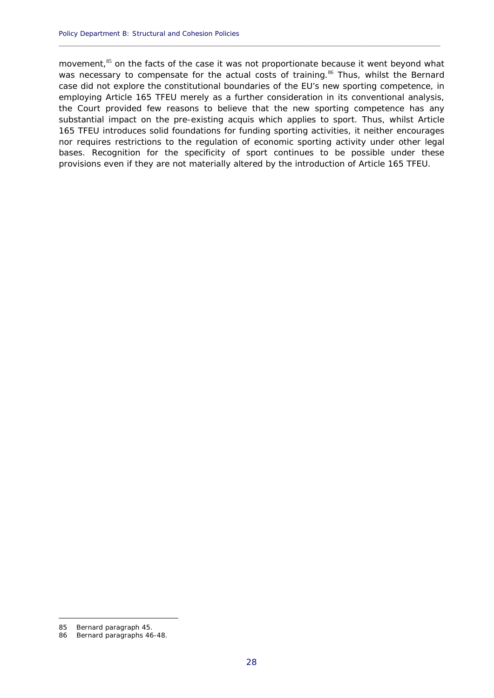movement,<sup>85</sup> on the facts of the case it was not proportionate because it went beyond what was necessary to compensate for the actual costs of training.<sup>86</sup> Thus, whilst the *Bernard* case did not explore the constitutional boundaries of the EU's new sporting competence, in employing Article 165 TFEU merely as a further consideration in its conventional analysis, the Court provided few reasons to believe that the new sporting competence has any substantial impact on the pre-existing *acquis* which applies to sport. Thus, whilst Article 165 TFEU introduces solid foundations for funding sporting activities, it neither encourages nor requires restrictions to the regulation of economic sporting activity under other legal bases. Recognition for the specificity of sport continues to be possible under these provisions even if they are not materially altered by the introduction of Article 165 TFEU.

**\_\_\_\_\_\_\_\_\_\_\_\_\_\_\_\_\_\_\_\_\_\_\_\_\_\_\_\_\_\_\_\_\_\_\_\_\_\_\_\_\_\_\_\_\_\_\_\_\_\_\_\_\_\_\_\_\_\_\_\_\_\_\_\_\_\_\_\_\_\_\_\_\_\_\_\_\_\_\_\_\_\_\_\_\_\_\_\_\_\_\_\_**

<sup>85</sup> Bernard paragraph 45.

<sup>86</sup> Bernard paragraphs 46-48.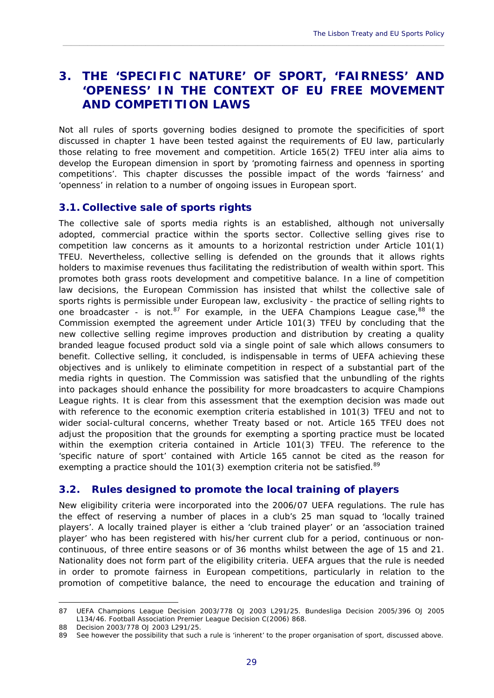## **3. THE 'SPECIFIC NATURE' OF SPORT, 'FAIRNESS' AND 'OPENESS' IN THE CONTEXT OF EU FREE MOVEMENT AND COMPETITION LAWS**

 $\_$  , and the set of the set of the set of the set of the set of the set of the set of the set of the set of the set of the set of the set of the set of the set of the set of the set of the set of the set of the set of th

Not all rules of sports governing bodies designed to promote the specificities of sport discussed in chapter 1 have been tested against the requirements of EU law, particularly those relating to free movement and competition. Article 165(2) TFEU *inter alia* aims to develop the European dimension in sport by '*promoting fairness and openness in sporting competitions'*. This chapter discusses the possible impact of the words *'fairness'* and *'openness'* in relation to a number of ongoing issues in European sport.

#### **3.1. Collective sale of sports rights**

The collective sale of sports media rights is an established, although not universally adopted, commercial practice within the sports sector. Collective selling gives rise to competition law concerns as it amounts to a horizontal restriction under Article 101(1) TFEU. Nevertheless, collective selling is defended on the grounds that it allows rights holders to maximise revenues thus facilitating the redistribution of wealth within sport. This promotes both grass roots development and competitive balance. In a line of competition law decisions, the European Commission has insisted that whilst the collective sale of sports rights is permissible under European law, exclusivity - the practice of selling rights to one broadcaster - is not.<sup>87</sup> For example, in the UEFA Champions League case,  $88$  the Commission exempted the agreement under Article 101(3) TFEU by concluding that the new collective selling regime improves production and distribution by creating a quality branded league focused product sold via a single point of sale which allows consumers to benefit. Collective selling, it concluded, is indispensable in terms of UEFA achieving these objectives and is unlikely to eliminate competition in respect of a substantial part of the media rights in question. The Commission was satisfied that the unbundling of the rights into packages should enhance the possibility for more broadcasters to acquire Champions League rights. It is clear from this assessment that the exemption decision was made out with reference to the economic exemption criteria established in 101(3) TFEU and not to wider social-cultural concerns, whether Treaty based or not. Article 165 TFEU does not adjust the proposition that the grounds for exempting a sporting practice must be located within the exemption criteria contained in Article 101(3) TFEU. The reference to the 'specific nature of sport' contained with Article 165 cannot be cited as the reason for exempting a practice should the  $101(3)$  exemption criteria not be satisfied.<sup>89</sup>

#### **3.2. Rules designed to promote the local training of players**

New eligibility criteria were incorporated into the 2006/07 UEFA regulations. The rule has the effect of reserving a number of places in a club's 25 man squad to 'locally trained players'. A locally trained player is either a 'club trained player' or an 'association trained player' who has been registered with his/her current club for a period, continuous or noncontinuous, of three entire seasons or of 36 months whilst between the age of 15 and 21. Nationality does not form part of the eligibility criteria. UEFA argues that the rule is needed in order to promote fairness in European competitions, particularly in relation to the promotion of competitive balance, the need to encourage the education and training of

<sup>1</sup> 87 UEFA Champions League Decision 2003/778 OJ 2003 L291/25. Bundesliga Decision 2005/396 OJ 2005 L134/46. Football Association Premier League Decision C(2006) 868.

<sup>88</sup> Decision 2003/778 OJ 2003 L291/25.

<sup>89</sup> See however the possibility that such a rule is 'inherent' to the proper organisation of sport, discussed above.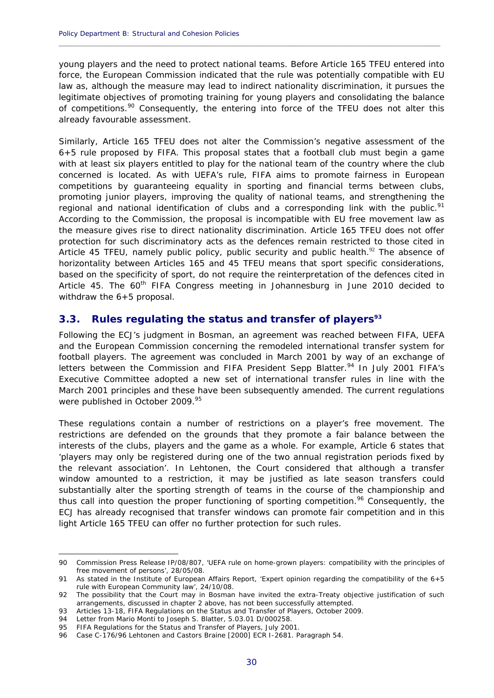young players and the need to protect national teams. Before Article 165 TFEU entered into force, the European Commission indicated that the rule was potentially compatible with EU law as, although the measure may lead to indirect nationality discrimination, it pursues the legitimate objectives of promoting training for young players and consolidating the balance of competitions.<sup>90</sup> Consequently, the entering into force of the TFEU does not alter this already favourable assessment.

**\_\_\_\_\_\_\_\_\_\_\_\_\_\_\_\_\_\_\_\_\_\_\_\_\_\_\_\_\_\_\_\_\_\_\_\_\_\_\_\_\_\_\_\_\_\_\_\_\_\_\_\_\_\_\_\_\_\_\_\_\_\_\_\_\_\_\_\_\_\_\_\_\_\_\_\_\_\_\_\_\_\_\_\_\_\_\_\_\_\_\_\_**

Similarly, Article 165 TFEU does not alter the Commission's negative assessment of the 6+5 rule proposed by FIFA. This proposal states that a football club must begin a game with at least six players entitled to play for the national team of the country where the club concerned is located. As with UEFA's rule, FIFA aims to promote fairness in European competitions by guaranteeing equality in sporting and financial terms between clubs, promoting junior players, improving the quality of national teams, and strengthening the regional and national identification of clubs and a corresponding link with the public.<sup>91</sup> According to the Commission, the proposal is incompatible with EU free movement law as the measure gives rise to direct nationality discrimination. Article 165 TFEU does not offer protection for such discriminatory acts as the defences remain restricted to those cited in Article 45 TFEU, namely public policy, public security and public health. $92$  The absence of horizontality between Articles 165 and 45 TFEU means that sport specific considerations, based on the specificity of sport, do not require the reinterpretation of the defences cited in Article 45. The 60<sup>th</sup> FIFA Congress meeting in Johannesburg in June 2010 decided to withdraw the 6+5 proposal.

#### **3.3. Rules regulating the status and transfer of players***<sup>93</sup>*

Following the ECJ's judgment in *Bosman*, an agreement was reached between FIFA, UEFA and the European Commission concerning the remodeled international transfer system for football players. The agreement was concluded in March 2001 by way of an exchange of letters between the Commission and FIFA President Sepp Blatter.<sup>94</sup> In July 2001 FIFA's Executive Committee adopted a new set of international transfer rules in line with the March 2001 principles and these have been subsequently amended. The current regulations were published in October 2009.<sup>95</sup>

These regulations contain a number of restrictions on a player's free movement. The restrictions are defended on the grounds that they promote a fair balance between the interests of the clubs, players and the game as a whole. For example, Article 6 states that 'players may only be registered during one of the two annual registration periods fixed by the relevant association'. In *Lehtonen*, the Court considered that although a transfer window amounted to a restriction, it may be justified as late season transfers could substantially alter the sporting strength of teams in the course of the championship and thus call into question the proper functioning of sporting competition.<sup>96</sup> Consequently, the ECJ has already recognised that transfer windows can promote fair competition and in this light Article 165 TFEU can offer no further protection for such rules.

<u>.</u>

<sup>90</sup> Commission Press Release IP/08/807, 'UEFA rule on home-grown players: compatibility with the principles of free movement of persons', 28/05/08.

<sup>91</sup> As stated in the Institute of European Affairs Report, 'Expert opinion regarding the compatibility of the 6+5 rule with European Community law', 24/10/08.

<sup>92</sup> The possibility that the Court may in Bosman have invited the extra-Treaty objective justification of such arrangements, discussed in chapter 2 above, has not been successfully attempted.

<sup>93</sup> Articles 13-18, FIFA Regulations on the Status and Transfer of Players, October 2009.

<sup>94</sup> Letter from Mario Monti to Joseph S. Blatter, 5.03.01 D/000258.

<sup>95</sup> FIFA Regulations for the Status and Transfer of Players, July 2001.

<sup>96</sup> Case C-176/96 Lehtonen and Castors Braine [2000] ECR I-2681. Paragraph 54.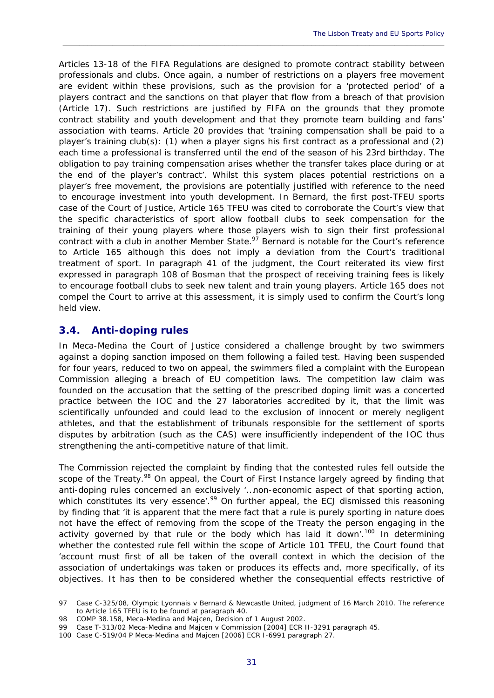Articles 13-18 of the FIFA Regulations are designed to promote contract stability between professionals and clubs. Once again, a number of restrictions on a players free movement are evident within these provisions, such as the provision for a 'protected period' of a players contract and the sanctions on that player that flow from a breach of that provision (Article 17). Such restrictions are justified by FIFA on the grounds that they promote contract stability and youth development and that they promote team building and fans' association with teams. Article 20 provides that 'training compensation shall be paid to a player's training club(s): (1) when a player signs his first contract as a professional and (2) each time a professional is transferred until the end of the season of his 23rd birthday. The obligation to pay training compensation arises whether the transfer takes place during *or at the end of the player's contract'*. Whilst this system places potential restrictions on a player's free movement, the provisions are potentially justified with reference to the need to encourage investment into youth development. In *Bernard*, the first post-TFEU sports case of the Court of Justice, Article 165 TFEU was cited to corroborate the Court's view that the specific characteristics of sport allow football clubs to seek compensation for the training of their young players where those players wish to sign their first professional contract with a club in another Member State.<sup>97</sup> *Bernard* is notable for the Court's reference to Article 165 although this does not imply a deviation from the Court's traditional treatment of sport. In paragraph 41 of the judgment, the Court reiterated its view first expressed in paragraph 108 of *Bosman* that the prospect of receiving training fees is likely to encourage football clubs to seek new talent and train young players. Article 165 does not compel the Court to arrive at this assessment, it is simply used to confirm the Court's long held view.

 $\_$  , and the set of the set of the set of the set of the set of the set of the set of the set of the set of the set of the set of the set of the set of the set of the set of the set of the set of the set of the set of th

#### **3.4. Anti-doping rules**

1

In *Meca-Medina* the Court of Justice considered a challenge brought by two swimmers against a doping sanction imposed on them following a failed test. Having been suspended for four years, reduced to two on appeal, the swimmers filed a complaint with the European Commission alleging a breach of EU competition laws. The competition law claim was founded on the accusation that the setting of the prescribed doping limit was a concerted practice between the IOC and the 27 laboratories accredited by it, that the limit was scientifically unfounded and could lead to the exclusion of innocent or merely negligent athletes, and that the establishment of tribunals responsible for the settlement of sports disputes by arbitration (such as the CAS) were insufficiently independent of the IOC thus strengthening the anti-competitive nature of that limit.

The Commission rejected the complaint by finding that the contested rules fell outside the scope of the Treaty.<sup>98</sup> On appeal, the Court of First Instance largely agreed by finding that anti-doping rules concerned an exclusively '…non-economic aspect of that sporting action, which constitutes its very essence'.<sup>99</sup> On further appeal, the ECJ dismissed this reasoning by finding that 'it is apparent that the mere fact that a rule is purely sporting in nature does not have the effect of removing from the scope of the Treaty the person engaging in the activity governed by that rule or the body which has laid it down'.<sup>100</sup> In determining whether the contested rule fell within the scope of Article 101 TFEU, the Court found that 'account must first of all be taken of the overall context in which the decision of the association of undertakings was taken or produces its effects and, more specifically, of its objectives. It has then to be considered whether the consequential effects restrictive of

<sup>97</sup> Case C-325/08, Olympic Lyonnais v Bernard & Newcastle United, judgment of 16 March 2010. The reference to Article 165 TFEU is to be found at paragraph 40.

<sup>98</sup> COMP 38.158, Meca-Medina and Majcen, Decision of 1 August 2002.

<sup>99</sup> Case T-313/02 Meca-Medina and Majcen v Commission [2004] ECR II-3291 paragraph 45.

<sup>100</sup> Case C-519/04 P Meca-Medina and Majcen [2006] ECR I-6991 paragraph 27.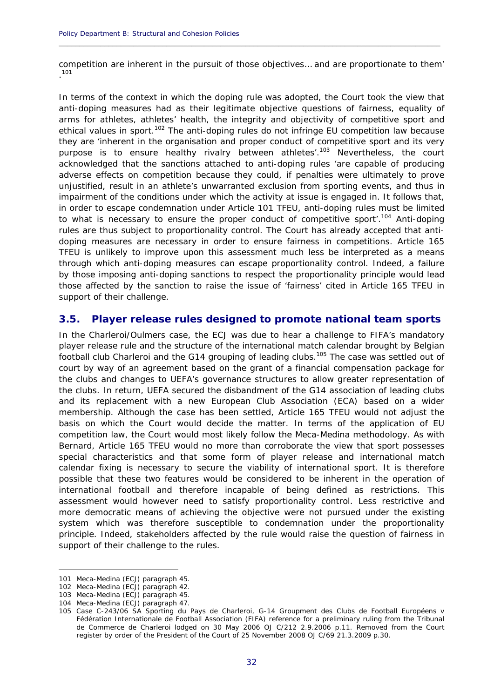competition are inherent in the pursuit of those objectives… and are proportionate to them' . 101

**\_\_\_\_\_\_\_\_\_\_\_\_\_\_\_\_\_\_\_\_\_\_\_\_\_\_\_\_\_\_\_\_\_\_\_\_\_\_\_\_\_\_\_\_\_\_\_\_\_\_\_\_\_\_\_\_\_\_\_\_\_\_\_\_\_\_\_\_\_\_\_\_\_\_\_\_\_\_\_\_\_\_\_\_\_\_\_\_\_\_\_\_**

In terms of the context in which the doping rule was adopted, the Court took the view that anti-doping measures had as their legitimate objective questions of fairness, equality of arms for athletes, athletes' health, the integrity and objectivity of competitive sport and ethical values in sport.<sup>102</sup> The anti-doping rules do not infringe EU competition law because they are 'inherent in the organisation and proper conduct of competitive sport and its very purpose is to ensure healthy rivalry between athletes'.<sup>103</sup> Nevertheless, the court acknowledged that the sanctions attached to anti-doping rules 'are capable of producing adverse effects on competition because they could, if penalties were ultimately to prove unjustified, result in an athlete's unwarranted exclusion from sporting events, and thus in impairment of the conditions under which the activity at issue is engaged in. It follows that, in order to escape condemnation under Article 101 TFEU, anti-doping rules must be limited to what is necessary to ensure the proper conduct of competitive sport'.<sup>104</sup> Anti-doping rules are thus subject to proportionality control. The Court has already accepted that antidoping measures are necessary in order to ensure fairness in competitions. Article 165 TFEU is unlikely to improve upon this assessment much less be interpreted as a means through which anti-doping measures can escape proportionality control. Indeed, a failure by those imposing anti-doping sanctions to respect the proportionality principle would lead those affected by the sanction to raise the issue of 'fairness' cited in Article 165 TFEU in support of their challenge.

#### **3.5. Player release rules designed to promote national team sports**

In the *Charleroi/Oulmers* case, the ECJ was due to hear a challenge to FIFA's mandatory player release rule and the structure of the international match calendar brought by Belgian football club Charleroi and the G14 grouping of leading clubs.<sup>105</sup> The case was settled out of court by way of an agreement based on the grant of a financial compensation package for the clubs and changes to UEFA's governance structures to allow greater representation of the clubs. In return, UEFA secured the disbandment of the G14 association of leading clubs and its replacement with a new European Club Association (ECA) based on a wider membership. Although the case has been settled, Article 165 TFEU would not adjust the basis on which the Court would decide the matter. In terms of the application of EU competition law, the Court would most likely follow the *Meca-Medina* methodology. As with *Bernard*, Article 165 TFEU would no more than corroborate the view that sport possesses special characteristics and that some form of player release and international match calendar fixing is necessary to secure the viability of international sport. It is therefore possible that these two features would be considered to be inherent in the operation of international football and therefore incapable of being defined as restrictions. This assessment would however need to satisfy proportionality control. Less restrictive and more democratic means of achieving the objective were not pursued under the existing system which was therefore susceptible to condemnation under the proportionality principle. Indeed, stakeholders affected by the rule would raise the question of fairness in support of their challenge to the rules.

<sup>101</sup> Meca-Medina (ECJ) paragraph 45.

<sup>102</sup> Meca-Medina (ECJ) paragraph 42.

<sup>103</sup> Meca-Medina (ECJ) paragraph 45.

<sup>104</sup> Meca-Medina (ECJ) paragraph 47.

<sup>105</sup> Case C-243/06 SA Sporting du Pays de Charleroi, G-14 Groupment des Clubs de Football Européens v Fédération Internationale de Football Association (FIFA) reference for a preliminary ruling from the Tribunal de Commerce de Charleroi lodged on 30 May 2006 OJ C/212 2.9.2006 p.11. Removed from the Court register by order of the President of the Court of 25 November 2008 OJ C/69 21.3.2009 p.30.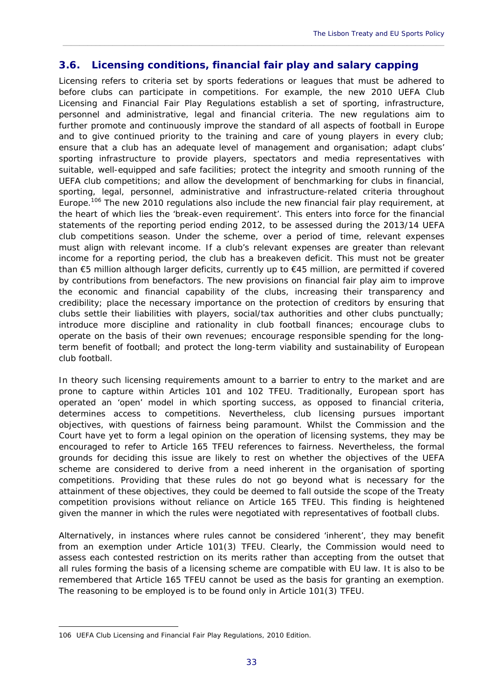## **3.6. Licensing conditions, financial fair play and salary capping**

 $\_$  , and the set of the set of the set of the set of the set of the set of the set of the set of the set of the set of the set of the set of the set of the set of the set of the set of the set of the set of the set of th

Licensing refers to criteria set by sports federations or leagues that must be adhered to before clubs can participate in competitions. For example, the new 2010 UEFA Club Licensing and Financial Fair Play Regulations establish a set of sporting, infrastructure, personnel and administrative, legal and financial criteria. The new regulations aim to further promote and continuously improve the standard of all aspects of football in Europe and to give continued priority to the training and care of young players in every club; ensure that a club has an adequate level of management and organisation; adapt clubs' sporting infrastructure to provide players, spectators and media representatives with suitable, well-equipped and safe facilities; protect the integrity and smooth running of the UEFA club competitions; and allow the development of benchmarking for clubs in financial, sporting, legal, personnel, administrative and infrastructure-related criteria throughout Europe.<sup>106</sup> The new 2010 regulations also include the new financial fair play requirement, at the heart of which lies the 'break-even requirement'. This enters into force for the financial statements of the reporting period ending 2012, to be assessed during the 2013/14 UEFA club competitions season. Under the scheme, over a period of time, relevant expenses must align with relevant income. If a club's relevant expenses are greater than relevant income for a reporting period, the club has a breakeven deficit. This must not be greater than €5 million although larger deficits, currently up to €45 million, are permitted if covered by contributions from benefactors. The new provisions on financial fair play aim to improve the economic and financial capability of the clubs, increasing their transparency and credibility; place the necessary importance on the protection of creditors by ensuring that clubs settle their liabilities with players, social/tax authorities and other clubs punctually; introduce more discipline and rationality in club football finances; encourage clubs to operate on the basis of their own revenues; encourage responsible spending for the longterm benefit of football; and protect the long-term viability and sustainability of European club football.

In theory such licensing requirements amount to a barrier to entry to the market and are prone to capture within Articles 101 and 102 TFEU. Traditionally, European sport has operated an 'open' model in which sporting success, as opposed to financial criteria, determines access to competitions. Nevertheless, club licensing pursues important objectives, with questions of fairness being paramount. Whilst the Commission and the Court have yet to form a legal opinion on the operation of licensing systems, they may be encouraged to refer to Article 165 TFEU references to fairness. Nevertheless, the formal grounds for deciding this issue are likely to rest on whether the objectives of the UEFA scheme are considered to derive from a need inherent in the organisation of sporting competitions. Providing that these rules do not go beyond what is necessary for the attainment of these objectives, they could be deemed to fall outside the scope of the Treaty competition provisions without reliance on Article 165 TFEU. This finding is heightened given the manner in which the rules were negotiated with representatives of football clubs.

Alternatively, in instances where rules cannot be considered 'inherent', they may benefit from an exemption under Article 101(3) TFEU. Clearly, the Commission would need to assess each contested restriction on its merits rather than accepting from the outset that all rules forming the basis of a licensing scheme are compatible with EU law. It is also to be remembered that Article 165 TFEU cannot be used as the basis for granting an exemption. The reasoning to be employed is to be found only in Article 101(3) TFEU.

<sup>106</sup> UEFA Club Licensing and Financial Fair Play Regulations, 2010 Edition.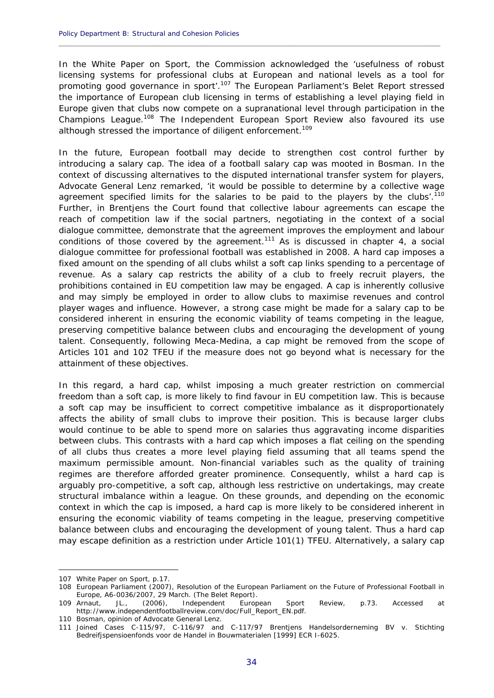In the White Paper on Sport, the Commission acknowledged the 'usefulness of robust licensing systems for professional clubs at European and national levels as a tool for promoting good governance in sport<sup>'.107</sup> The European Parliament's Belet Report stressed the importance of European club licensing in terms of establishing a level playing field in Europe given that clubs now compete on a supranational level through participation in the Champions League.<sup>108</sup> The Independent European Sport Review also favoured its use although stressed the importance of diligent enforcement.<sup>109</sup>

**\_\_\_\_\_\_\_\_\_\_\_\_\_\_\_\_\_\_\_\_\_\_\_\_\_\_\_\_\_\_\_\_\_\_\_\_\_\_\_\_\_\_\_\_\_\_\_\_\_\_\_\_\_\_\_\_\_\_\_\_\_\_\_\_\_\_\_\_\_\_\_\_\_\_\_\_\_\_\_\_\_\_\_\_\_\_\_\_\_\_\_\_**

In the future, European football may decide to strengthen cost control further by introducing a salary cap. The idea of a football salary cap was mooted in *Bosman*. In the context of discussing alternatives to the disputed international transfer system for players, Advocate General Lenz remarked, 'it would be possible to determine by a collective wage agreement specified limits for the salaries to be paid to the players by the clubs'.<sup>110</sup> Further, in *Brentjens* the Court found that collective labour agreements can escape the reach of competition law if the social partners, negotiating in the context of a social dialogue committee, demonstrate that the agreement improves the employment and labour conditions of those covered by the agreement.<sup>111</sup> As is discussed in chapter 4, a social dialogue committee for professional football was established in 2008. A hard cap imposes a fixed amount on the spending of all clubs whilst a soft cap links spending to a percentage of revenue. As a salary cap restricts the ability of a club to freely recruit players, the prohibitions contained in EU competition law may be engaged. A cap is inherently collusive and may simply be employed in order to allow clubs to maximise revenues and control player wages and influence. However, a strong case might be made for a salary cap to be considered inherent in ensuring the economic viability of teams competing in the league, preserving competitive balance between clubs and encouraging the development of young talent. Consequently, following *Meca-Medina*, a cap might be removed from the scope of Articles 101 and 102 TFEU if the measure does not go beyond what is necessary for the attainment of these objectives.

In this regard, a hard cap, whilst imposing a much greater restriction on commercial freedom than a soft cap, is more likely to find favour in EU competition law. This is because a soft cap may be insufficient to correct competitive imbalance as it disproportionately affects the ability of small clubs to improve their position. This is because larger clubs would continue to be able to spend more on salaries thus aggravating income disparities between clubs. This contrasts with a hard cap which imposes a flat ceiling on the spending of all clubs thus creates a more level playing field assuming that all teams spend the maximum permissible amount. Non-financial variables such as the quality of training regimes are therefore afforded greater prominence. Consequently, whilst a hard cap is arguably pro-competitive, a soft cap, although less restrictive on undertakings, may create structural imbalance within a league. On these grounds, and depending on the economic context in which the cap is imposed, a hard cap is more likely to be considered inherent in ensuring the economic viability of teams competing in the league, preserving competitive balance between clubs and encouraging the development of young talent. Thus a hard cap may escape definition as a restriction under Article 101(1) TFEU. Alternatively, a salary cap

<sup>107</sup> White Paper on Sport, p.17.

<sup>108</sup> European Parliament (2007), Resolution of the European Parliament on the Future of Professional Football in Europe, A6-0036/2007, 29 March. (The Belet Report).

<sup>109</sup> Arnaut, JL., (2006), Independent European Sport Review, p.73. Accessed at http://www.independentfootballreview.com/doc/Full\_Report\_EN.pdf.

<sup>110</sup> Bosman, opinion of Advocate General Lenz.

<sup>111</sup> Joined Cases C-115/97, C-116/97 and C-117/97 Brentjens Handelsorderneming BV v. Stichting Bedreifjspensioenfonds voor de Handel in Bouwmaterialen [1999] ECR I-6025.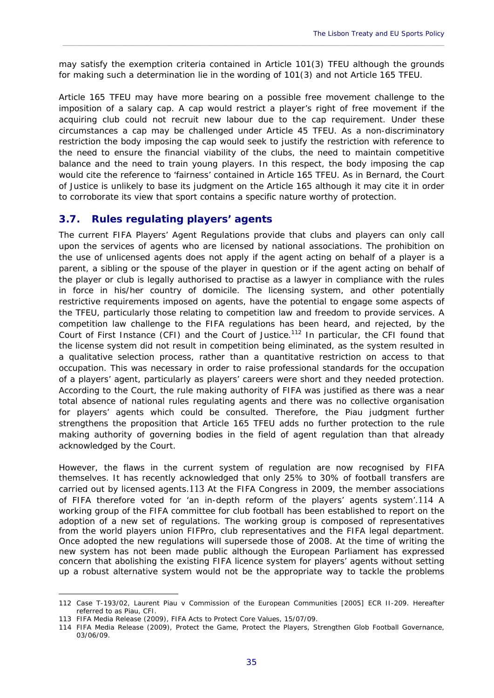may satisfy the exemption criteria contained in Article 101(3) TFEU although the grounds for making such a determination lie in the wording of 101(3) and not Article 165 TFEU.

 $\_$  , and the set of the set of the set of the set of the set of the set of the set of the set of the set of the set of the set of the set of the set of the set of the set of the set of the set of the set of the set of th

Article 165 TFEU may have more bearing on a possible free movement challenge to the imposition of a salary cap. A cap would restrict a player's right of free movement if the acquiring club could not recruit new labour due to the cap requirement. Under these circumstances a cap may be challenged under Article 45 TFEU. As a non-discriminatory restriction the body imposing the cap would seek to justify the restriction with reference to the need to ensure the financial viability of the clubs, the need to maintain competitive balance and the need to train young players. In this respect, the body imposing the cap would cite the reference to 'fairness' contained in Article 165 TFEU. As in *Bernard*, the Court of Justice is unlikely to base its judgment on the Article 165 although it may cite it in order to corroborate its view that sport contains a specific nature worthy of protection.

## **3.7. Rules regulating players' agents**

The current FIFA Players' Agent Regulations provide that clubs and players can only call upon the services of agents who are licensed by national associations. The prohibition on the use of unlicensed agents does not apply if the agent acting on behalf of a player is a parent, a sibling or the spouse of the player in question or if the agent acting on behalf of the player or club is legally authorised to practise as a lawyer in compliance with the rules in force in his/her country of domicile. The licensing system, and other potentially restrictive requirements imposed on agents, have the potential to engage some aspects of the TFEU, particularly those relating to competition law and freedom to provide services. A competition law challenge to the FIFA regulations has been heard, and rejected, by the Court of First Instance (CFI) and the Court of Justice.<sup>112</sup> In particular, the CFI found that the license system did not result in competition being eliminated, as the system resulted in a qualitative selection process, rather than a quantitative restriction on access to that occupation. This was necessary in order to raise professional standards for the occupation of a players' agent, particularly as players' careers were short and they needed protection. According to the Court, the rule making authority of FIFA was justified as there was a near total absence of national rules regulating agents and there was no collective organisation for players' agents which could be consulted. Therefore, the *Piau* judgment further strengthens the proposition that Article 165 TFEU adds no further protection to the rule making authority of governing bodies in the field of agent regulation than that already acknowledged by the Court.

However, the flaws in the current system of regulation are now recognised by FIFA themselves. It has recently acknowledged that only 25% to 30% of football transfers are carried out by licensed agents.113 At the FIFA Congress in 2009, the member associations of FIFA therefore voted for 'an in-depth reform of the players' agents system'.114 A working group of the FIFA committee for club football has been established to report on the adoption of a new set of regulations. The working group is composed of representatives from the world players union FIFPro, club representatives and the FIFA legal department. Once adopted the new regulations will supersede those of 2008. At the time of writing the new system has not been made public although the European Parliament has expressed concern that abolishing the existing FIFA licence system for players' agents without setting up a robust alternative system would not be the appropriate way to tackle the problems

<sup>112</sup> Case T-193/02, Laurent Piau v Commission of the European Communities [2005] ECR II-209. Hereafter referred to as Piau, CFI.

<sup>113</sup> FIFA Media Release (2009), FIFA Acts to Protect Core Values, 15/07/09.

<sup>114</sup> FIFA Media Release (2009), Protect the Game, Protect the Players, Strengthen Glob Football Governance, 03/06/09.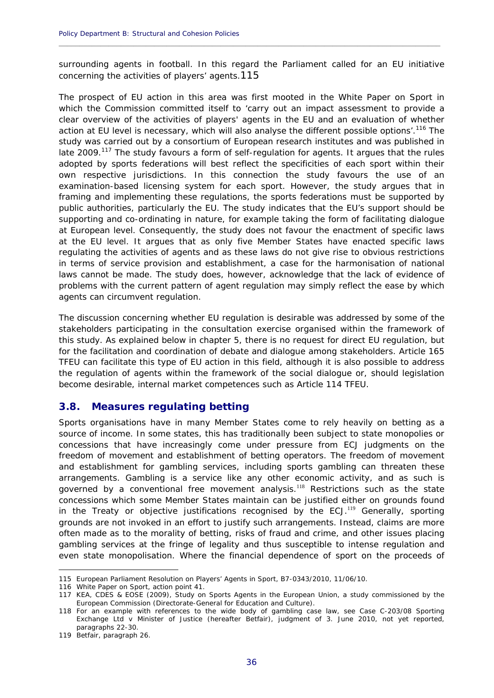surrounding agents in football. In this regard the Parliament called for an EU initiative concerning the activities of players' agents.115

**\_\_\_\_\_\_\_\_\_\_\_\_\_\_\_\_\_\_\_\_\_\_\_\_\_\_\_\_\_\_\_\_\_\_\_\_\_\_\_\_\_\_\_\_\_\_\_\_\_\_\_\_\_\_\_\_\_\_\_\_\_\_\_\_\_\_\_\_\_\_\_\_\_\_\_\_\_\_\_\_\_\_\_\_\_\_\_\_\_\_\_\_**

The prospect of EU action in this area was first mooted in the White Paper on Sport in which the Commission committed itself to 'carry out an impact assessment to provide a clear overview of the activities of players' agents in the EU and an evaluation of whether action at EU level is necessary, which will also analyse the different possible options'.<sup>116</sup> The study was carried out by a consortium of European research institutes and was published in late 2009.<sup>117</sup> The study favours a form of self-regulation for agents. It argues that the rules adopted by sports federations will best reflect the specificities of each sport within their own respective jurisdictions. In this connection the study favours the use of an examination-based licensing system for each sport. However, the study argues that in framing and implementing these regulations, the sports federations must be supported by public authorities, particularly the EU. The study indicates that the EU's support should be supporting and co-ordinating in nature, for example taking the form of facilitating dialogue at European level. Consequently, the study does not favour the enactment of specific laws at the EU level. It argues that as only five Member States have enacted specific laws regulating the activities of agents and as these laws do not give rise to obvious restrictions in terms of service provision and establishment, a case for the harmonisation of national laws cannot be made. The study does, however, acknowledge that the lack of evidence of problems with the current pattern of agent regulation may simply reflect the ease by which agents can circumvent regulation.

The discussion concerning whether EU regulation is desirable was addressed by some of the stakeholders participating in the consultation exercise organised within the framework of this study. As explained below in chapter 5, there is no request for direct EU regulation, but for the facilitation and coordination of debate and dialogue among stakeholders. Article 165 TFEU can facilitate this type of EU action in this field, although it is also possible to address the regulation of agents within the framework of the social dialogue or, should legislation become desirable, internal market competences such as Article 114 TFEU.

#### **3.8. Measures regulating betting**

Sports organisations have in many Member States come to rely heavily on betting as a source of income. In some states, this has traditionally been subject to state monopolies or concessions that have increasingly come under pressure from ECJ judgments on the freedom of movement and establishment of betting operators. The freedom of movement and establishment for gambling services, including sports gambling can threaten these arrangements. Gambling is a service like any other economic activity, and as such is governed by a conventional free movement analysis.<sup>118</sup> Restrictions such as the state concessions which some Member States maintain can be justified either on grounds found in the Treaty or objective justifications recognised by the  $ECJ<sup>119</sup>$  Generally, sporting grounds are not invoked in an effort to justify such arrangements. Instead, claims are more often made as to the morality of betting, risks of fraud and crime, and other issues placing gambling services at the fringe of legality and thus susceptible to intense regulation and even state monopolisation. Where the financial dependence of sport on the proceeds of

<sup>1</sup> 115 European Parliament Resolution on Players' Agents in Sport, B7-0343/2010, 11/06/10.

<sup>116</sup> White Paper on Sport, action point 41.

<sup>117</sup> KEA, CDES & EOSE (2009), Study on Sports Agents in the European Union, a study commissioned by the European Commission (Directorate-General for Education and Culture).

<sup>118</sup> For an example with references to the wide body of gambling case law, see Case C-203/08 Sporting Exchange Ltd v Minister of Justice (hereafter Betfair), judgment of 3. June 2010, not yet reported, paragraphs 22-30.

<sup>119</sup> Betfair, paragraph 26.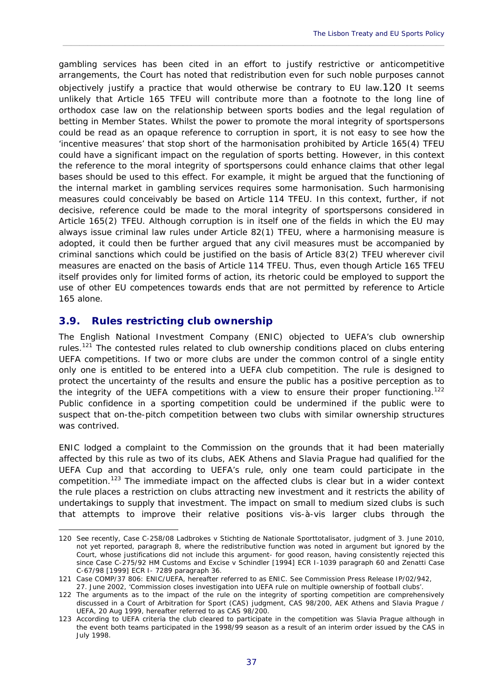gambling services has been cited in an effort to justify restrictive or anticompetitive arrangements, the Court has noted that redistribution even for such noble purposes cannot objectively justify a practice that would otherwise be contrary to EU law.120 It seems unlikely that Article 165 TFEU will contribute more than a footnote to the long line of orthodox case law on the relationship between sports bodies and the legal regulation of betting in Member States. Whilst the power to promote the moral integrity of sportspersons could be read as an opaque reference to corruption in sport, it is not easy to see how the 'incentive measures' that stop short of the harmonisation prohibited by Article 165(4) TFEU could have a significant impact on the regulation of sports betting. However, in this context the reference to the moral integrity of sportspersons could enhance claims that other legal bases should be used to this effect. For example, it might be argued that the functioning of the internal market in gambling services requires some harmonisation. Such harmonising measures could conceivably be based on Article 114 TFEU. In this context, further, if not decisive, reference could be made to the moral integrity of sportspersons considered in Article 165(2) TFEU. Although corruption is in itself one of the fields in which the EU may always issue criminal law rules under Article 82(1) TFEU, where a harmonising measure is adopted, it could then be further argued that any civil measures must be accompanied by criminal sanctions which could be justified on the basis of Article 83(2) TFEU wherever civil measures are enacted on the basis of Article 114 TFEU. Thus, even though Article 165 TFEU itself provides only for limited forms of action, its rhetoric could be employed to support the use of other EU competences towards ends that are not permitted by reference to Article 165 alone.

 $\_$  , and the set of the set of the set of the set of the set of the set of the set of the set of the set of the set of the set of the set of the set of the set of the set of the set of the set of the set of the set of th

#### **3.9. Rules restricting club ownership**

1

The English National Investment Company (ENIC) objected to UEFA's club ownership rules.<sup>121</sup> The contested rules related to club ownership conditions placed on clubs entering UEFA competitions. If two or more clubs are under the common control of a single entity only one is entitled to be entered into a UEFA club competition. The rule is designed to protect the uncertainty of the results and ensure the public has a positive perception as to the integrity of the UEFA competitions with a view to ensure their proper functioning.<sup>122</sup> Public confidence in a sporting competition could be undermined if the public were to suspect that on-the-pitch competition between two clubs with similar ownership structures was contrived.

ENIC lodged a complaint to the Commission on the grounds that it had been materially affected by this rule as two of its clubs, AEK Athens and Slavia Prague had qualified for the UEFA Cup and that according to UEFA's rule, only one team could participate in the competition.<sup>123</sup> The immediate impact on the affected clubs is clear but in a wider context the rule places a restriction on clubs attracting new investment and it restricts the ability of undertakings to supply that investment. The impact on small to medium sized clubs is such that attempts to improve their relative positions vis-à-vis larger clubs through the

<sup>120</sup> See recently, Case C-258/08 Ladbrokes v Stichting de Nationale Sporttotalisator, judgment of 3. June 2010, not yet reported, paragraph 8, where the redistributive function was noted in argument but ignored by the Court, whose justifications did not include this argument- for good reason, having consistently rejected this since Case C-275/92 HM Customs and Excise v Schindler [1994] ECR I-1039 paragraph 60 and Zenatti Case C-67/98 [1999] ECR I- 7289 paragraph 36.

<sup>121</sup> Case COMP/37 806: ENIC/UEFA, hereafter referred to as ENIC. See Commission Press Release IP/02/942,

<sup>27.</sup> June 2002, 'Commission closes investigation into UEFA rule on multiple ownership of football clubs'.

<sup>122</sup> The arguments as to the impact of the rule on the integrity of sporting competition are comprehensively discussed in a Court of Arbitration for Sport (CAS) judgment, CAS 98/200, AEK Athens and Slavia Prague / UEFA, 20 Aug 1999, hereafter referred to as CAS 98/200.

<sup>123</sup> According to UEFA criteria the club cleared to participate in the competition was Slavia Prague although in the event both teams participated in the 1998/99 season as a result of an interim order issued by the CAS in July 1998.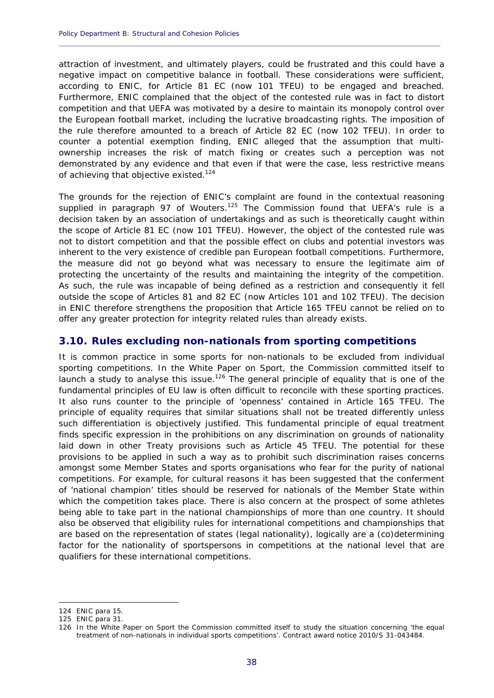attraction of investment, and ultimately players, could be frustrated and this could have a negative impact on competitive balance in football. These considerations were sufficient, according to ENIC, for Article 81 EC (now 101 TFEU) to be engaged and breached. Furthermore, ENIC complained that the object of the contested rule was in fact to distort competition and that UEFA was motivated by a desire to maintain its monopoly control over the European football market, including the lucrative broadcasting rights. The imposition of the rule therefore amounted to a breach of Article 82 EC (now 102 TFEU). In order to counter a potential exemption finding, ENIC alleged that the assumption that multiownership increases the risk of match fixing or creates such a perception was not demonstrated by any evidence and that even if that were the case, less restrictive means of achieving that objective existed.<sup>124</sup>

**\_\_\_\_\_\_\_\_\_\_\_\_\_\_\_\_\_\_\_\_\_\_\_\_\_\_\_\_\_\_\_\_\_\_\_\_\_\_\_\_\_\_\_\_\_\_\_\_\_\_\_\_\_\_\_\_\_\_\_\_\_\_\_\_\_\_\_\_\_\_\_\_\_\_\_\_\_\_\_\_\_\_\_\_\_\_\_\_\_\_\_\_**

The grounds for the rejection of ENIC's complaint are found in the contextual reasoning supplied in paragraph 97 of *Wouters.*125 The Commission found that UEFA's rule is a decision taken by an association of undertakings and as such is theoretically caught within the scope of Article 81 EC (now 101 TFEU). However, the object of the contested rule was not to distort competition and that the possible effect on clubs and potential investors was inherent to the very existence of credible pan European football competitions. Furthermore, the measure did not go beyond what was necessary to ensure the legitimate aim of protecting the uncertainty of the results and maintaining the integrity of the competition. As such, the rule was incapable of being defined as a restriction and consequently it fell outside the scope of Articles 81 and 82 EC (now Articles 101 and 102 TFEU). The decision in ENIC therefore strengthens the proposition that Article 165 TFEU cannot be relied on to offer any greater protection for integrity related rules than already exists.

#### **3.10. Rules excluding non-nationals from sporting competitions**

It is common practice in some sports for non-nationals to be excluded from individual sporting competitions. In the White Paper on Sport, the Commission committed itself to launch a study to analyse this issue.<sup>126</sup> The general principle of equality that is one of the fundamental principles of EU law is often difficult to reconcile with these sporting practices. It also runs counter to the principle of 'openness' contained in Article 165 TFEU. The principle of equality requires that similar situations shall not be treated differently unless such differentiation is objectively justified. This fundamental principle of equal treatment finds specific expression in the prohibitions on any discrimination on grounds of nationality laid down in other Treaty provisions such as Article 45 TFEU. The potential for these provisions to be applied in such a way as to prohibit such discrimination raises concerns amongst some Member States and sports organisations who fear for the purity of national competitions. For example, for cultural reasons it has been suggested that the conferment of 'national champion' titles should be reserved for nationals of the Member State within which the competition takes place. There is also concern at the prospect of some athletes being able to take part in the national championships of more than one country. It should also be observed that eligibility rules for international competitions and championships that are based on the representation of states (legal nationality), logically are a (co)determining factor for the nationality of sportspersons in competitions at the national level that are qualifiers for these international competitions.

<sup>124</sup> ENIC para 15.

<sup>125</sup> ENIC para 31.

<sup>126</sup> In the White Paper on Sport the Commission committed itself to study the situation concerning 'the equal treatment of non-nationals in individual sports competitions'. Contract award notice 2010/S 31-043484.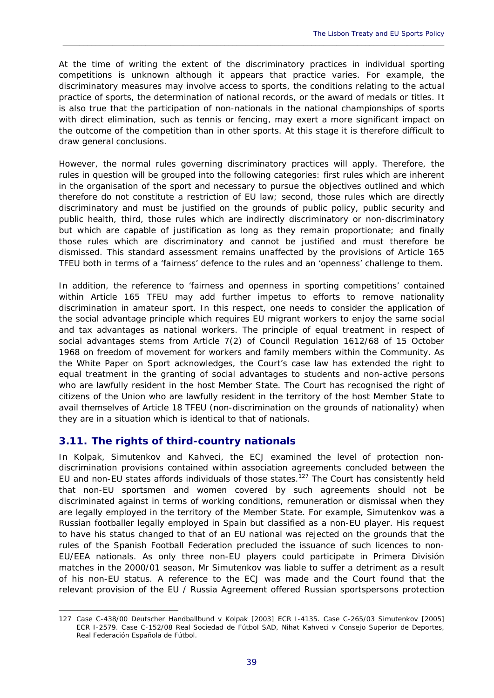At the time of writing the extent of the discriminatory practices in individual sporting competitions is unknown although it appears that practice varies. For example, the discriminatory measures may involve access to sports, the conditions relating to the actual practice of sports, the determination of national records, or the award of medals or titles. It is also true that the participation of non-nationals in the national championships of sports with direct elimination, such as tennis or fencing, may exert a more significant impact on the outcome of the competition than in other sports. At this stage it is therefore difficult to draw general conclusions.

 $\_$  , and the set of the set of the set of the set of the set of the set of the set of the set of the set of the set of the set of the set of the set of the set of the set of the set of the set of the set of the set of th

However, the normal rules governing discriminatory practices will apply. Therefore, the rules in question will be grouped into the following categories: first rules which are inherent in the organisation of the sport and necessary to pursue the objectives outlined and which therefore do not constitute a restriction of EU law; second, those rules which are directly discriminatory and must be justified on the grounds of public policy, public security and public health, third, those rules which are indirectly discriminatory or non-discriminatory but which are capable of justification as long as they remain proportionate; and finally those rules which are discriminatory and cannot be justified and must therefore be dismissed. This standard assessment remains unaffected by the provisions of Article 165 TFEU both in terms of a 'fairness' defence to the rules and an 'openness' challenge to them.

In addition, the reference to 'fairness and openness in sporting competitions' contained within Article 165 TFEU may add further impetus to efforts to remove nationality discrimination in amateur sport. In this respect, one needs to consider the application of the social advantage principle which requires EU migrant workers to enjoy the same social and tax advantages as national workers. The principle of equal treatment in respect of social advantages stems from Article 7(2) of Council Regulation 1612/68 of 15 October 1968 on freedom of movement for workers and family members within the Community. As the White Paper on Sport acknowledges, the Court's case law has extended the right to equal treatment in the granting of social advantages to students and non-active persons who are lawfully resident in the host Member State. The Court has recognised the right of citizens of the Union who are lawfully resident in the territory of the host Member State to avail themselves of Article 18 TFEU (non-discrimination on the grounds of nationality) when they are in a situation which is identical to that of nationals.

## **3.11. The rights of third-country nationals**

In *Kolpak*, *Simutenkov* and *Kahveci*, the ECJ examined the level of protection nondiscrimination provisions contained within association agreements concluded between the EU and non-EU states affords individuals of those states.<sup>127</sup> The Court has consistently held that non-EU sportsmen and women covered by such agreements should not be discriminated against in terms of working conditions, remuneration or dismissal when they are legally employed in the territory of the Member State. For example, Simutenkov was a Russian footballer legally employed in Spain but classified as a non-EU player. His request to have his status changed to that of an EU national was rejected on the grounds that the rules of the Spanish Football Federation precluded the issuance of such licences to non-EU/EEA nationals. As only three non-EU players could participate in *Primera División* matches in the 2000/01 season, Mr Simutenkov was liable to suffer a detriment as a result of his non-EU status. A reference to the ECJ was made and the Court found that the relevant provision of the EU / Russia Agreement offered Russian sportspersons protection

<sup>1</sup> 127 Case C-438/00 Deutscher Handballbund v Kolpak [2003] ECR I-4135. Case C-265/03 Simutenkov [2005] ECR I-2579. Case C-152/08 Real Sociedad de Fútbol SAD, Nihat Kahveci v Consejo Superior de Deportes, Real Federación Española de Fútbol.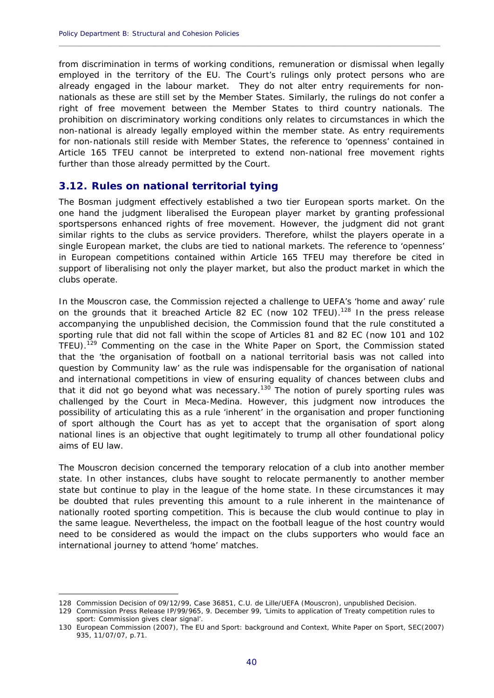from discrimination in terms of working conditions, remuneration or dismissal when legally employed in the territory of the EU. The Court's rulings only protect persons who are already engaged in the labour market. They do not alter entry requirements for nonnationals as these are still set by the Member States. Similarly, the rulings do not confer a right of free movement between the Member States to third country nationals. The prohibition on discriminatory working conditions only relates to circumstances in which the non-national is already legally employed within the member state. As entry requirements for non-nationals still reside with Member States, the reference to 'openness' contained in Article 165 TFEU cannot be interpreted to extend non-national free movement rights further than those already permitted by the Court.

**\_\_\_\_\_\_\_\_\_\_\_\_\_\_\_\_\_\_\_\_\_\_\_\_\_\_\_\_\_\_\_\_\_\_\_\_\_\_\_\_\_\_\_\_\_\_\_\_\_\_\_\_\_\_\_\_\_\_\_\_\_\_\_\_\_\_\_\_\_\_\_\_\_\_\_\_\_\_\_\_\_\_\_\_\_\_\_\_\_\_\_\_**

## **3.12. Rules on national territorial tying**

The *Bosman* judgment effectively established a two tier European sports market. On the one hand the judgment liberalised the European player market by granting professional sportspersons enhanced rights of free movement. However, the judgment did not grant similar rights to the clubs as service providers. Therefore, whilst the players operate in a single European market, the clubs are tied to national markets. The reference to 'openness' in European competitions contained within Article 165 TFEU may therefore be cited in support of liberalising not only the player market, but also the product market in which the clubs operate.

In the *Mouscron* case, the Commission rejected a challenge to UEFA's 'home and away' rule on the grounds that it breached Article 82 EC (now 102 TFEU).<sup>128</sup> In the press release accompanying the unpublished decision, the Commission found that the rule constituted a sporting rule that did not fall within the scope of Articles 81 and 82 EC (now 101 and 102 TFEU).<sup>129</sup> Commenting on the case in the White Paper on Sport, the Commission stated that the 'the organisation of football on a national territorial basis was not called into question by Community law' as the rule was indispensable for the organisation of national and international competitions in view of ensuring equality of chances between clubs and that it did not go beyond what was necessary.<sup>130</sup> The notion of purely sporting rules was challenged by the Court in *Meca-Medina*. However, this judgment now introduces the possibility of articulating this as a rule 'inherent' in the organisation and proper functioning of sport although the Court has as yet to accept that the organisation of sport along national lines is an objective that ought legitimately to trump all other foundational policy aims of EU law.

The *Mouscron* decision concerned the temporary relocation of a club into another member state. In other instances, clubs have sought to relocate permanently to another member state but continue to play in the league of the home state. In these circumstances it may be doubted that rules preventing this amount to a rule inherent in the maintenance of nationally rooted sporting competition. This is because the club would continue to play in the same league. Nevertheless, the impact on the football league of the host country would need to be considered as would the impact on the clubs supporters who would face an international journey to attend 'home' matches.

<sup>128</sup> Commission Decision of 09/12/99, Case 36851, C.U. de Lille/UEFA (Mouscron), unpublished Decision.

<sup>129</sup> Commission Press Release IP/99/965, 9. December 99, 'Limits to application of Treaty competition rules to sport: Commission gives clear signal'.

<sup>130</sup> European Commission (2007), The EU and Sport: background and Context, White Paper on Sport, SEC(2007) 935, 11/07/07, p.71.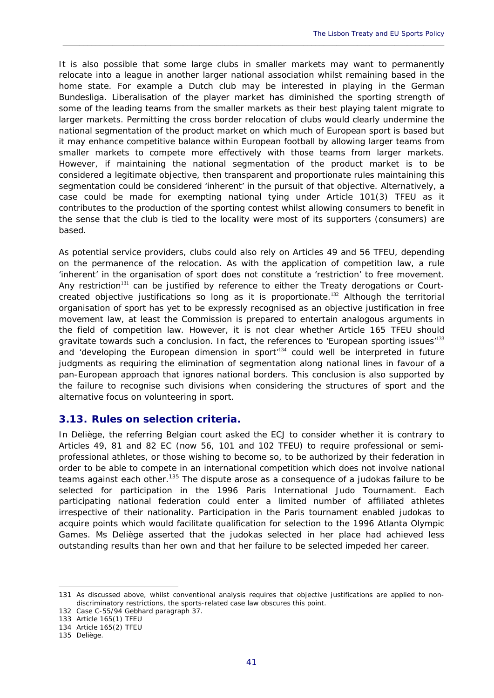It is also possible that some large clubs in smaller markets may want to permanently relocate into a league in another larger national association whilst remaining based in the home state. For example a Dutch club may be interested in playing in the German Bundesliga. Liberalisation of the player market has diminished the sporting strength of some of the leading teams from the smaller markets as their best playing talent migrate to larger markets. Permitting the cross border relocation of clubs would clearly undermine the national segmentation of the product market on which much of European sport is based but it may enhance competitive balance within European football by allowing larger teams from smaller markets to compete more effectively with those teams from larger markets. However, if maintaining the national segmentation of the product market is to be considered a legitimate objective, then transparent and proportionate rules maintaining this segmentation could be considered 'inherent' in the pursuit of that objective. Alternatively, a case could be made for exempting national tying under Article 101(3) TFEU as it contributes to the production of the sporting contest whilst allowing consumers to benefit in the sense that the club is tied to the locality were most of its supporters (consumers) are based.

 $\_$  , and the set of the set of the set of the set of the set of the set of the set of the set of the set of the set of the set of the set of the set of the set of the set of the set of the set of the set of the set of th

As potential service providers, clubs could also rely on Articles 49 and 56 TFEU, depending on the permanence of the relocation. As with the application of competition law, a rule 'inherent' in the organisation of sport does not constitute a 'restriction' to free movement. Any restriction<sup>131</sup> can be justified by reference to either the Treaty derogations or Courtcreated objective justifications so long as it is proportionate.<sup>132</sup> Although the territorial organisation of sport has yet to be expressly recognised as an objective justification in free movement law, at least the Commission is prepared to entertain analogous arguments in the field of competition law. However, it is not clear whether Article 165 TFEU should gravitate towards such a conclusion. In fact, the references to 'European sporting issues'<sup>133</sup> and 'developing the European dimension in sport $134$  could well be interpreted in future judgments as requiring the elimination of segmentation along national lines in favour of a pan-European approach that ignores national borders. This conclusion is also supported by the failure to recognise such divisions when considering the structures of sport and the alternative focus on volunteering in sport.

#### **3.13. Rules on selection criteria.**

In *Deliège*, the referring Belgian court asked the ECJ to consider whether it is contrary to Articles 49, 81 and 82 EC (now 56, 101 and 102 TFEU) to require professional or semiprofessional athletes, or those wishing to become so, to be authorized by their federation in order to be able to compete in an international competition which does not involve national teams against each other.<sup>135</sup> The dispute arose as a consequence of a judokas failure to be selected for participation in the 1996 Paris International Judo Tournament. Each participating national federation could enter a limited number of affiliated athletes irrespective of their nationality. Participation in the Paris tournament enabled judokas to acquire points which would facilitate qualification for selection to the 1996 Atlanta Olympic Games. Ms Deliège asserted that the judokas selected in her place had achieved less outstanding results than her own and that her failure to be selected impeded her career.

<sup>131</sup> As discussed above, whilst conventional analysis requires that objective justifications are applied to nondiscriminatory restrictions, the sports-related case law obscures this point.

<sup>132</sup> Case C-55/94 Gebhard paragraph 37.

<sup>133</sup> Article 165(1) TFEU

<sup>134</sup> Article 165(2) TFEU

<sup>135</sup> Deliège.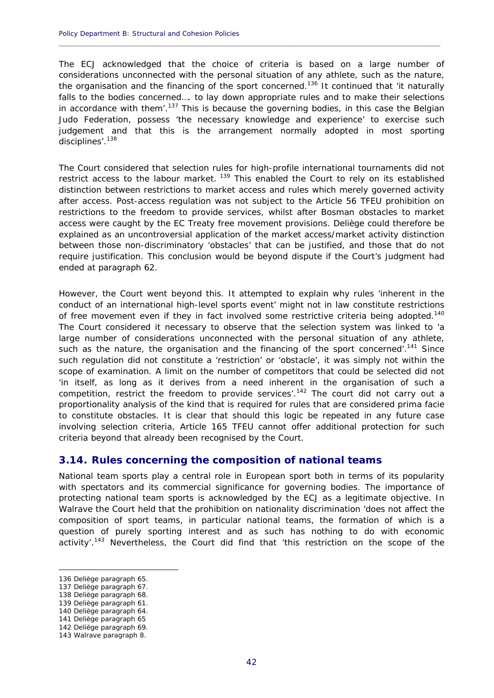The ECJ acknowledged that the choice of criteria is based on a large number of considerations unconnected with the personal situation of any athlete, such as the nature, the organisation and the financing of the sport concerned.<sup>136</sup> It continued that 'it naturally falls to the bodies concerned…. to lay down appropriate rules and to make their selections in accordance with them'.<sup>137</sup> This is because the governing bodies, in this case the Belgian Judo Federation, possess 'the necessary knowledge and experience' to exercise such judgement and that this is the arrangement normally adopted in most sporting disciplines'.<sup>138</sup>

**\_\_\_\_\_\_\_\_\_\_\_\_\_\_\_\_\_\_\_\_\_\_\_\_\_\_\_\_\_\_\_\_\_\_\_\_\_\_\_\_\_\_\_\_\_\_\_\_\_\_\_\_\_\_\_\_\_\_\_\_\_\_\_\_\_\_\_\_\_\_\_\_\_\_\_\_\_\_\_\_\_\_\_\_\_\_\_\_\_\_\_\_**

The Court considered that selection rules for high-profile international tournaments did not restrict access to the labour market.  $139$  This enabled the Court to rely on its established distinction between restrictions to market access and rules which merely governed activity after access. Post-access regulation was not subject to the Article 56 TFEU prohibition on restrictions to the freedom to provide services, whilst after *Bosman* obstacles to market access were caught by the EC Treaty free movement provisions. *Deliège* could therefore be explained as an uncontroversial application of the market access/market activity distinction between those non-discriminatory 'obstacles' that can be justified, and those that do not require justification. This conclusion would be beyond dispute if the Court's judgment had ended at paragraph 62.

However, the Court went beyond this. It attempted to explain why rules 'inherent in the conduct of an international high-level sports event' might not in law constitute restrictions of free movement even if they in fact involved some restrictive criteria being adopted.<sup>140</sup> The Court considered it necessary to observe that the selection system was linked to 'a large number of considerations unconnected with the personal situation of any athlete, such as the nature, the organisation and the financing of the sport concerned'.<sup>141</sup> Since such regulation did not constitute a 'restriction' or 'obstacle', it was simply not within the scope of examination. A limit on the number of competitors that could be selected did not 'in itself, as long as it derives from a need inherent in the organisation of such a competition, restrict the freedom to provide services'.<sup>142</sup> The court did not carry out a proportionality analysis of the kind that is required for rules that are considered *prima facie*  to constitute obstacles. It is clear that should this logic be repeated in any future case involving selection criteria, Article 165 TFEU cannot offer additional protection for such criteria beyond that already been recognised by the Court.

## **3.14. Rules concerning the composition of national teams**

National team sports play a central role in European sport both in terms of its popularity with spectators and its commercial significance for governing bodies. The importance of protecting national team sports is acknowledged by the ECJ as a legitimate objective. In *Walrave* the Court held that the prohibition on nationality discrimination 'does not affect the composition of sport teams, in particular national teams, the formation of which is a question of purely sporting interest and as such has nothing to do with economic activity'.<sup>143</sup> Nevertheless, the Court did find that 'this restriction on the scope of the

<sup>136</sup> Deliège paragraph 65.

<sup>137</sup> Deliège paragraph 67.

<sup>138</sup> Deliège paragraph 68.

<sup>139</sup> Deliège paragraph 61.

<sup>140</sup> Deliège paragraph 64.

<sup>141</sup> Deliège paragraph 65

<sup>142</sup> Deliège paragraph 69.

<sup>143</sup> Walrave paragraph 8.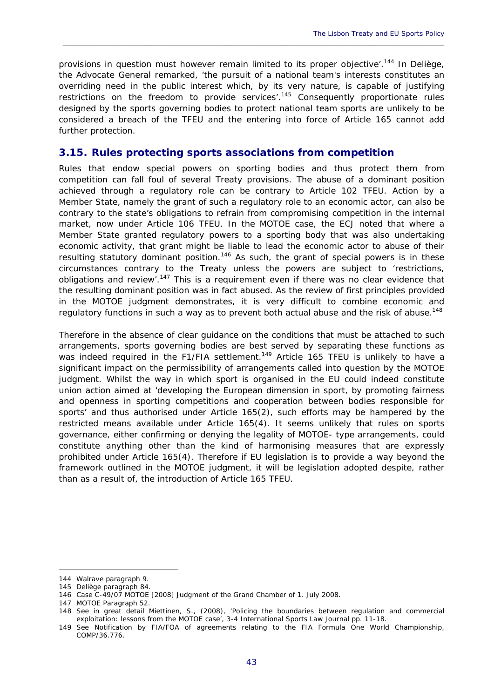provisions in question must however remain limited to its proper objective'.144 In *Deliège*, the Advocate General remarked, 'the pursuit of a national team's interests constitutes an overriding need in the public interest which, by its very nature, is capable of justifying restrictions on the freedom to provide services<sup>'.145</sup> Consequently proportionate rules designed by the sports governing bodies to protect national team sports are unlikely to be considered a breach of the TFEU and the entering into force of Article 165 cannot add further protection.

 $\_$  , and the set of the set of the set of the set of the set of the set of the set of the set of the set of the set of the set of the set of the set of the set of the set of the set of the set of the set of the set of th

## **3.15. Rules protecting sports associations from competition**

Rules that endow special powers on sporting bodies and thus protect them from competition can fall foul of several Treaty provisions. The abuse of a dominant position achieved through a regulatory role can be contrary to Article 102 TFEU. Action by a Member State, namely the grant of such a regulatory role to an economic actor, can also be contrary to the state's obligations to refrain from compromising competition in the internal market, now under Article 106 TFEU. In the *MOTOE* case, the ECJ noted that where a Member State granted regulatory powers to a sporting body that was also undertaking economic activity, that grant might be liable to lead the economic actor to abuse of their resulting statutory dominant position.<sup>146</sup> As such, the grant of special powers is in these circumstances contrary to the Treaty unless the powers are subject to 'restrictions, obligations and review'.<sup>147</sup> This is a requirement even if there was no clear evidence that the resulting dominant position was in fact abused. As the review of first principles provided in the *MOTOE* judgment demonstrates, it is very difficult to combine economic and regulatory functions in such a way as to prevent both actual abuse and the risk of abuse.<sup>148</sup>

Therefore in the absence of clear guidance on the conditions that must be attached to such arrangements, sports governing bodies are best served by separating these functions as was indeed required in the F1/FIA settlement.<sup>149</sup> Article 165 TFEU is unlikely to have a significant impact on the permissibility of arrangements called into question by the *MOTOE*  judgment. Whilst the way in which sport is organised in the EU could indeed constitute union action aimed at 'developing the European dimension in sport, by promoting fairness and openness in sporting competitions and cooperation between bodies responsible for sports' and thus authorised under Article 165(2), such efforts may be hampered by the restricted means available under Article 165(4). It seems unlikely that rules on sports governance, either confirming or denying the legality of *MOTOE-* type arrangements, could constitute anything other than the kind of harmonising measures that are expressly prohibited under Article 165(4). Therefore if EU legislation is to provide a way beyond the framework outlined in the *MOTOE* judgment, it will be legislation adopted despite, rather than as a result of, the introduction of Article 165 TFEU.

<sup>144</sup> Walrave paragraph 9.

<sup>145</sup> Deliège paragraph 84.

<sup>146</sup> Case C-49/07 MOTOE [2008] Judgment of the Grand Chamber of 1. July 2008.

<sup>147</sup> MOTOE Paragraph 52.

<sup>148</sup> See in great detail Miettinen, S., (2008), 'Policing the boundaries between regulation and commercial exploitation: lessons from the MOTOE case', 3-4 International Sports Law Journal pp. 11-18.

<sup>149</sup> See Notification by FIA/FOA of agreements relating to the FIA Formula One World Championship, COMP/36.776.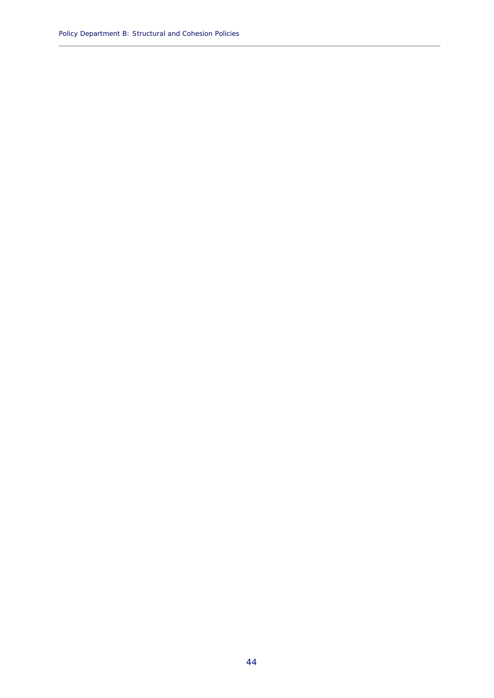**\_\_\_\_\_\_\_\_\_\_\_\_\_\_\_\_\_\_\_\_\_\_\_\_\_\_\_\_\_\_\_\_\_\_\_\_\_\_\_\_\_\_\_\_\_\_\_\_\_\_\_\_\_\_\_\_\_\_\_\_\_\_\_\_\_\_\_\_\_\_\_\_\_\_\_\_\_\_\_\_\_\_\_\_\_\_\_\_\_\_\_\_**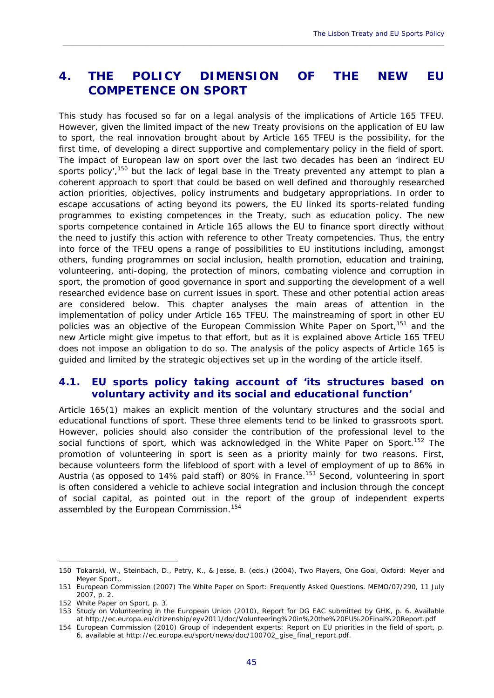## **4. THE POLICY DIMENSION OF THE NEW EU COMPETENCE ON SPORT**

 $\_$  , and the set of the set of the set of the set of the set of the set of the set of the set of the set of the set of the set of the set of the set of the set of the set of the set of the set of the set of the set of th

This study has focused so far on a legal analysis of the implications of Article 165 TFEU. However, given the limited impact of the new Treaty provisions on the application of EU law to sport, the real innovation brought about by Article 165 TFEU is the possibility, for the first time, of developing a direct supportive and complementary policy in the field of sport. The impact of European law on sport over the last two decades has been an 'indirect EU sports policy',  $150$  but the lack of legal base in the Treaty prevented any attempt to plan a coherent approach to sport that could be based on well defined and thoroughly researched action priorities, objectives, policy instruments and budgetary appropriations. In order to escape accusations of acting beyond its powers, the EU linked its sports-related funding programmes to existing competences in the Treaty, such as education policy. The new sports competence contained in Article 165 allows the EU to finance sport directly without the need to justify this action with reference to other Treaty competencies. Thus, the entry into force of the TFEU opens a range of possibilities to EU institutions including, amongst others, funding programmes on social inclusion, health promotion, education and training, volunteering, anti-doping, the protection of minors, combating violence and corruption in sport, the promotion of good governance in sport and supporting the development of a well researched evidence base on current issues in sport. These and other potential action areas are considered below. This chapter analyses the main areas of attention in the implementation of policy under Article 165 TFEU. The mainstreaming of sport in other EU policies was an objective of the European Commission White Paper on Sport,<sup>151</sup> and the new Article might give impetus to that effort, but as it is explained above Article 165 TFEU does not impose an obligation to do so. The analysis of the policy aspects of Article 165 is guided and limited by the strategic objectives set up in the wording of the article itself.

#### **4.1. EU sports policy taking account of 'its structures based on voluntary activity and its social and educational function'**

Article 165(1) makes an explicit mention of the voluntary structures and the social and educational functions of sport. These three elements tend to be linked to grassroots sport. However, policies should also consider the contribution of the professional level to the social functions of sport, which was acknowledged in the White Paper on Sport.<sup>152</sup> The promotion of volunteering in sport is seen as a priority mainly for two reasons. First, because volunteers form the lifeblood of sport with a level of employment of up to 86% in Austria (as opposed to 14% paid staff) or 80% in France.<sup>153</sup> Second, volunteering in sport is often considered a vehicle to achieve social integration and inclusion through the concept of social capital, as pointed out in the report of the group of independent experts assembled by the European Commission.<sup>154</sup>

<sup>150</sup> Tokarski, W., Steinbach, D., Petry, K., & Jesse, B. (eds.) (2004), Two Players, One Goal, Oxford: Meyer and Meyer Sport,.

<sup>151</sup> European Commission (2007) The White Paper on Sport: Frequently Asked Questions. MEMO/07/290, 11 July 2007, p. 2.

<sup>152</sup> White Paper on Sport, p. 3.

<sup>153</sup> Study on Volunteering in the European Union (2010), Report for DG EAC submitted by GHK, p. 6. Available at http://ec.europa.eu/citizenship/eyv2011/doc/Volunteering%20in%20the%20EU%20Final%20Report.pdf

<sup>154</sup> European Commission (2010) Group of independent experts: Report on EU priorities in the field of sport, p. 6, available at http://ec.europa.eu/sport/news/doc/100702\_gise\_final\_report.pdf.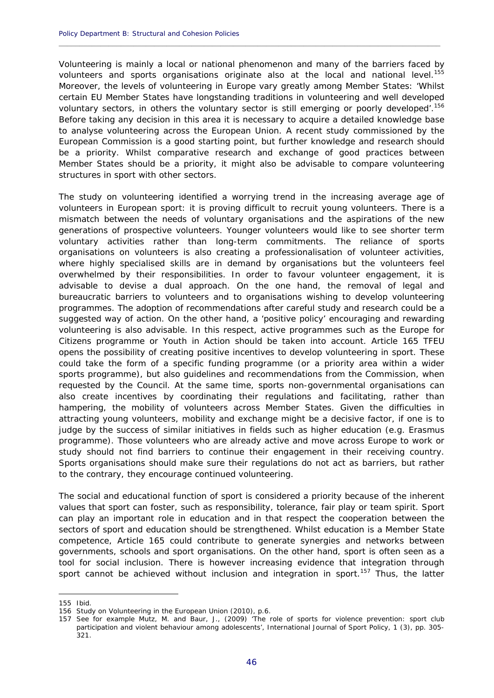Volunteering is mainly a local or national phenomenon and many of the barriers faced by volunteers and sports organisations originate also at the local and national level.<sup>155</sup> Moreover, the levels of volunteering in Europe vary greatly among Member States: 'Whilst certain EU Member States have longstanding traditions in volunteering and well developed voluntary sectors, in others the voluntary sector is still emerging or poorly developed'.<sup>156</sup> Before taking any decision in this area it is necessary to acquire a detailed knowledge base to analyse volunteering across the European Union. A recent study commissioned by the European Commission is a good starting point, but further knowledge and research should be a priority. Whilst comparative research and exchange of good practices between Member States should be a priority, it might also be advisable to compare volunteering structures in sport with other sectors.

**\_\_\_\_\_\_\_\_\_\_\_\_\_\_\_\_\_\_\_\_\_\_\_\_\_\_\_\_\_\_\_\_\_\_\_\_\_\_\_\_\_\_\_\_\_\_\_\_\_\_\_\_\_\_\_\_\_\_\_\_\_\_\_\_\_\_\_\_\_\_\_\_\_\_\_\_\_\_\_\_\_\_\_\_\_\_\_\_\_\_\_\_**

The study on volunteering identified a worrying trend in the increasing average age of volunteers in European sport: it is proving difficult to recruit young volunteers. There is a mismatch between the needs of voluntary organisations and the aspirations of the new generations of prospective volunteers. Younger volunteers would like to see shorter term voluntary activities rather than long-term commitments. The reliance of sports organisations on volunteers is also creating a professionalisation of volunteer activities, where highly specialised skills are in demand by organisations but the volunteers feel overwhelmed by their responsibilities. In order to favour volunteer engagement, it is advisable to devise a dual approach. On the one hand, the removal of legal and bureaucratic barriers to volunteers and to organisations wishing to develop volunteering programmes. The adoption of recommendations after careful study and research could be a suggested way of action. On the other hand, a 'positive policy' encouraging and rewarding volunteering is also advisable. In this respect, active programmes such as the Europe for Citizens programme or Youth in Action should be taken into account. Article 165 TFEU opens the possibility of creating positive incentives to develop volunteering in sport. These could take the form of a specific funding programme (or a priority area within a wider sports programme), but also guidelines and recommendations from the Commission, when requested by the Council. At the same time, sports non-governmental organisations can also create incentives by coordinating their regulations and facilitating, rather than hampering, the mobility of volunteers across Member States. Given the difficulties in attracting young volunteers, mobility and exchange might be a decisive factor, if one is to judge by the success of similar initiatives in fields such as higher education (e.g. Erasmus programme). Those volunteers who are already active and move across Europe to work or study should not find barriers to continue their engagement in their receiving country. Sports organisations should make sure their regulations do not act as barriers, but rather to the contrary, they encourage continued volunteering.

The social and educational function of sport is considered a priority because of the inherent values that sport can foster, such as responsibility, tolerance, fair play or team spirit. Sport can play an important role in education and in that respect the cooperation between the sectors of sport and education should be strengthened. Whilst education is a Member State competence, Article 165 could contribute to generate synergies and networks between governments, schools and sport organisations. On the other hand, sport is often seen as a tool for social inclusion. There is however increasing evidence that integration through sport cannot be achieved without inclusion and integration *in* sport.<sup>157</sup> Thus, the latter

<sup>155</sup> Ibid.

<sup>156</sup> Study on Volunteering in the European Union (2010), p.6.

<sup>157</sup> See for example Mutz, M. and Baur, J., (2009) 'The role of sports for violence prevention: sport club participation and violent behaviour among adolescents', International Journal of Sport Policy, 1 (3), pp. 305- 321.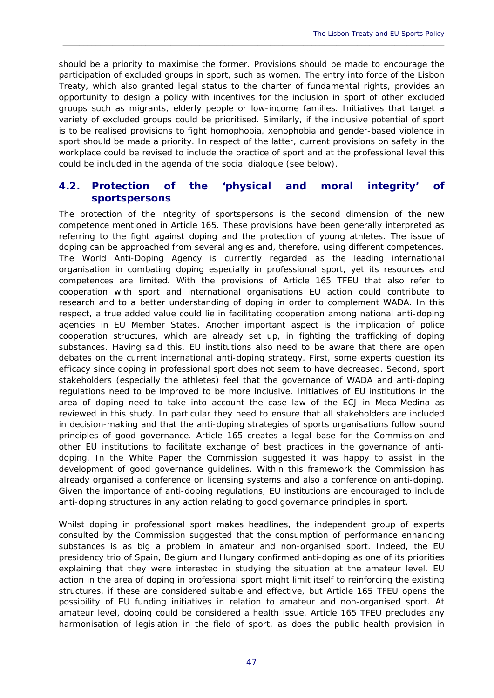should be a priority to maximise the former. Provisions should be made to encourage the participation of excluded groups in sport, such as women. The entry into force of the Lisbon Treaty, which also granted legal status to the charter of fundamental rights, provides an opportunity to design a policy with incentives for the inclusion in sport of other excluded groups such as migrants, elderly people or low-income families. Initiatives that target a variety of excluded groups could be prioritised. Similarly, if the inclusive potential of sport is to be realised provisions to fight homophobia, xenophobia and gender-based violence in sport should be made a priority. In respect of the latter, current provisions on safety in the workplace could be revised to include the practice of sport and at the professional level this could be included in the agenda of the social dialogue (see below).

 $\_$  , and the set of the set of the set of the set of the set of the set of the set of the set of the set of the set of the set of the set of the set of the set of the set of the set of the set of the set of the set of th

#### **4.2. Protection of the 'physical and moral integrity' of sportspersons**

The protection of the integrity of sportspersons is the second dimension of the new competence mentioned in Article 165. These provisions have been generally interpreted as referring to the fight against doping and the protection of young athletes. The issue of doping can be approached from several angles and, therefore, using different competences. The World Anti-Doping Agency is currently regarded as the leading international organisation in combating doping especially in professional sport, yet its resources and competences are limited. With the provisions of Article 165 TFEU that also refer to cooperation with sport and international organisations EU action could contribute to research and to a better understanding of doping in order to complement WADA. In this respect, a true added value could lie in facilitating cooperation among national anti-doping agencies in EU Member States. Another important aspect is the implication of police cooperation structures, which are already set up, in fighting the trafficking of doping substances. Having said this, EU institutions also need to be aware that there are open debates on the current international anti-doping strategy. First, some experts question its efficacy since doping in professional sport does not seem to have decreased. Second, sport stakeholders (especially the athletes) feel that the governance of WADA and anti-doping regulations need to be improved to be more inclusive. Initiatives of EU institutions in the area of doping need to take into account the case law of the ECJ in *Meca-Medina* as reviewed in this study. In particular they need to ensure that all stakeholders are included in decision-making and that the anti-doping strategies of sports organisations follow sound principles of good governance. Article 165 creates a legal base for the Commission and other EU institutions to facilitate exchange of best practices in the governance of antidoping. In the White Paper the Commission suggested it was happy to assist in the development of good governance guidelines. Within this framework the Commission has already organised a conference on licensing systems and also a conference on anti-doping. Given the importance of anti-doping regulations, EU institutions are encouraged to include anti-doping structures in any action relating to good governance principles in sport.

Whilst doping in professional sport makes headlines, the independent group of experts consulted by the Commission suggested that the consumption of performance enhancing substances is as big a problem in amateur and non-organised sport. Indeed, the EU presidency trio of Spain, Belgium and Hungary confirmed anti-doping as one of its priorities explaining that they were interested in studying the situation at the amateur level. EU action in the area of doping in professional sport might limit itself to reinforcing the existing structures, if these are considered suitable and effective, but Article 165 TFEU opens the possibility of EU funding initiatives in relation to amateur and non-organised sport. At amateur level, doping could be considered a health issue. Article 165 TFEU precludes any harmonisation of legislation in the field of sport, as does the public health provision in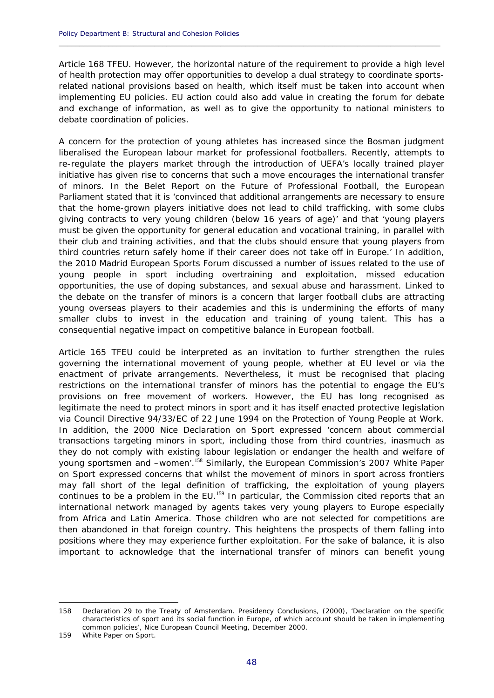Article 168 TFEU. However, the horizontal nature of the requirement to provide a high level of health protection may offer opportunities to develop a dual strategy to coordinate sportsrelated national provisions based on health, which itself must be taken into account when implementing EU policies. EU action could also add value in creating the forum for debate and exchange of information, as well as to give the opportunity to national ministers to debate coordination of policies.

**\_\_\_\_\_\_\_\_\_\_\_\_\_\_\_\_\_\_\_\_\_\_\_\_\_\_\_\_\_\_\_\_\_\_\_\_\_\_\_\_\_\_\_\_\_\_\_\_\_\_\_\_\_\_\_\_\_\_\_\_\_\_\_\_\_\_\_\_\_\_\_\_\_\_\_\_\_\_\_\_\_\_\_\_\_\_\_\_\_\_\_\_**

A concern for the protection of young athletes has increased since the *Bosman* judgment liberalised the European labour market for professional footballers. Recently, attempts to re-regulate the players market through the introduction of UEFA's locally trained player initiative has given rise to concerns that such a move encourages the international transfer of minors. In the Belet Report on the Future of Professional Football, the European Parliament stated that it is 'convinced that additional arrangements are necessary to ensure that the home-grown players initiative does not lead to child trafficking, with some clubs giving contracts to very young children (below 16 years of age)' and that 'young players must be given the opportunity for general education and vocational training, in parallel with their club and training activities, and that the clubs should ensure that young players from third countries return safely home if their career does not take off in Europe.' In addition, the 2010 Madrid European Sports Forum discussed a number of issues related to the use of young people in sport including overtraining and exploitation, missed education opportunities, the use of doping substances, and sexual abuse and harassment. Linked to the debate on the transfer of minors is a concern that larger football clubs are attracting young overseas players to their academies and this is undermining the efforts of many smaller clubs to invest in the education and training of young talent. This has a consequential negative impact on competitive balance in European football.

Article 165 TFEU could be interpreted as an invitation to further strengthen the rules governing the international movement of young people, whether at EU level or via the enactment of private arrangements. Nevertheless, it must be recognised that placing restrictions on the international transfer of minors has the potential to engage the EU's provisions on free movement of workers. However, the EU has long recognised as legitimate the need to protect minors in sport and it has itself enacted protective legislation via Council Directive 94/33/EC of 22 June 1994 on the Protection of Young People at Work. In addition, the 2000 Nice Declaration on Sport expressed 'concern about commercial transactions targeting minors in sport, including those from third countries, inasmuch as they do not comply with existing labour legislation or endanger the health and welfare of young sportsmen and –women'.<sup>158</sup> Similarly, the European Commission's 2007 White Paper on Sport expressed concerns that whilst the movement of minors in sport across frontiers may fall short of the legal definition of trafficking, the exploitation of young players continues to be a problem in the EU.<sup>159</sup> In particular, the Commission cited reports that an international network managed by agents takes very young players to Europe especially from Africa and Latin America. Those children who are not selected for competitions are then abandoned in that foreign country. This heightens the prospects of them falling into positions where they may experience further exploitation. For the sake of balance, it is also important to acknowledge that the international transfer of minors can benefit young

<sup>158</sup> Declaration 29 to the Treaty of Amsterdam. Presidency Conclusions, (2000), 'Declaration on the specific characteristics of sport and its social function in Europe, of which account should be taken in implementing common policies', Nice European Council Meeting, December 2000.

<sup>159</sup> White Paper on Sport.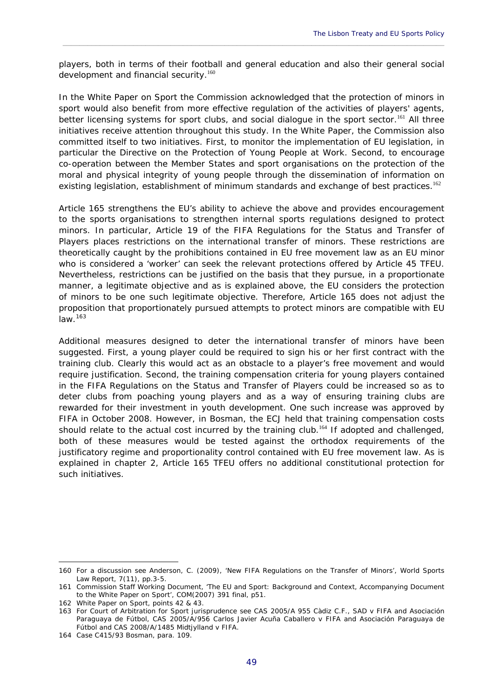players, both in terms of their football and general education and also their general social development and financial security.<sup>160</sup>

 $\_$  , and the set of the set of the set of the set of the set of the set of the set of the set of the set of the set of the set of the set of the set of the set of the set of the set of the set of the set of the set of th

In the White Paper on Sport the Commission acknowledged that the protection of minors in sport would also benefit from more effective regulation of the activities of players' agents, better licensing systems for sport clubs, and social dialogue in the sport sector.<sup>161</sup> All three initiatives receive attention throughout this study. In the White Paper, the Commission also committed itself to two initiatives. First, to monitor the implementation of EU legislation, in particular the Directive on the Protection of Young People at Work. Second, to encourage co-operation between the Member States and sport organisations on the protection of the moral and physical integrity of young people through the dissemination of information on existing legislation, establishment of minimum standards and exchange of best practices.<sup>162</sup>

Article 165 strengthens the EU's ability to achieve the above and provides encouragement to the sports organisations to strengthen internal sports regulations designed to protect minors. In particular, Article 19 of the FIFA Regulations for the Status and Transfer of Players places restrictions on the international transfer of minors. These restrictions are theoretically caught by the prohibitions contained in EU free movement law as an EU minor who is considered a 'worker' can seek the relevant protections offered by Article 45 TFEU. Nevertheless, restrictions can be justified on the basis that they pursue, in a proportionate manner, a legitimate objective and as is explained above, the EU considers the protection of minors to be one such legitimate objective. Therefore, Article 165 does not adjust the proposition that proportionately pursued attempts to protect minors are compatible with EU  $law.<sup>163</sup>$ 

Additional measures designed to deter the international transfer of minors have been suggested. First, a young player could be required to sign his or her first contract with the training club. Clearly this would act as an obstacle to a player's free movement and would require justification. Second, the training compensation criteria for young players contained in the FIFA Regulations on the Status and Transfer of Players could be increased so as to deter clubs from poaching young players and as a way of ensuring training clubs are rewarded for their investment in youth development. One such increase was approved by FIFA in October 2008. However, in *Bosman*, the ECJ held that training compensation costs should relate to the actual cost incurred by the training club.<sup>164</sup> If adopted and challenged, both of these measures would be tested against the orthodox requirements of the justificatory regime and proportionality control contained with EU free movement law. As is explained in chapter 2, Article 165 TFEU offers no additional constitutional protection for such initiatives.

<sup>160</sup> For a discussion see Anderson, C. (2009), 'New FIFA Regulations on the Transfer of Minors', World Sports Law Report, 7(11), pp.3-5.

<sup>161</sup> Commission Staff Working Document, 'The EU and Sport: Background and Context, Accompanying Document to the White Paper on Sport', COM(2007) 391 final, p51.

<sup>162</sup> White Paper on Sport, points 42 & 43.

<sup>163</sup> For Court of Arbitration for Sport jurisprudence see CAS 2005/A 955 Càdiz C.F., SAD v FIFA and Asociación Paraguaya de Fútbol, CAS 2005/A/956 Carlos Javier Acuña Caballero v FIFA and Asociación Paraguaya de Fútbol and CAS 2008/A/1485 Midtjylland v FIFA.

<sup>164</sup> Case C415/93 Bosman, para. 109.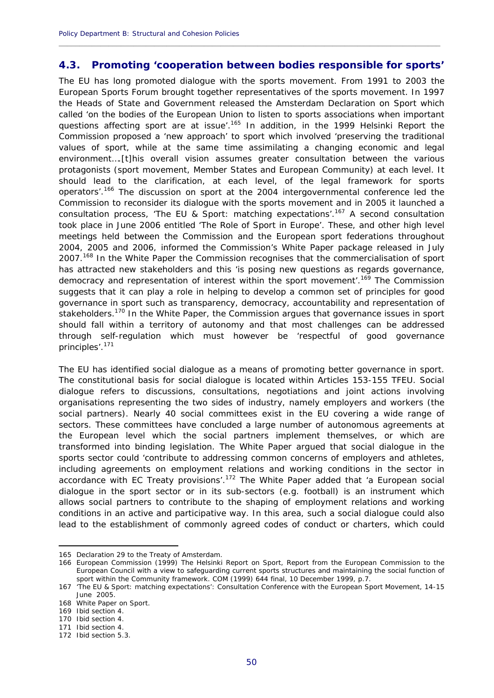#### **4.3. Promoting 'cooperation between bodies responsible for sports'**

**\_\_\_\_\_\_\_\_\_\_\_\_\_\_\_\_\_\_\_\_\_\_\_\_\_\_\_\_\_\_\_\_\_\_\_\_\_\_\_\_\_\_\_\_\_\_\_\_\_\_\_\_\_\_\_\_\_\_\_\_\_\_\_\_\_\_\_\_\_\_\_\_\_\_\_\_\_\_\_\_\_\_\_\_\_\_\_\_\_\_\_\_**

The EU has long promoted dialogue with the sports movement. From 1991 to 2003 the European Sports Forum brought together representatives of the sports movement. In 1997 the Heads of State and Government released the Amsterdam Declaration on Sport which called 'on the bodies of the European Union to listen to sports associations when important questions affecting sport are at issue'.<sup>165</sup> In addition, in the 1999 Helsinki Report the Commission proposed a 'new approach' to sport which involved 'preserving the traditional values of sport, while at the same time assimilating a changing economic and legal environment….[t]his overall vision assumes greater consultation between the various protagonists (sport movement, Member States and European Community) at each level. It should lead to the clarification, at each level, of the legal framework for sports operators'.<sup>166</sup> The discussion on sport at the 2004 intergovernmental conference led the Commission to reconsider its dialogue with the sports movement and in 2005 it launched a consultation process, 'The EU & Sport: matching expectations'.<sup>167</sup> A second consultation took place in June 2006 entitled 'The Role of Sport in Europe'. These, and other high level meetings held between the Commission and the European sport federations throughout 2004, 2005 and 2006, informed the Commission's White Paper package released in July 2007.<sup>168</sup> In the White Paper the Commission recognises that the commercialisation of sport has attracted new stakeholders and this 'is posing new questions as regards governance, democracy and representation of interest within the sport movement'.<sup>169</sup> The Commission suggests that it can play a role in helping to develop a common set of principles for good governance in sport such as transparency, democracy, accountability and representation of stakeholders.<sup>170</sup> In the White Paper, the Commission argues that governance issues in sport should fall within a territory of autonomy and that most challenges can be addressed through self-regulation which must however be 'respectful of good governance principles'.171

The EU has identified social dialogue as a means of promoting better governance in sport. The constitutional basis for social dialogue is located within Articles 153-155 TFEU. Social dialogue refers to discussions, consultations, negotiations and joint actions involving organisations representing the two sides of industry, namely employers and workers (the social partners). Nearly 40 social committees exist in the EU covering a wide range of sectors. These committees have concluded a large number of autonomous agreements at the European level which the social partners implement themselves, or which are transformed into binding legislation. The White Paper argued that social dialogue in the sports sector could 'contribute to addressing common concerns of employers and athletes, including agreements on employment relations and working conditions in the sector in accordance with EC Treaty provisions'.<sup>172</sup> The White Paper added that 'a European social dialogue in the sport sector or in its sub-sectors (e.g. football) is an instrument which allows social partners to contribute to the shaping of employment relations and working conditions in an active and participative way. In this area, such a social dialogue could also lead to the establishment of commonly agreed codes of conduct or charters, which could

<u>.</u>

<sup>165</sup> Declaration 29 to the Treaty of Amsterdam.

<sup>166</sup> European Commission (1999) The Helsinki Report on Sport, Report from the European Commission to the European Council with a view to safeguarding current sports structures and maintaining the social function of sport within the Community framework. COM (1999) 644 final, 10 December 1999, p.7.

<sup>167 &#</sup>x27;The EU & Sport: matching expectations': Consultation Conference with the European Sport Movement, 14-15 June 2005.

<sup>168</sup> White Paper on Sport.

<sup>169</sup> Ibid section 4.

<sup>170</sup> Ibid section 4.

<sup>171</sup> Ibid section 4.

<sup>172</sup> Ibid section 5.3.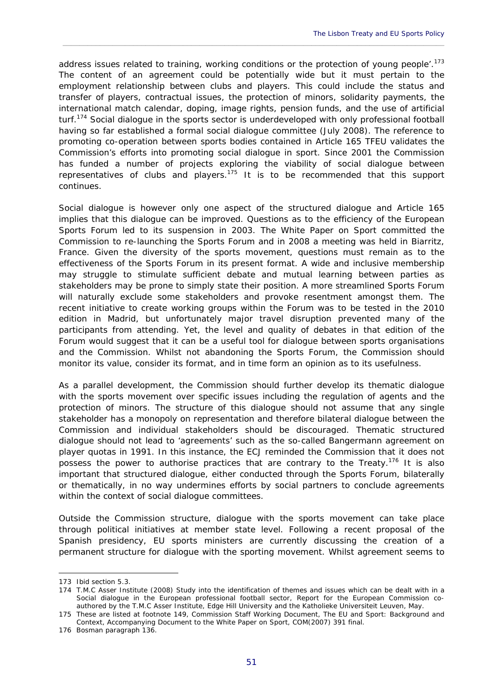address issues related to training, working conditions or the protection of young people'.<sup>173</sup> The content of an agreement could be potentially wide but it must pertain to the employment relationship between clubs and players. This could include the status and transfer of players, contractual issues, the protection of minors, solidarity payments, the international match calendar, doping, image rights, pension funds, and the use of artificial turf.<sup>174</sup> Social dialogue in the sports sector is underdeveloped with only professional football having so far established a formal social dialogue committee (July 2008). The reference to promoting co-operation between sports bodies contained in Article 165 TFEU validates the Commission's efforts into promoting social dialogue in sport. Since 2001 the Commission has funded a number of projects exploring the viability of social dialogue between representatives of clubs and players.<sup>175</sup> It is to be recommended that this support continues.

 $\_$  , and the set of the set of the set of the set of the set of the set of the set of the set of the set of the set of the set of the set of the set of the set of the set of the set of the set of the set of the set of th

Social dialogue is however only one aspect of the structured dialogue and Article 165 implies that this dialogue can be improved. Questions as to the efficiency of the European Sports Forum led to its suspension in 2003. The White Paper on Sport committed the Commission to re-launching the Sports Forum and in 2008 a meeting was held in Biarritz, France. Given the diversity of the sports movement, questions must remain as to the effectiveness of the Sports Forum in its present format. A wide and inclusive membership may struggle to stimulate sufficient debate and mutual learning between parties as stakeholders may be prone to simply state their position. A more streamlined Sports Forum will naturally exclude some stakeholders and provoke resentment amongst them. The recent initiative to create working groups within the Forum was to be tested in the 2010 edition in Madrid, but unfortunately major travel disruption prevented many of the participants from attending. Yet, the level and quality of debates in that edition of the Forum would suggest that it can be a useful tool for dialogue between sports organisations and the Commission. Whilst not abandoning the Sports Forum, the Commission should monitor its value, consider its format, and in time form an opinion as to its usefulness.

As a parallel development, the Commission should further develop its thematic dialogue with the sports movement over specific issues including the regulation of agents and the protection of minors. The structure of this dialogue should not assume that any single stakeholder has a monopoly on representation and therefore bilateral dialogue between the Commission and individual stakeholders should be discouraged. Thematic structured dialogue should not lead to 'agreements' such as the so-called Bangermann agreement on player quotas in 1991. In this instance, the ECJ reminded the Commission that it does not possess the power to authorise practices that are contrary to the Treaty.<sup>176</sup> It is also important that structured dialogue, either conducted through the Sports Forum, bilaterally or thematically, in no way undermines efforts by social partners to conclude agreements within the context of social dialogue committees.

Outside the Commission structure, dialogue with the sports movement can take place through political initiatives at member state level. Following a recent proposal of the Spanish presidency, EU sports ministers are currently discussing the creation of a permanent structure for dialogue with the sporting movement. Whilst agreement seems to

<sup>173</sup> Ibid section 5.3.

<sup>174</sup> T.M.C Asser Institute (2008) Study into the identification of themes and issues which can be dealt with in a Social dialogue in the European professional football sector, Report for the European Commission coauthored by the T.M.C Asser Institute, Edge Hill University and the Katholieke Universiteit Leuven, May.

<sup>175</sup> These are listed at footnote 149, Commission Staff Working Document, The EU and Sport: Background and Context, Accompanying Document to the White Paper on Sport, COM(2007) 391 final.

<sup>176</sup> Bosman paragraph 136.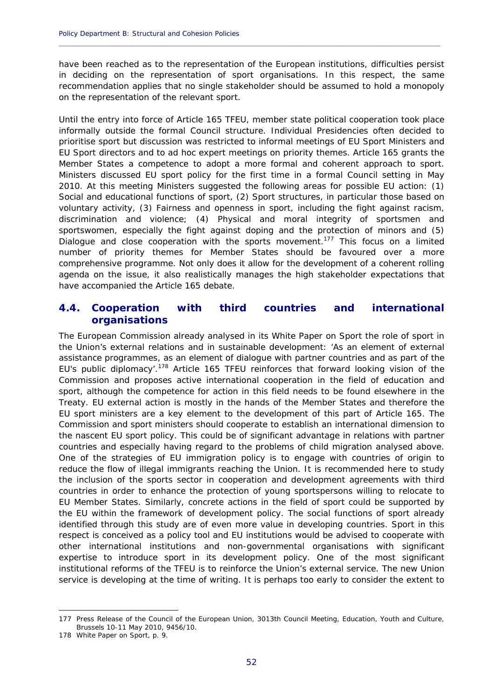have been reached as to the representation of the European institutions, difficulties persist in deciding on the representation of sport organisations. In this respect, the same recommendation applies that no single stakeholder should be assumed to hold a monopoly on the representation of the relevant sport.

**\_\_\_\_\_\_\_\_\_\_\_\_\_\_\_\_\_\_\_\_\_\_\_\_\_\_\_\_\_\_\_\_\_\_\_\_\_\_\_\_\_\_\_\_\_\_\_\_\_\_\_\_\_\_\_\_\_\_\_\_\_\_\_\_\_\_\_\_\_\_\_\_\_\_\_\_\_\_\_\_\_\_\_\_\_\_\_\_\_\_\_\_**

Until the entry into force of Article 165 TFEU, member state political cooperation took place informally outside the formal Council structure. Individual Presidencies often decided to prioritise sport but discussion was restricted to informal meetings of EU Sport Ministers and EU Sport directors and to *ad hoc* expert meetings on priority themes. Article 165 grants the Member States a competence to adopt a more formal and coherent approach to sport. Ministers discussed EU sport policy for the first time in a formal Council setting in May 2010. At this meeting Ministers suggested the following areas for possible EU action: (1) Social and educational functions of sport, (2) Sport structures, in particular those based on voluntary activity, (3) Fairness and openness in sport, including the fight against racism, discrimination and violence; (4) Physical and moral integrity of sportsmen and sportswomen, especially the fight against doping and the protection of minors and (5) Dialogue and close cooperation with the sports movement.<sup>177</sup> This focus on a limited number of priority themes for Member States should be favoured over a more comprehensive programme. Not only does it allow for the development of a coherent rolling agenda on the issue, it also realistically manages the high stakeholder expectations that have accompanied the Article 165 debate.

## **4.4. Cooperation with third countries and international organisations**

The European Commission already analysed in its White Paper on Sport the role of sport in the Union's external relations and in sustainable development: 'As an element of external assistance programmes, as an element of dialogue with partner countries and as part of the EU's public diplomacy'.<sup>178</sup> Article 165 TFEU reinforces that forward looking vision of the Commission and proposes active international cooperation in the field of education and sport, although the competence for action in this field needs to be found elsewhere in the Treaty. EU external action is mostly in the hands of the Member States and therefore the EU sport ministers are a key element to the development of this part of Article 165. The Commission and sport ministers should cooperate to establish an international dimension to the nascent EU sport policy. This could be of significant advantage in relations with partner countries and especially having regard to the problems of child migration analysed above. One of the strategies of EU immigration policy is to engage with countries of origin to reduce the flow of illegal immigrants reaching the Union. It is recommended here to study the inclusion of the sports sector in cooperation and development agreements with third countries in order to enhance the protection of young sportspersons willing to relocate to EU Member States. Similarly, concrete actions in the field of sport could be supported by the EU within the framework of development policy. The social functions of sport already identified through this study are of even more value in developing countries. Sport in this respect is conceived as a policy tool and EU institutions would be advised to cooperate with other international institutions and non-governmental organisations with significant expertise to introduce sport in its development policy. One of the most significant institutional reforms of the TFEU is to reinforce the Union's external service. The new Union service is developing at the time of writing. It is perhaps too early to consider the extent to

<sup>1</sup> 177 Press Release of the Council of the European Union, 3013th Council Meeting, Education, Youth and Culture, Brussels 10-11 May 2010, 9456/10.

<sup>178</sup> White Paper on Sport, p. 9.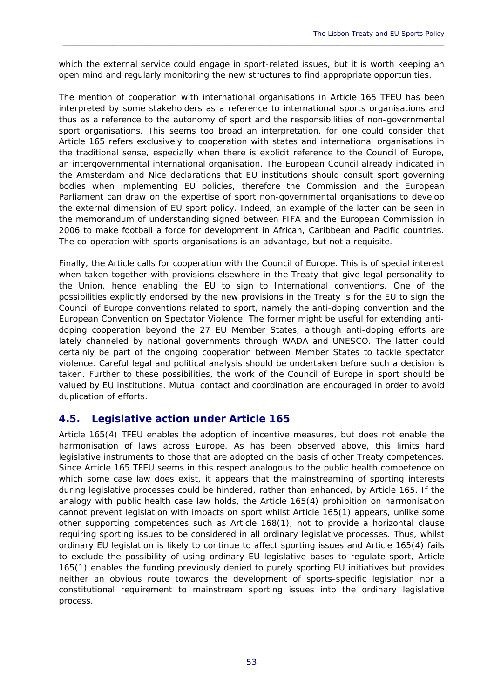which the external service could engage in sport-related issues, but it is worth keeping an open mind and regularly monitoring the new structures to find appropriate opportunities.

 $\_$  , and the set of the set of the set of the set of the set of the set of the set of the set of the set of the set of the set of the set of the set of the set of the set of the set of the set of the set of the set of th

The mention of cooperation with international organisations in Article 165 TFEU has been interpreted by some stakeholders as a reference to international sports organisations and thus as a reference to the autonomy of sport and the responsibilities of non-governmental sport organisations. This seems too broad an interpretation, for one could consider that Article 165 refers exclusively to cooperation with states and international organisations in the traditional sense, especially when there is explicit reference to the Council of Europe, an intergovernmental international organisation. The European Council already indicated in the Amsterdam and Nice declarations that EU institutions should consult sport governing bodies when implementing EU policies, therefore the Commission and the European Parliament can draw on the expertise of sport non-governmental organisations to develop the external dimension of EU sport policy. Indeed, an example of the latter can be seen in the memorandum of understanding signed between FIFA and the European Commission in 2006 to make football a force for development in African, Caribbean and Pacific countries. The co-operation with sports organisations is an advantage, but not a requisite.

Finally, the Article calls for cooperation with the Council of Europe. This is of special interest when taken together with provisions elsewhere in the Treaty that give legal personality to the Union, hence enabling the EU to sign to International conventions. One of the possibilities explicitly endorsed by the new provisions in the Treaty is for the EU to sign the Council of Europe conventions related to sport, namely the anti-doping convention and the European Convention on Spectator Violence. The former might be useful for extending antidoping cooperation beyond the 27 EU Member States, although anti-doping efforts are lately channeled by national governments through WADA and UNESCO. The latter could certainly be part of the ongoing cooperation between Member States to tackle spectator violence. Careful legal and political analysis should be undertaken before such a decision is taken. Further to these possibilities, the work of the Council of Europe in sport should be valued by EU institutions. Mutual contact and coordination are encouraged in order to avoid duplication of efforts.

## **4.5. Legislative action under Article 165**

Article 165(4) TFEU enables the adoption of incentive measures, but does not enable the harmonisation of laws across Europe. As has been observed above, this limits hard legislative instruments to those that are adopted on the basis of other Treaty competences. Since Article 165 TFEU seems in this respect analogous to the public health competence on which some case law does exist, it appears that the mainstreaming of sporting interests during legislative processes could be hindered, rather than enhanced, by Article 165. If the analogy with public health case law holds, the Article 165(4) prohibition on harmonisation cannot prevent legislation with impacts on sport whilst Article 165(1) appears, unlike some other supporting competences such as Article 168(1), not to provide a horizontal clause requiring sporting issues to be considered in all ordinary legislative processes. Thus, whilst ordinary EU legislation is likely to continue to affect sporting issues and Article 165(4) fails to exclude the possibility of using ordinary EU legislative bases to regulate sport, Article 165(1) enables the funding previously denied to purely sporting EU initiatives but provides neither an obvious route towards the development of sports-specific legislation nor a constitutional requirement to mainstream sporting issues into the ordinary legislative process.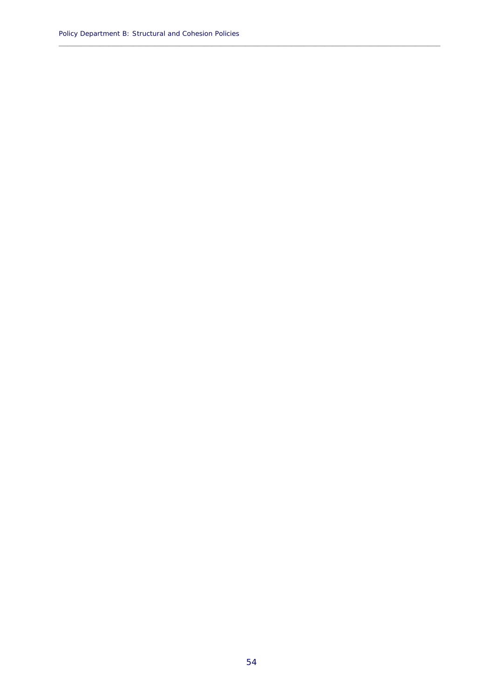**\_\_\_\_\_\_\_\_\_\_\_\_\_\_\_\_\_\_\_\_\_\_\_\_\_\_\_\_\_\_\_\_\_\_\_\_\_\_\_\_\_\_\_\_\_\_\_\_\_\_\_\_\_\_\_\_\_\_\_\_\_\_\_\_\_\_\_\_\_\_\_\_\_\_\_\_\_\_\_\_\_\_\_\_\_\_\_\_\_\_\_\_**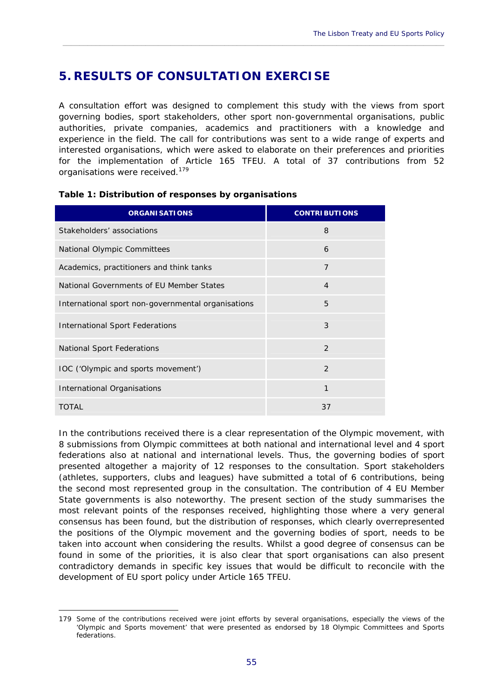# **5. RESULTS OF CONSULTATION EXERCISE**

A consultation effort was designed to complement this study with the views from sport governing bodies, sport stakeholders, other sport non-governmental organisations, public authorities, private companies, academics and practitioners with a knowledge and experience in the field. The call for contributions was sent to a wide range of experts and interested organisations, which were asked to elaborate on their preferences and priorities for the implementation of Article 165 TFEU. A total of 37 contributions from 52 organisations were received.<sup>179</sup>

 $\_$  , and the set of the set of the set of the set of the set of the set of the set of the set of the set of the set of the set of the set of the set of the set of the set of the set of the set of the set of the set of th

| <b>ORGANISATIONS</b>                               | <b>CONTRIBUTIONS</b> |
|----------------------------------------------------|----------------------|
| Stakeholders' associations                         | 8                    |
| National Olympic Committees                        | 6                    |
| Academics, practitioners and think tanks           | $\overline{7}$       |
| National Governments of EU Member States           | $\overline{4}$       |
| International sport non-governmental organisations | 5                    |
| <b>International Sport Federations</b>             | 3                    |
| <b>National Sport Federations</b>                  | $\mathcal{P}$        |
| IOC ('Olympic and sports movement')                | $\mathcal{P}$        |
| International Organisations                        | 1                    |
| TOTAL                                              | 37                   |

#### **Table 1: Distribution of responses by organisations**

In the contributions received there is a clear representation of the Olympic movement, with 8 submissions from Olympic committees at both national and international level and 4 sport federations also at national and international levels. Thus, the governing bodies of sport presented altogether a majority of 12 responses to the consultation. Sport stakeholders (athletes, supporters, clubs and leagues) have submitted a total of 6 contributions, being the second most represented group in the consultation. The contribution of 4 EU Member State governments is also noteworthy. The present section of the study summarises the most relevant points of the responses received, highlighting those where a very general consensus has been found, but the distribution of responses, which clearly overrepresented the positions of the Olympic movement and the governing bodies of sport, needs to be taken into account when considering the results. Whilst a good degree of consensus can be found in some of the priorities, it is also clear that sport organisations can also present contradictory demands in specific key issues that would be difficult to reconcile with the development of EU sport policy under Article 165 TFEU.

<sup>1</sup> 179 Some of the contributions received were joint efforts by several organisations, especially the views of the 'Olympic and Sports movement' that were presented as endorsed by 18 Olympic Committees and Sports federations.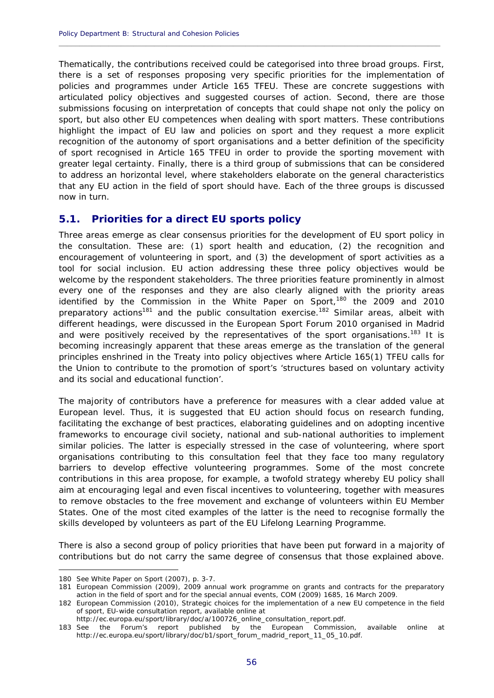Thematically, the contributions received could be categorised into three broad groups. First, there is a set of responses proposing very specific priorities for the implementation of policies and programmes under Article 165 TFEU. These are concrete suggestions with articulated policy objectives and suggested courses of action. Second, there are those submissions focusing on interpretation of concepts that could shape not only the policy on sport, but also other EU competences when dealing with sport matters. These contributions highlight the impact of EU law and policies on sport and they request a more explicit recognition of the autonomy of sport organisations and a better definition of the specificity of sport recognised in Article 165 TFEU in order to provide the sporting movement with greater legal certainty. Finally, there is a third group of submissions that can be considered to address an horizontal level, where stakeholders elaborate on the general characteristics that any EU action in the field of sport should have. Each of the three groups is discussed now in turn.

**\_\_\_\_\_\_\_\_\_\_\_\_\_\_\_\_\_\_\_\_\_\_\_\_\_\_\_\_\_\_\_\_\_\_\_\_\_\_\_\_\_\_\_\_\_\_\_\_\_\_\_\_\_\_\_\_\_\_\_\_\_\_\_\_\_\_\_\_\_\_\_\_\_\_\_\_\_\_\_\_\_\_\_\_\_\_\_\_\_\_\_\_**

## **5.1. Priorities for a direct EU sports policy**

Three areas emerge as clear consensus priorities for the development of EU sport policy in the consultation. These are: (1) sport health and education, (2) the recognition and encouragement of volunteering in sport, and (3) the development of sport activities as a tool for social inclusion. EU action addressing these three policy objectives would be welcome by the respondent stakeholders. The three priorities feature prominently in almost every one of the responses and they are also clearly aligned with the priority areas identified by the Commission in the White Paper on Sport, $180$  the 2009 and 2010 preparatory actions<sup>181</sup> and the public consultation exercise.<sup>182</sup> Similar areas, albeit with different headings, were discussed in the European Sport Forum 2010 organised in Madrid and were positively received by the representatives of the sport organisations.<sup>183</sup> It is becoming increasingly apparent that these areas emerge as the translation of the general principles enshrined in the Treaty into policy objectives where Article 165(1) TFEU calls for the Union to contribute to the promotion of sport's 'structures based on voluntary activity and its social and educational function'.

The majority of contributors have a preference for measures with a clear added value at European level. Thus, it is suggested that EU action should focus on research funding, facilitating the exchange of best practices, elaborating guidelines and on adopting incentive frameworks to encourage civil society, national and sub-national authorities to implement similar policies. The latter is especially stressed in the case of volunteering, where sport organisations contributing to this consultation feel that they face too many regulatory barriers to develop effective volunteering programmes. Some of the most concrete contributions in this area propose, for example, a twofold strategy whereby EU policy shall aim at encouraging legal and even fiscal incentives to volunteering, together with measures to remove obstacles to the free movement and exchange of volunteers within EU Member States. One of the most cited examples of the latter is the need to recognise formally the skills developed by volunteers as part of the EU Lifelong Learning Programme.

There is also a second group of policy priorities that have been put forward in a majority of contributions but do not carry the same degree of consensus that those explained above.

<sup>180</sup> See White Paper on Sport (2007), p. 3-7.

<sup>181</sup> European Commission (2009), 2009 annual work programme on grants and contracts for the preparatory action in the field of sport and for the special annual events, COM (2009) 1685, 16 March 2009.

<sup>182</sup> European Commission (2010), Strategic choices for the implementation of a new EU competence in the field of sport, EU-wide consultation report, available online at

http://ec.europa.eu/sport/library/doc/a/100726\_online\_consultation\_report.pdf.

<sup>183</sup> See the Forum's report published by the European Commission, available online at http://ec.europa.eu/sport/library/doc/b1/sport\_forum\_madrid\_report\_11\_05\_10.pdf.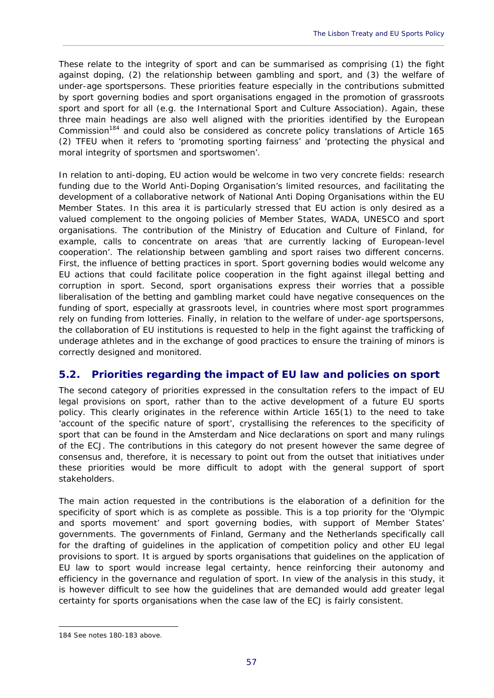These relate to the integrity of sport and can be summarised as comprising (1) the fight against doping, (2) the relationship between gambling and sport, and (3) the welfare of under-age sportspersons. These priorities feature especially in the contributions submitted by sport governing bodies and sport organisations engaged in the promotion of grassroots sport and sport for all (e.g. the International Sport and Culture Association). Again, these three main headings are also well aligned with the priorities identified by the European Commission<sup>184</sup> and could also be considered as concrete policy translations of Article 165 (2) TFEU when it refers to 'promoting sporting fairness' and 'protecting the physical and moral integrity of sportsmen and sportswomen'.

 $\_$  , and the set of the set of the set of the set of the set of the set of the set of the set of the set of the set of the set of the set of the set of the set of the set of the set of the set of the set of the set of th

In relation to anti-doping, EU action would be welcome in two very concrete fields: research funding due to the World Anti-Doping Organisation's limited resources, and facilitating the development of a collaborative network of National Anti Doping Organisations within the EU Member States. In this area it is particularly stressed that EU action is only desired as a valued complement to the ongoing policies of Member States, WADA, UNESCO and sport organisations. The contribution of the Ministry of Education and Culture of Finland, for example, calls to concentrate on areas 'that are currently lacking of European-level cooperation'. The relationship between gambling and sport raises two different concerns. First, the influence of betting practices in sport. Sport governing bodies would welcome any EU actions that could facilitate police cooperation in the fight against illegal betting and corruption in sport. Second, sport organisations express their worries that a possible liberalisation of the betting and gambling market could have negative consequences on the funding of sport, especially at grassroots level, in countries where most sport programmes rely on funding from lotteries. Finally, in relation to the welfare of under-age sportspersons, the collaboration of EU institutions is requested to help in the fight against the trafficking of underage athletes and in the exchange of good practices to ensure the training of minors is correctly designed and monitored.

## **5.2. Priorities regarding the impact of EU law and policies on sport**

The second category of priorities expressed in the consultation refers to the impact of EU legal provisions on sport, rather than to the active development of a future EU sports policy. This clearly originates in the reference within Article 165(1) to the need to take 'account of the specific nature of sport', crystallising the references to the specificity of sport that can be found in the Amsterdam and Nice declarations on sport and many rulings of the ECJ. The contributions in this category do not present however the same degree of consensus and, therefore, it is necessary to point out from the outset that initiatives under these priorities would be more difficult to adopt with the general support of sport stakeholders.

The main action requested in the contributions is the elaboration of a definition for the specificity of sport which is as complete as possible. This is a top priority for the 'Olympic and sports movement' and sport governing bodies, with support of Member States' governments. The governments of Finland, Germany and the Netherlands specifically call for the drafting of guidelines in the application of competition policy and other EU legal provisions to sport. It is argued by sports organisations that guidelines on the application of EU law to sport would increase legal certainty, hence reinforcing their autonomy and efficiency in the governance and regulation of sport. In view of the analysis in this study, it is however difficult to see how the guidelines that are demanded would add greater legal certainty for sports organisations when the case law of the ECJ is fairly consistent.

<sup>184</sup> See notes 180-183 above.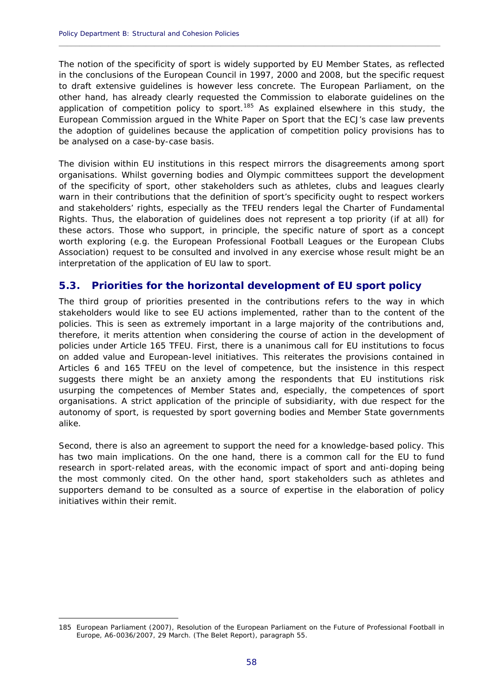The notion of the specificity of sport is widely supported by EU Member States, as reflected in the conclusions of the European Council in 1997, 2000 and 2008, but the specific request to draft extensive guidelines is however less concrete. The European Parliament, on the other hand, has already clearly requested the Commission to elaborate guidelines on the application of competition policy to sport.<sup>185</sup> As explained elsewhere in this study, the European Commission argued in the White Paper on Sport that the ECJ's case law prevents the adoption of guidelines because the application of competition policy provisions has to be analysed on a case-by-case basis.

**\_\_\_\_\_\_\_\_\_\_\_\_\_\_\_\_\_\_\_\_\_\_\_\_\_\_\_\_\_\_\_\_\_\_\_\_\_\_\_\_\_\_\_\_\_\_\_\_\_\_\_\_\_\_\_\_\_\_\_\_\_\_\_\_\_\_\_\_\_\_\_\_\_\_\_\_\_\_\_\_\_\_\_\_\_\_\_\_\_\_\_\_**

The division within EU institutions in this respect mirrors the disagreements among sport organisations. Whilst governing bodies and Olympic committees support the development of the specificity of sport, other stakeholders such as athletes, clubs and leagues clearly warn in their contributions that the definition of sport's specificity ought to respect workers and stakeholders' rights, especially as the TFEU renders legal the Charter of Fundamental Rights. Thus, the elaboration of guidelines does not represent a top priority (if at all) for these actors. Those who support, in principle, the specific nature of sport as a concept worth exploring (e.g. the European Professional Football Leagues or the European Clubs Association) request to be consulted and involved in any exercise whose result might be an interpretation of the application of EU law to sport.

#### **5.3. Priorities for the horizontal development of EU sport policy**

The third group of priorities presented in the contributions refers to the way in which stakeholders would like to see EU actions implemented, rather than to the content of the policies. This is seen as extremely important in a large majority of the contributions and, therefore, it merits attention when considering the course of action in the development of policies under Article 165 TFEU. First, there is a unanimous call for EU institutions to focus on added value and European-level initiatives. This reiterates the provisions contained in Articles 6 and 165 TFEU on the level of competence, but the insistence in this respect suggests there might be an anxiety among the respondents that EU institutions risk usurping the competences of Member States and, especially, the competences of sport organisations. A strict application of the principle of subsidiarity, with due respect for the autonomy of sport, is requested by sport governing bodies and Member State governments alike.

Second, there is also an agreement to support the need for a knowledge-based policy. This has two main implications. On the one hand, there is a common call for the EU to fund research in sport-related areas, with the economic impact of sport and anti-doping being the most commonly cited. On the other hand, sport stakeholders such as athletes and supporters demand to be consulted as a source of expertise in the elaboration of policy initiatives within their remit.

<sup>185</sup> European Parliament (2007), Resolution of the European Parliament on the Future of Professional Football in Europe, A6-0036/2007, 29 March. (The Belet Report), paragraph 55.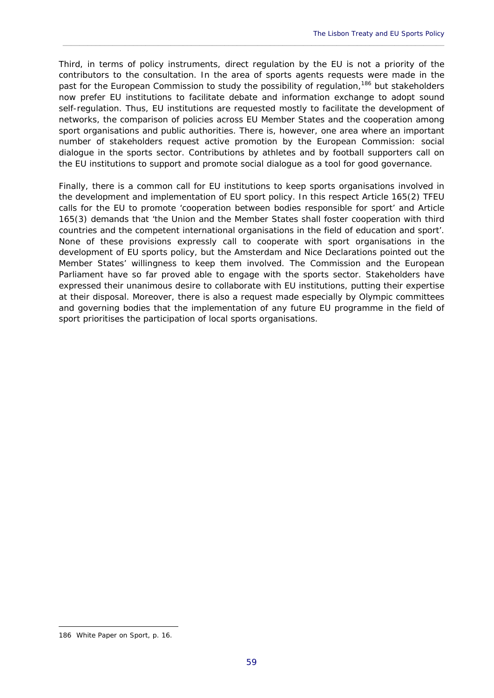Third, in terms of policy instruments, direct regulation by the EU is not a priority of the contributors to the consultation. In the area of sports agents requests were made in the past for the European Commission to study the possibility of regulation,<sup>186</sup> but stakeholders now prefer EU institutions to facilitate debate and information exchange to adopt sound self-regulation. Thus, EU institutions are requested mostly to facilitate the development of networks, the comparison of policies across EU Member States and the cooperation among sport organisations and public authorities. There is, however, one area where an important number of stakeholders request active promotion by the European Commission: social dialogue in the sports sector. Contributions by athletes and by football supporters call on the EU institutions to support and promote social dialogue as a tool for good governance.

 $\_$  , and the set of the set of the set of the set of the set of the set of the set of the set of the set of the set of the set of the set of the set of the set of the set of the set of the set of the set of the set of th

Finally, there is a common call for EU institutions to keep sports organisations involved in the development and implementation of EU sport policy. In this respect Article 165(2) TFEU calls for the EU to promote 'cooperation between bodies responsible for sport' and Article 165(3) demands that 'the Union and the Member States shall foster cooperation with third countries and the competent international organisations in the field of education and sport'. None of these provisions expressly call to cooperate *with* sport organisations in the development of EU sports policy, but the Amsterdam and Nice Declarations pointed out the Member States' willingness to keep them involved. The Commission and the European Parliament have so far proved able to engage with the sports sector. Stakeholders have expressed their unanimous desire to collaborate with EU institutions, putting their expertise at their disposal. Moreover, there is also a request made especially by Olympic committees and governing bodies that the implementation of any future EU programme in the field of sport prioritises the participation of local sports organisations.

<sup>186</sup> White Paper on Sport, p. 16.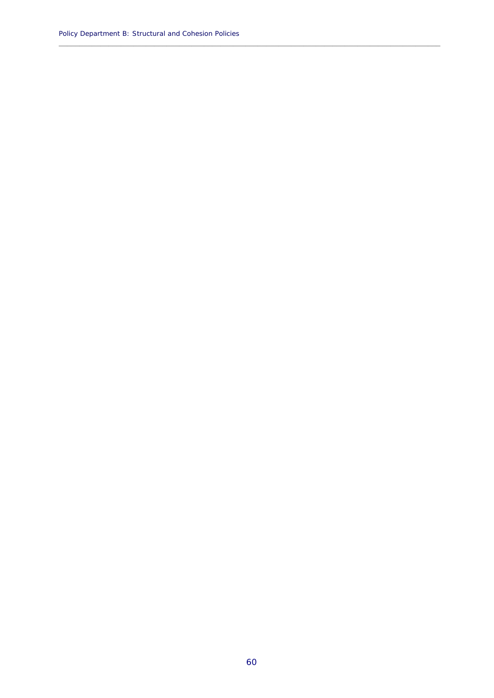**\_\_\_\_\_\_\_\_\_\_\_\_\_\_\_\_\_\_\_\_\_\_\_\_\_\_\_\_\_\_\_\_\_\_\_\_\_\_\_\_\_\_\_\_\_\_\_\_\_\_\_\_\_\_\_\_\_\_\_\_\_\_\_\_\_\_\_\_\_\_\_\_\_\_\_\_\_\_\_\_\_\_\_\_\_\_\_\_\_\_\_\_**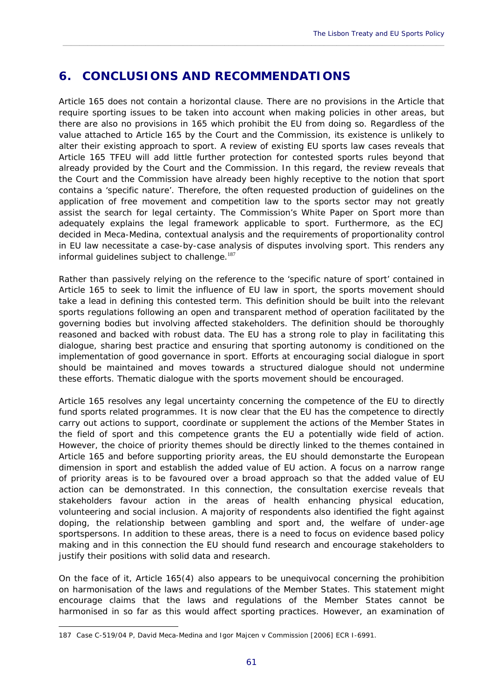# **6. CONCLUSIONS AND RECOMMENDATIONS**

Article 165 does not contain a horizontal clause. There are no provisions in the Article that require sporting issues to be taken into account when making policies in other areas, but there are also no provisions in 165 which prohibit the EU from doing so. Regardless of the value attached to Article 165 by the Court and the Commission, its existence is unlikely to alter their existing approach to sport. A review of existing EU sports law cases reveals that Article 165 TFEU will add little further protection for contested sports rules beyond that already provided by the Court and the Commission. In this regard, the review reveals that the Court and the Commission have already been highly receptive to the notion that sport contains a 'specific nature'. Therefore, the often requested production of guidelines on the application of free movement and competition law to the sports sector may not greatly assist the search for legal certainty. The Commission's White Paper on Sport more than adequately explains the legal framework applicable to sport. Furthermore, as the ECJ decided in *Meca-Medina*, contextual analysis and the requirements of proportionality control in EU law necessitate a case-by-case analysis of disputes involving sport. This renders any informal guidelines subject to challenge. $187$ 

 $\_$  , and the set of the set of the set of the set of the set of the set of the set of the set of the set of the set of the set of the set of the set of the set of the set of the set of the set of the set of the set of th

Rather than passively relying on the reference to the 'specific nature of sport' contained in Article 165 to seek to limit the influence of EU law in sport, the sports movement should take a lead in defining this contested term. This definition should be built into the relevant sports regulations following an open and transparent method of operation facilitated by the governing bodies but involving affected stakeholders. The definition should be thoroughly reasoned and backed with robust data. The EU has a strong role to play in facilitating this dialogue, sharing best practice and ensuring that sporting autonomy is conditioned on the implementation of good governance in sport. Efforts at encouraging social dialogue in sport should be maintained and moves towards a structured dialogue should not undermine these efforts. Thematic dialogue with the sports movement should be encouraged.

Article 165 resolves any legal uncertainty concerning the competence of the EU to directly fund sports related programmes. It is now clear that the EU has the competence to directly carry out actions to support, coordinate or supplement the actions of the Member States in the field of sport and this competence grants the EU a potentially wide field of action. However, the choice of priority themes should be directly linked to the themes contained in Article 165 and before supporting priority areas, the EU should demonstarte the European dimension in sport and establish the added value of EU action. A focus on a narrow range of priority areas is to be favoured over a broad approach so that the added value of EU action can be demonstrated. In this connection, the consultation exercise reveals that stakeholders favour action in the areas of health enhancing physical education, volunteering and social inclusion. A majority of respondents also identified the fight against doping, the relationship between gambling and sport and, the welfare of under-age sportspersons. In addition to these areas, there is a need to focus on evidence based policy making and in this connection the EU should fund research and encourage stakeholders to justify their positions with solid data and research.

On the face of it, Article 165(4) also appears to be unequivocal concerning the prohibition on harmonisation of the laws and regulations of the Member States. This statement might encourage claims that the laws and regulations of the Member States cannot be harmonised in so far as this would affect sporting practices. However, an examination of

<sup>1</sup> 187 Case C-519/04 P, David Meca-Medina and Igor Majcen v Commission [2006] ECR I-6991.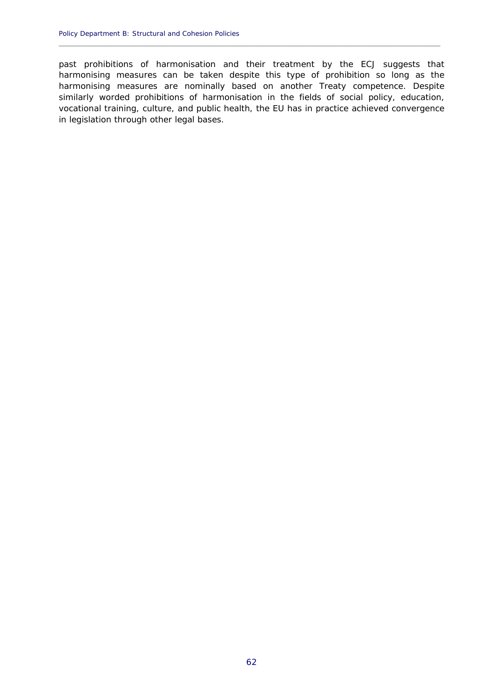past prohibitions of harmonisation and their treatment by the ECJ suggests that harmonising measures can be taken despite this type of prohibition so long as the harmonising measures are nominally based on another Treaty competence. Despite similarly worded prohibitions of harmonisation in the fields of social policy, education, vocational training, culture, and public health, the EU has in practice achieved convergence in legislation through other legal bases.

**\_\_\_\_\_\_\_\_\_\_\_\_\_\_\_\_\_\_\_\_\_\_\_\_\_\_\_\_\_\_\_\_\_\_\_\_\_\_\_\_\_\_\_\_\_\_\_\_\_\_\_\_\_\_\_\_\_\_\_\_\_\_\_\_\_\_\_\_\_\_\_\_\_\_\_\_\_\_\_\_\_\_\_\_\_\_\_\_\_\_\_\_**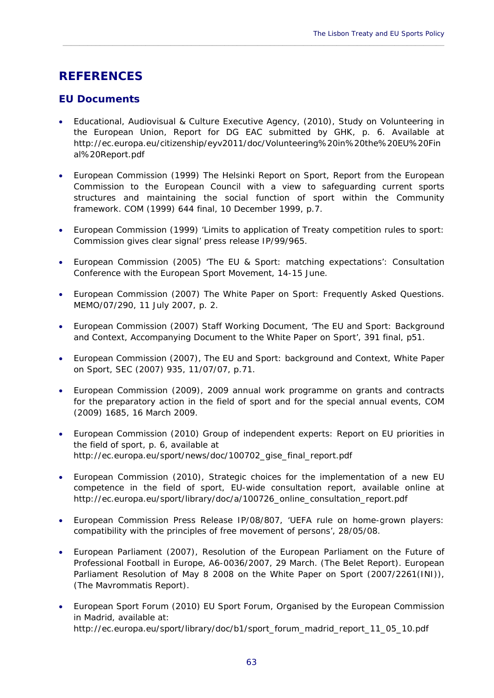## **REFERENCES**

## **EU Documents**

 Educational, Audiovisual & Culture Executive Agency, (2010), *Study on Volunteering in the European Union,* Report for DG EAC submitted by GHK, p. 6. Available at http://ec.europa.eu/citizenship/eyv2011/doc/Volunteering%20in%20the%20EU%20Fin al%20Report.pdf

 $\_$  , and the set of the set of the set of the set of the set of the set of the set of the set of the set of the set of the set of the set of the set of the set of the set of the set of the set of the set of the set of th

- European Commission (1999) *The Helsinki Report on Sport,* Report from the European Commission to the European Council with a view to safeguarding current sports structures and maintaining the social function of sport within the Community framework. COM (1999) 644 final, 10 December 1999, p.7.
- European Commission (1999) *'Limits to application of Treaty competition rules to sport: Commission gives clear signal'* press release IP/99/965.
- European Commission (2005) *'The EU & Sport: matching expectations': Consultation Conference with the European Sport Movement*, 14-15 June.
- European Commission (2007) *The White Paper on Sport: Frequently Asked Questions*. MEMO/07/290, 11 July 2007, p. 2.
- European Commission (2007) *Staff Working Document, 'The EU and Sport: Background and Context, Accompanying Document to the White Paper on Sport'*, 391 final, p51.
- European Commission (2007), *The EU and Sport: background and Context, White Paper on Sport*, SEC (2007) 935, 11/07/07, p.71.
- European Commission (2009), *2009 annual work programme on grants and contracts for the preparatory action in the field of sport and for the special annual events*, COM (2009) 1685, 16 March 2009.
- European Commission (2010) *Group of independent experts: Report on EU priorities in the field of sport*, p. 6, available at http://ec.europa.eu/sport/news/doc/100702\_gise\_final\_report.pdf
- European Commission (2010), *Strategic choices for the implementation of a new EU competence in the field of sport, EU-wide consultation report*, available online at http://ec.europa.eu/sport/library/doc/a/100726\_online\_consultation\_report.pdf
- European Commission Press Release IP/08/807, *'UEFA rule on home-grown players: compatibility with the principles of free movement of persons'*, 28/05/08.
- European Parliament (2007), *Resolution of the European Parliament on the Future of Professional Football in Europe,* A6-0036/2007, 29 March. (The Belet Report). European Parliament Resolution of May 8 2008 on the White Paper on Sport (2007/2261(INI)), (The Mavrommatis Report).
- European Sport Forum (2010) *EU Sport Forum,* Organised by the European Commission in Madrid, available at: http://ec.europa.eu/sport/library/doc/b1/sport\_forum\_madrid\_report\_11\_05\_10.pdf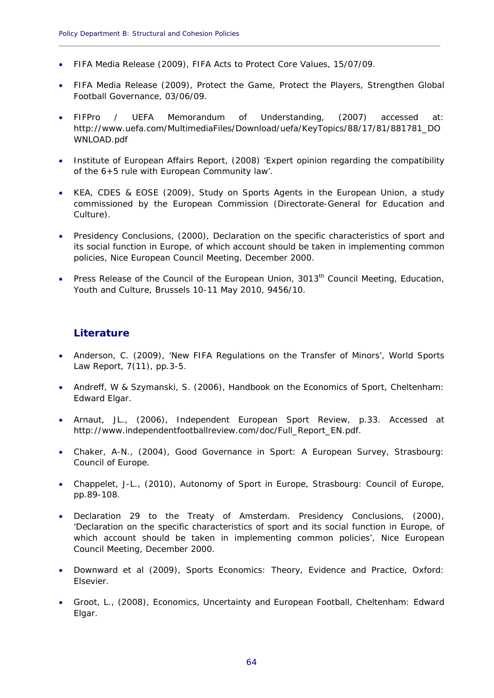- FIFA Media Release (2009), *FIFA Acts to Protect Core Values*, 15/07/09.
- FIFA Media Release (2009), *Protect the Game, Protect the Players*, Strengthen Global Football Governance, 03/06/09.

**\_\_\_\_\_\_\_\_\_\_\_\_\_\_\_\_\_\_\_\_\_\_\_\_\_\_\_\_\_\_\_\_\_\_\_\_\_\_\_\_\_\_\_\_\_\_\_\_\_\_\_\_\_\_\_\_\_\_\_\_\_\_\_\_\_\_\_\_\_\_\_\_\_\_\_\_\_\_\_\_\_\_\_\_\_\_\_\_\_\_\_\_**

- FIFPro / UEFA Memorandum of Understanding, (2007) accessed at: http://www.uefa.com/MultimediaFiles/Download/uefa/KeyTopics/88/17/81/881781\_DO WNLOAD.pdf
- Institute of European Affairs Report*,* (2008) *'Expert opinion regarding the compatibility of the 6+5 rule with European Community law'*.
- KEA, CDES & EOSE (2009), *Study on Sports Agents in the European Union*, a study commissioned by the European Commission (Directorate-General for Education and Culture).
- Presidency Conclusions, (2000), *Declaration on the specific characteristics of sport and its social function in Europe, of which account should be taken in implementing common policies*, Nice European Council Meeting, December 2000.
- Press Release of the Council of the European Union, 3013<sup>th</sup> Council Meeting, *Education*, *Youth and Culture,* Brussels 10-11 May 2010, 9456/10.

## **Literature**

- Anderson, C. (2009), *'New FIFA Regulations on the Transfer of Minors'*, *World Sports Law Report*, 7(11), pp.3-5.
- Andreff, W & Szymanski, S. (2006), *Handbook on the Economics of Sport*, Cheltenham: Edward Elgar.
- Arnaut, JL., (2006), *Independent European Sport Review*, p.33. Accessed at http://www.independentfootballreview.com/doc/Full\_Report\_EN.pdf.
- Chaker, A-N., (2004), *Good Governance in Sport: A European Survey*, Strasbourg: Council of Europe.
- Chappelet, J-L., (2010), *Autonomy of Sport in Europe*, Strasbourg: Council of Europe, pp.89-108.
- Declaration 29 to the Treaty of Amsterdam. Presidency Conclusions, (2000), *'Declaration on the specific characteristics of sport and its social function in Europe, of which account should be taken in implementing common policies'*, Nice European Council Meeting, December 2000.
- Downward et al (2009), *Sports Economics: Theory, Evidence and Practice*, Oxford: Elsevier.
- Groot, L., (2008), Economics, Uncertainty and European Football, Cheltenham: Edward Elgar.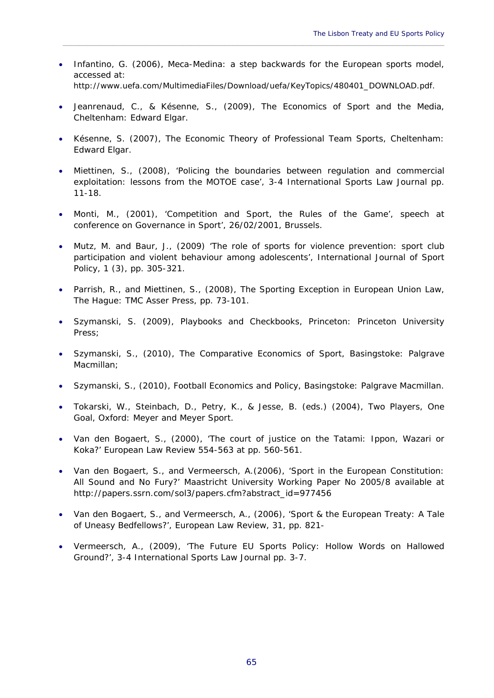Infantino, G. (2006), *Meca-Medina: a step backwards for the European sports model*, accessed at: http://www.uefa.com/MultimediaFiles/Download/uefa/KeyTopics/480401\_DOWNLOAD.pdf.

 $\_$  , and the set of the set of the set of the set of the set of the set of the set of the set of the set of the set of the set of the set of the set of the set of the set of the set of the set of the set of the set of th

- Jeanrenaud, C., & Késenne, S., (2009), *The Economics of Sport and the Media*, Cheltenham: Edward Elgar.
- Késenne, S. (2007), *The Economic Theory of Professional Team Sports*, Cheltenham: Edward Elgar.
- Miettinen, S., (2008), *'Policing the boundaries between regulation and commercial exploitation: lessons from the MOTOE case'*, 3-4 *International Sports Law Journal* pp. 11-18.
- Monti, M., (2001), *'Competition and Sport, the Rules of the Game', speech at conference on Governance in Sport'*, 26/02/2001, Brussels.
- Mutz, M. and Baur, J., (2009) *'The role of sports for violence prevention: sport club participation and violent behaviour among adolescents'*, International Journal of Sport Policy, 1 (3), pp. 305-321.
- Parrish, R., and Miettinen, S., (2008), *The Sporting Exception in European Union Law,* The Hague: TMC Asser Press, pp. 73-101.
- Szymanski, S. (2009), *Playbooks and Checkbooks*, Princeton: Princeton University Press;
- Szymanski, S., (2010), *The Comparative Economics of Sport*, Basingstoke: Palgrave Macmillan;
- Szymanski, S., (2010), *Football Economics and Policy*, Basingstoke: Palgrave Macmillan.
- Tokarski, W., Steinbach, D., Petry, K., & Jesse, B. (eds.) (2004), *Two Players, One Goal*, Oxford: Meyer and Meyer Sport.
- Van den Bogaert, S., (2000), *'The court of justice on the Tatami: Ippon, Wazari or Koka?'* European Law Review 554-563 at pp. 560-561.
- Van den Bogaert, S., and Vermeersch, A.(2006), *'Sport in the European Constitution: All Sound and No Fury?'* Maastricht University Working Paper No 2005/8 available at http://papers.ssrn.com/sol3/papers.cfm?abstract\_id=977456
- Van den Bogaert, S., and Vermeersch, A., (2006), *'Sport & the European Treaty: A Tale of* Uneasy *Bedfellows?'*, European Law Review, 31, pp. 821-
- Vermeersch, A., (2009), *'The Future EU Sports Policy:* Hollow *Words on* Hallowed *Ground?'*, 3-4 International Sports Law Journal pp. 3-7.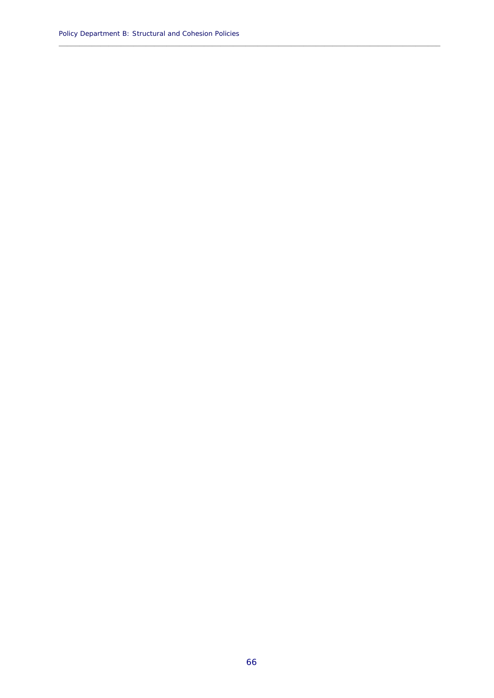**\_\_\_\_\_\_\_\_\_\_\_\_\_\_\_\_\_\_\_\_\_\_\_\_\_\_\_\_\_\_\_\_\_\_\_\_\_\_\_\_\_\_\_\_\_\_\_\_\_\_\_\_\_\_\_\_\_\_\_\_\_\_\_\_\_\_\_\_\_\_\_\_\_\_\_\_\_\_\_\_\_\_\_\_\_\_\_\_\_\_\_\_**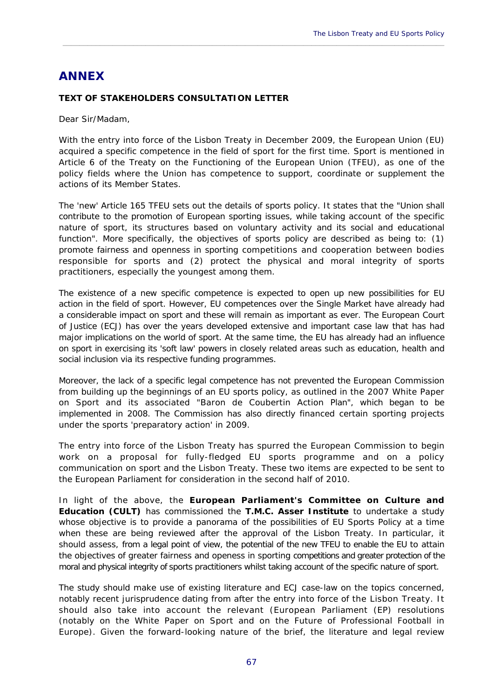# **ANNEX**

#### **TEXT OF STAKEHOLDERS CONSULTATION LETTER**

Dear Sir/Madam,

With the entry into force of the Lisbon Treaty in December 2009, the European Union (EU) acquired a specific competence in the field of sport for the first time. Sport is mentioned in Article 6 of the Treaty on the Functioning of the European Union (TFEU), as one of the policy fields where the Union has competence to support, coordinate or supplement the actions of its Member States.

 $\_$  , and the set of the set of the set of the set of the set of the set of the set of the set of the set of the set of the set of the set of the set of the set of the set of the set of the set of the set of the set of th

The 'new' Article 165 TFEU sets out the details of sports policy. It states that the "Union shall contribute to the promotion of European sporting issues, while taking account of the specific nature of sport, its structures based on voluntary activity and its social and educational function". More specifically, the objectives of sports policy are described as being to: (1) promote fairness and openness in sporting competitions and cooperation between bodies responsible for sports and (2) protect the physical and moral integrity of sports practitioners, especially the youngest among them.

The existence of a new specific competence is expected to open up new possibilities for EU action in the field of sport. However, EU competences over the Single Market have already had a considerable impact on sport and these will remain as important as ever. The European Court of Justice (ECJ) has over the years developed extensive and important case law that has had major implications on the world of sport. At the same time, the EU has already had an influence on sport in exercising its 'soft law' powers in closely related areas such as education, health and social inclusion via its respective funding programmes.

Moreover, the lack of a specific legal competence has not prevented the European Commission from building up the beginnings of an EU sports policy, as outlined in the 2007 White Paper on Sport and its associated "Baron de Coubertin Action Plan", which began to be implemented in 2008. The Commission has also directly financed certain sporting projects under the sports 'preparatory action' in 2009.

The entry into force of the Lisbon Treaty has spurred the European Commission to begin work on a proposal for fully-fledged EU sports programme and on a policy communication on sport and the Lisbon Treaty. These two items are expected to be sent to the European Parliament for consideration in the second half of 2010.

In light of the above, the **European Parliament's Committee on Culture and Education (CULT)** has commissioned the **T.M.C. Asser Institute** to undertake a study whose objective is to provide a panorama of the possibilities of EU Sports Policy at a time when these are being reviewed after the approval of the Lisbon Treaty. In particular, it should assess, from a legal point of view, the potential of the new TFEU to enable the EU to attain the objectives of greater fairness and openess in sporting competitions and greater protection of the moral and physical integrity of sports practitioners whilst taking account of the specific nature of sport.

The study should make use of existing literature and ECJ case-law on the topics concerned, notably recent jurisprudence dating from after the entry into force of the Lisbon Treaty. It should also take into account the relevant (European Parliament (EP) resolutions (notably on the White Paper on Sport and on the Future of Professional Football in Europe). Given the forward-looking nature of the brief, the literature and legal review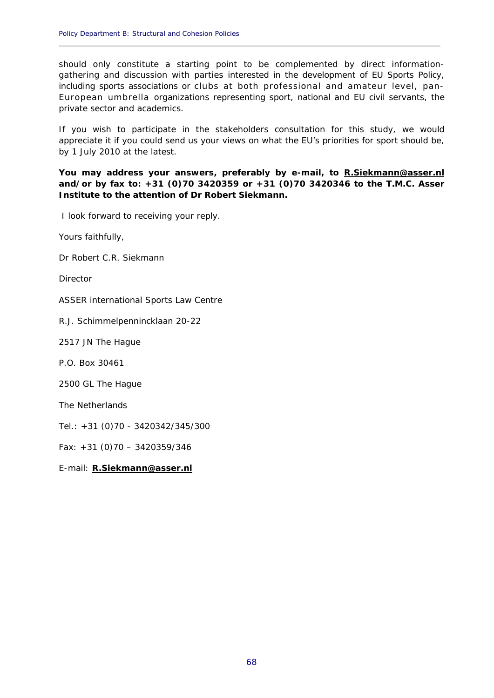should only constitute a starting point to be complemented by direct informationgathering and discussion with parties interested in the development of EU Sports Policy, including sports associations or clubs at both professional and amateur level, pan-European umbrella organizations representing sport, national and EU civil servants, the private sector and academics.

**\_\_\_\_\_\_\_\_\_\_\_\_\_\_\_\_\_\_\_\_\_\_\_\_\_\_\_\_\_\_\_\_\_\_\_\_\_\_\_\_\_\_\_\_\_\_\_\_\_\_\_\_\_\_\_\_\_\_\_\_\_\_\_\_\_\_\_\_\_\_\_\_\_\_\_\_\_\_\_\_\_\_\_\_\_\_\_\_\_\_\_\_**

If you wish to participate in the stakeholders consultation for this study, we would appreciate it if you could send us your views on what the EU's priorities for sport should be, by 1 July 2010 at the latest.

**You may address your answers, preferably by e-mail, to R.Siekmann@asser.nl and/or by fax to: +31 (0)70 3420359 or +31 (0)70 3420346 to the T.M.C. Asser Institute to the attention of Dr Robert Siekmann.** 

I look forward to receiving your reply.

Yours faithfully,

Dr Robert C.R. Siekmann

**Director** 

ASSER international Sports Law Centre

R.J. Schimmelpennincklaan 20-22

2517 JN The Hague

P.O. Box 30461

2500 GL The Hague

The Netherlands

Tel.: +31 (0)70 - 3420342/345/300

Fax: +31 (0)70 – 3420359/346

E-mail: **R.Siekmann@asser.nl**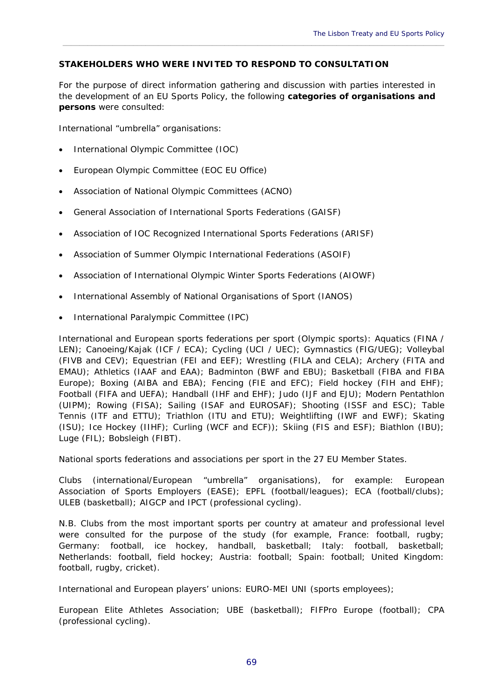## **STAKEHOLDERS WHO WERE INVITED TO RESPOND TO CONSULTATION**

For the purpose of direct information gathering and discussion with parties interested in the development of an EU Sports Policy, the following **categories of organisations and persons** were consulted:

 $\_$  , and the set of the set of the set of the set of the set of the set of the set of the set of the set of the set of the set of the set of the set of the set of the set of the set of the set of the set of the set of th

*International "umbrella" organisations:* 

- International Olympic Committee (IOC)
- European Olympic Committee (EOC EU Office)
- Association of National Olympic Committees (ACNO)
- General Association of International Sports Federations (GAISF)
- Association of IOC Recognized International Sports Federations (ARISF)
- Association of Summer Olympic International Federations (ASOIF)
- Association of International Olympic Winter Sports Federations (AIOWF)
- International Assembly of National Organisations of Sport (IANOS)
- International Paralympic Committee (IPC)

*International and European sports federations per sport (Olympic sports):* Aquatics (FINA / LEN); Canoeing/Kajak (ICF / ECA); Cycling (UCI / UEC); Gymnastics (FIG/UEG); Volleybal (FIVB and CEV); Equestrian (FEI and EEF); Wrestling (FILA and CELA); Archery (FITA and EMAU); Athletics (IAAF and EAA); Badminton (BWF and EBU); Basketball (FIBA and FIBA Europe); Boxing (AIBA and EBA); Fencing (FIE and EFC); Field hockey (FIH and EHF); Football (FIFA and UEFA); Handball (IHF and EHF); Judo (IJF and EJU); Modern Pentathlon (UIPM); Rowing (FISA); Sailing (ISAF and EUROSAF); Shooting (ISSF and ESC); Table Tennis (ITF and ETTU); Triathlon (ITU and ETU); Weightlifting (IWF and EWF); Skating (ISU); Ice Hockey (IIHF); Curling (WCF and ECF)); Skiing (FIS and ESF); Biathlon (IBU); Luge (FIL); Bobsleigh (FIBT).

### *National sports federations and associations per sport in the 27 EU Member States.*

*Clubs* (international/European "umbrella" organisations), for example: European Association of Sports Employers (EASE); EPFL (football/leagues); ECA (football/clubs); ULEB (basketball); AIGCP and IPCT (professional cycling).

N.B. Clubs from the most important sports per country at amateur and professional level were consulted for the purpose of the study (for example, France: football, rugby; Germany: football, ice hockey, handball, basketball; Italy: football, basketball; Netherlands: football, field hockey; Austria: football; Spain: football; United Kingdom: football, rugby, cricket).

*International and European players' unions*: EURO-MEI UNI (sports employees);

European Elite Athletes Association; UBE (basketball); FIFPro Europe (football); CPA (professional cycling).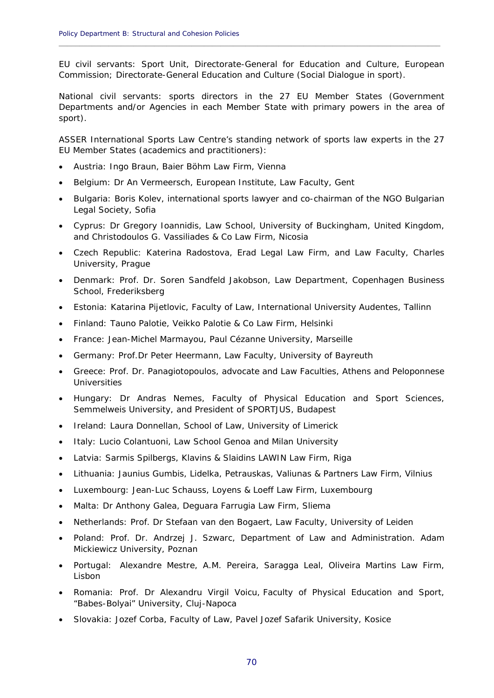*EU civil servants:* Sport Unit, Directorate-General for Education and Culture, European Commission; Directorate-General Education and Culture (Social Dialogue in sport).

**\_\_\_\_\_\_\_\_\_\_\_\_\_\_\_\_\_\_\_\_\_\_\_\_\_\_\_\_\_\_\_\_\_\_\_\_\_\_\_\_\_\_\_\_\_\_\_\_\_\_\_\_\_\_\_\_\_\_\_\_\_\_\_\_\_\_\_\_\_\_\_\_\_\_\_\_\_\_\_\_\_\_\_\_\_\_\_\_\_\_\_\_**

*National civil servants:* sports directors in the 27 EU Member States (Government Departments and/or Agencies in each Member State with primary powers in the area of sport).

*ASSER International Sports Law Centre's standing network of sports law experts* in the 27 EU Member States (academics and practitioners):

- Austria: Ingo Braun, Baier Böhm Law Firm, Vienna
- Belgium: Dr An Vermeersch, European Institute, Law Faculty, Gent
- Bulgaria: Boris Kolev, international sports lawyer and co-chairman of the NGO Bulgarian Legal Society, Sofia
- Cyprus: Dr Gregory Ioannidis, Law School, University of Buckingham, United Kingdom, and Christodoulos G. Vassiliades & Co Law Firm, Nicosia
- Czech Republic: Katerina Radostova, Erad Legal Law Firm, and Law Faculty, Charles University, Prague
- Denmark: Prof. Dr. Soren Sandfeld Jakobson, Law Department, Copenhagen Business School, Frederiksberg
- Estonia: Katarina Pijetlovic, Faculty of Law, International University Audentes, Tallinn
- Finland: Tauno Palotie, Veikko Palotie & Co Law Firm, Helsinki
- France: Jean-Michel Marmayou, Paul Cézanne University, Marseille
- Germany: Prof.Dr Peter Heermann, Law Faculty, University of Bayreuth
- Greece: Prof. Dr. Panagiotopoulos, advocate and Law Faculties, Athens and Peloponnese Universities
- Hungary: Dr Andras Nemes, Faculty of Physical Education and Sport Sciences, Semmelweis University, and President of SPORTJUS, Budapest
- Ireland: Laura Donnellan, School of Law, University of Limerick
- Italy: Lucio Colantuoni, Law School Genoa and Milan University
- Latvia: Sarmis Spilbergs, Klavins & Slaidins LAWIN Law Firm, Riga
- Lithuania: Jaunius Gumbis, Lidelka, Petrauskas, Valiunas & Partners Law Firm, Vilnius
- Luxembourg: Jean-Luc Schauss, Loyens & Loeff Law Firm, Luxembourg
- Malta: Dr Anthony Galea, Deguara Farrugia Law Firm, Sliema
- Netherlands: Prof. Dr Stefaan van den Bogaert, Law Faculty, University of Leiden
- Poland: Prof. Dr. Andrzej J. Szwarc, Department of Law and Administration. Adam Mickiewicz University, Poznan
- Portugal: Alexandre Mestre, A.M. Pereira, Saragga Leal, Oliveira Martins Law Firm, Lisbon
- Romania: Prof. Dr Alexandru Virgil Voicu, Faculty of Physical Education and Sport, "Babes-Bolyai" University, Cluj-Napoca
- Slovakia: Jozef Corba, Faculty of Law, Pavel Jozef Safarik University, Kosice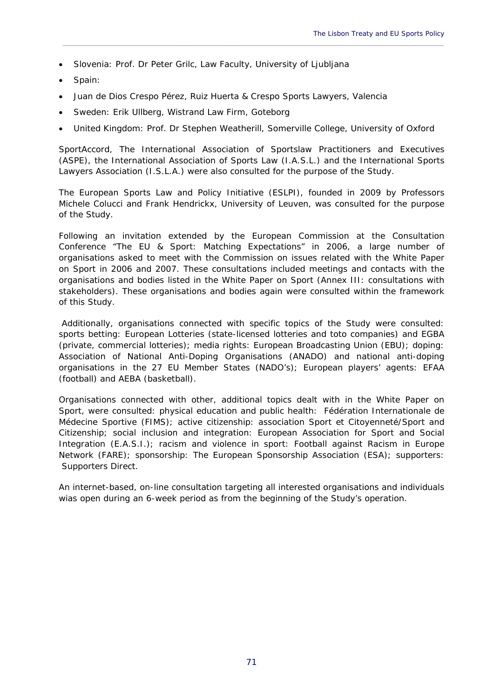- Slovenia: Prof. Dr Peter Grilc, Law Faculty, University of Ljubljana
- Spain:
- Juan de Dios Crespo Pérez, Ruiz Huerta & Crespo Sports Lawyers, Valencia
- Sweden: Erik Ullberg, Wistrand Law Firm, Goteborg
- United Kingdom: Prof. Dr Stephen Weatherill, Somerville College, University of Oxford

 $\_$  , and the set of the set of the set of the set of the set of the set of the set of the set of the set of the set of the set of the set of the set of the set of the set of the set of the set of the set of the set of th

SportAccord, The International Association of Sportslaw Practitioners and Executives (ASPE), the International Association of Sports Law (I.A.S.L.) and the International Sports Lawyers Association (I.S.L.A.) were also consulted for the purpose of the Study.

The European Sports Law and Policy Initiative (ESLPI), founded in 2009 by Professors Michele Colucci and Frank Hendrickx, University of Leuven, was consulted for the purpose of the Study.

Following an invitation extended by the European Commission at the Consultation Conference "The EU & Sport: Matching Expectations" in 2006, a large number of organisations asked to meet with the Commission on issues related with the White Paper on Sport in 2006 and 2007. These consultations included meetings and contacts with the organisations and bodies listed in the White Paper on Sport (Annex III: consultations with stakeholders). These organisations and bodies again were consulted within the framework of this Study.

 Additionally, organisations connected with specific topics of the Study were consulted: sports betting: European Lotteries (state-licensed lotteries and toto companies) and EGBA (private, commercial lotteries); media rights: European Broadcasting Union (EBU); doping: Association of National Anti-Doping Organisations (ANADO) and national anti-doping organisations in the 27 EU Member States (NADO's); European players' agents: EFAA (football) and AEBA (basketball).

Organisations connected with other, additional topics dealt with in the White Paper on Sport, were consulted: physical education and public health: Fédération Internationale de Médecine Sportive (FIMS); active citizenship: association Sport et Citoyenneté/Sport and Citizenship; social inclusion and integration: European Association for Sport and Social Integration (E.A.S.I.); racism and violence in sport: Football against Racism in Europe Network (FARE); sponsorship: The European Sponsorship Association (ESA); supporters: Supporters Direct.

An internet-based, on-line consultation targeting all interested organisations and individuals wias open during an 6-week period as from the beginning of the Study's operation.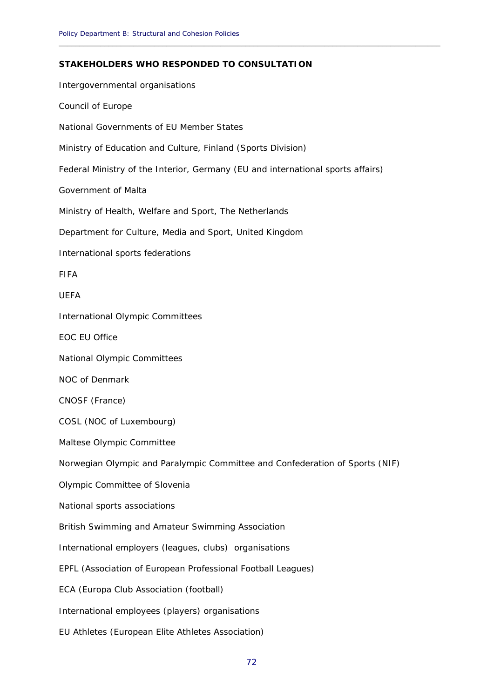#### **STAKEHOLDERS WHO RESPONDED TO CONSULTATION**

**\_\_\_\_\_\_\_\_\_\_\_\_\_\_\_\_\_\_\_\_\_\_\_\_\_\_\_\_\_\_\_\_\_\_\_\_\_\_\_\_\_\_\_\_\_\_\_\_\_\_\_\_\_\_\_\_\_\_\_\_\_\_\_\_\_\_\_\_\_\_\_\_\_\_\_\_\_\_\_\_\_\_\_\_\_\_\_\_\_\_\_\_**

*Intergovernmental organisations*  Council of Europe *National Governments of EU Member States*  Ministry of Education and Culture, Finland (Sports Division) Federal Ministry of the Interior, Germany (EU and international sports affairs) Government of Malta Ministry of Health, Welfare and Sport, The Netherlands Department for Culture, Media and Sport, United Kingdom *International sports federations*  FIFA UEFA *International Olympic Committees* EOC EU Office *National Olympic Committees*  NOC of Denmark CNOSF (France) COSL (NOC of Luxembourg) Maltese Olympic Committee Norwegian Olympic and Paralympic Committee and Confederation of Sports (NIF) Olympic Committee of Slovenia *National sports associations*  British Swimming and Amateur Swimming Association *International employers (leagues, clubs) organisations*  EPFL (Association of European Professional Football Leagues) ECA (Europa Club Association (football) *International employees (players) organisations*  EU Athletes (European Elite Athletes Association)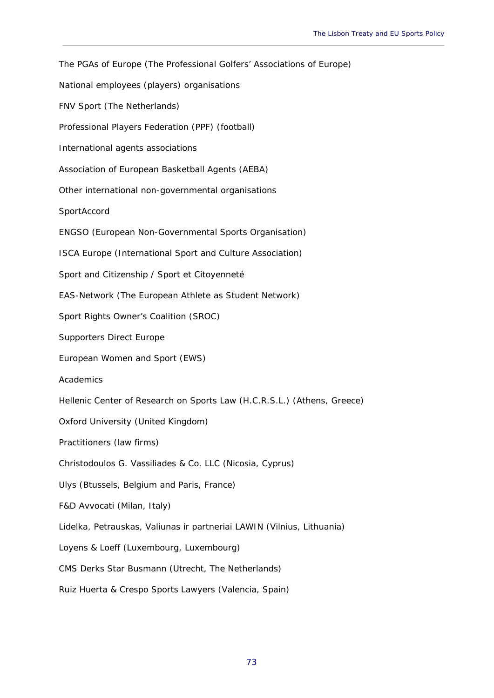The PGAs of Europe (The Professional Golfers' Associations of Europe) *National employees (players) organisations*  FNV Sport (The Netherlands) Professional Players Federation (PPF) (football) *International agents associations*  Association of European Basketball Agents (AEBA) *Other international non-governmental organisations*  **SportAccord** ENGSO (European Non-Governmental Sports Organisation) ISCA Europe (International Sport and Culture Association) Sport and Citizenship / Sport et Citoyenneté EAS-Network (The European Athlete as Student Network) Sport Rights Owner's Coalition (SROC) Supporters Direct Europe European Women and Sport (EWS) *Academics*  Hellenic Center of Research on Sports Law (H.C.R.S.L.) (Athens, Greece) Oxford University (United Kingdom) *Practitioners (law firms)*  Christodoulos G. Vassiliades & Co. LLC (Nicosia, Cyprus) Ulys (Btussels, Belgium and Paris, France) F&D Avvocati (Milan, Italy) Lidelka, Petrauskas, Valiunas ir partneriai LAWIN (Vilnius, Lithuania) Loyens & Loeff (Luxembourg, Luxembourg) CMS Derks Star Busmann (Utrecht, The Netherlands) Ruiz Huerta & Crespo Sports Lawyers (Valencia, Spain)

 $\_$  , and the set of the set of the set of the set of the set of the set of the set of the set of the set of the set of the set of the set of the set of the set of the set of the set of the set of the set of the set of th